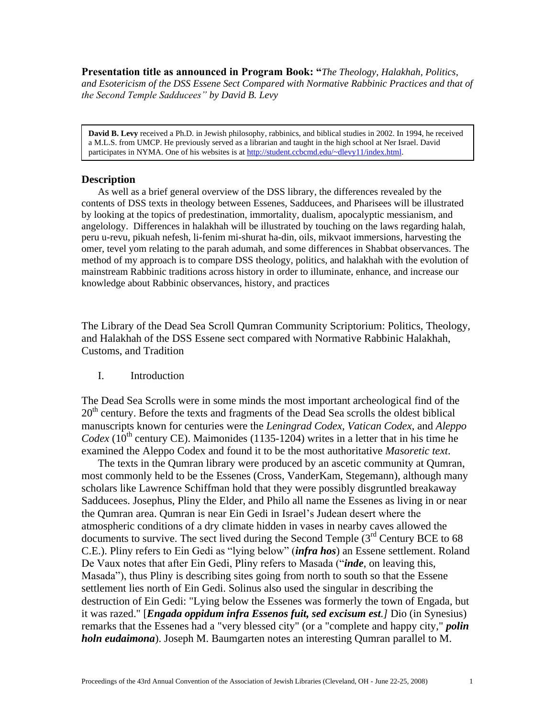**Presentation title as announced in Program Book: "***The Theology, Halakhah, Politics, and Esotericism of the DSS Essene Sect Compared with Normative Rabbinic Practices and that of the Second Temple Sadducees" by David B. Levy*

**David B. Levy** received a Ph.D. in Jewish philosophy, rabbinics, and biblical studies in 2002. In 1994, he received a M.L.S. from UMCP. He previously served as a librarian and taught in the high school at Ner Israel. David participates in NYMA. One of his websites is a[t http://student.ccbcmd.edu/~dlevy11/index.html.](http://student.ccbcmd.edu/~dlevy11/index.html)

#### **Description**

As well as a brief general overview of the DSS library, the differences revealed by the contents of DSS texts in theology between Essenes, Sadducees, and Pharisees will be illustrated by looking at the topics of predestination, immortality, dualism, apocalyptic messianism, and angelology. Differences in halakhah will be illustrated by touching on the laws regarding halah, peru u-revu, pikuah nefesh, li-fenim mi-shurat ha-din, oils, mikvaot immersions, harvesting the omer, tevel yom relating to the parah adumah, and some differences in Shabbat observances. The method of my approach is to compare DSS theology, politics, and halakhah with the evolution of mainstream Rabbinic traditions across history in order to illuminate, enhance, and increase our knowledge about Rabbinic observances, history, and practices

The Library of the Dead Sea Scroll Qumran Community Scriptorium: Politics, Theology, and Halakhah of the DSS Essene sect compared with Normative Rabbinic Halakhah, Customs, and Tradition

I. Introduction

The Dead Sea Scrolls were in some minds the most important archeological find of the  $20<sup>th</sup>$  century. Before the texts and fragments of the Dead Sea scrolls the oldest biblical manuscripts known for centuries were the *Leningrad Codex, Vatican Codex*, and *Aleppo Codex* ( $10^{th}$  century CE). Maimonides (1135-1204) writes in a letter that in his time he examined the Aleppo Codex and found it to be the most authoritative *Masoretic text*.

 The texts in the Qumran library were produced by an ascetic community at Qumran, most commonly held to be the Essenes (Cross, VanderKam, Stegemann), although many scholars like Lawrence Schiffman hold that they were possibly disgruntled breakaway Sadducees. Josephus, Pliny the Elder, and Philo all name the Essenes as living in or near the Qumran area. Qumran is near Ein Gedi in Israel's Judean desert where the atmospheric conditions of a dry climate hidden in vases in nearby caves allowed the documents to survive. The sect lived during the Second Temple  $3<sup>rd</sup>$  Century BCE to 68 C.E.). Pliny refers to Ein Gedi as "lying below" (*infra hos*) an Essene settlement. Roland De Vaux notes that after Ein Gedi, Pliny refers to Masada ("*inde*, on leaving this, Masada"), thus Pliny is describing sites going from north to south so that the Essene settlement lies north of Ein Gedi. Solinus also used the singular in describing the destruction of Ein Gedi: "Lying below the Essenes was formerly the town of Engada, but it was razed." [*Engada oppidum infra Essenos fuit, sed excisum est.]* Dio (in Synesius) remarks that the Essenes had a "very blessed city" (or a "complete and happy city," *polin holn eudaimona*). Joseph M. Baumgarten notes an interesting Qumran parallel to M.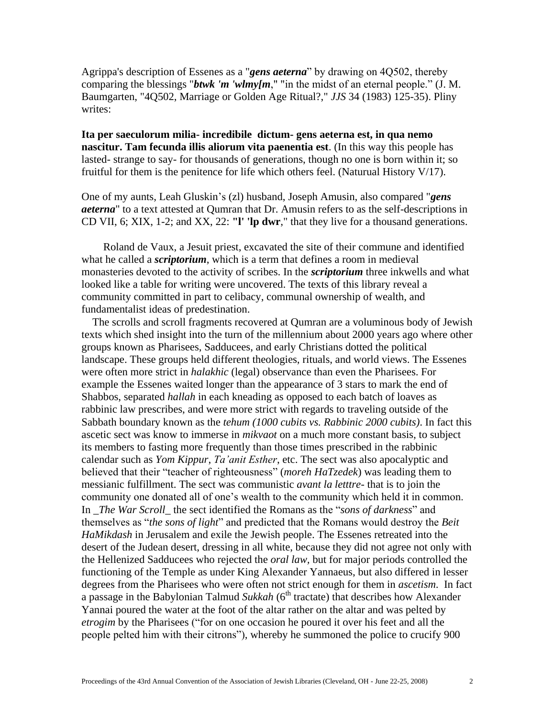Agrippa's description of Essenes as a "*gens aeterna*" by drawing on 4Q502, thereby comparing the blessings "*btwk 'm 'wlmy[m*," "in the midst of an eternal people." (J. M. Baumgarten, "4Q502, Marriage or Golden Age Ritual?," *JJS* 34 (1983) 125-35). Pliny writes:

**Ita per saeculorum milia- incredibile dictum- gens aeterna est, in qua nemo nascitur. Tam fecunda illis aliorum vita paenentia est**. (In this way this people has lasted- strange to say- for thousands of generations, though no one is born within it; so fruitful for them is the penitence for life which others feel. (Naturual History  $V/17$ ).

One of my aunts, Leah Gluskin's (zl) husband, Joseph Amusin, also compared "*gens aeterna*" to a text attested at Qumran that Dr. Amusin refers to as the self-descriptions in CD VII, 6; XIX, 1-2; and XX, 22: **"l' 'lp dwr**," that they live for a thousand generations.

 Roland de Vaux, a Jesuit priest, excavated the site of their commune and identified what he called a *scriptorium*, which is a term that defines a room in medieval monasteries devoted to the activity of scribes. In the *scriptorium* three inkwells and what looked like a table for writing were uncovered. The texts of this library reveal a community committed in part to celibacy, communal ownership of wealth, and fundamentalist ideas of predestination.

 The scrolls and scroll fragments recovered at Qumran are a voluminous body of Jewish texts which shed insight into the turn of the millennium about 2000 years ago where other groups known as Pharisees, Sadducees, and early Christians dotted the political landscape. These groups held different theologies, rituals, and world views. The Essenes were often more strict in *halakhic* (legal) observance than even the Pharisees. For example the Essenes waited longer than the appearance of 3 stars to mark the end of Shabbos, separated *hallah* in each kneading as opposed to each batch of loaves as rabbinic law prescribes, and were more strict with regards to traveling outside of the Sabbath boundary known as the *tehum (1000 cubits vs. Rabbinic 2000 cubits)*. In fact this ascetic sect was know to immerse in *mikvaot* on a much more constant basis, to subject its members to fasting more frequently than those times prescribed in the rabbinic calendar such as *Yom Kippur*, *Ta'anit Esther*, etc. The sect was also apocalyptic and believed that their "teacher of righteousness" (*moreh HaTzedek*) was leading them to messianic fulfillment. The sect was communistic *avant la letttre*- that is to join the community one donated all of one's wealth to the community which held it in common. In \_*The War Scroll*\_ the sect identified the Romans as the "*sons of darkness*" and themselves as "*the sons of light*" and predicted that the Romans would destroy the *Beit HaMikdash* in Jerusalem and exile the Jewish people. The Essenes retreated into the desert of the Judean desert, dressing in all white, because they did not agree not only with the Hellenized Sadducees who rejected the *oral law,* but for major periods controlled the functioning of the Temple as under King Alexander Yannaeus, but also differed in lesser degrees from the Pharisees who were often not strict enough for them in *ascetism*. In fact a passage in the Babylonian Talmud *Sukkah* (6<sup>th</sup> tractate) that describes how Alexander Yannai poured the water at the foot of the altar rather on the altar and was pelted by *etrogim* by the Pharisees ("for on one occasion he poured it over his feet and all the people pelted him with their citrons"), whereby he summoned the police to crucify 900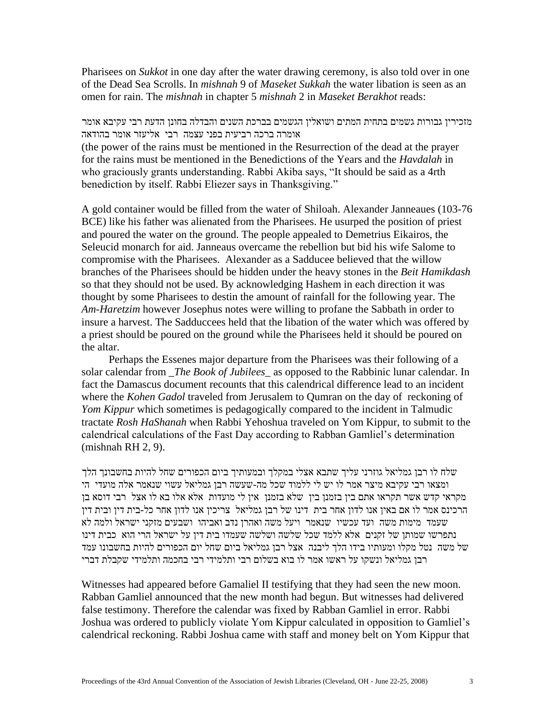Pharisees on *Sukkot* in one day after the water drawing ceremony, is also told over in one of the Dead Sea Scrolls. In *mishnah* 9 of *Maseket Sukkah* the water libation is seen as an omen for rain. The *mishnah* in chapter 5 *mishnah* 2 in *Maseket Berakhot* reads:

מזכירין גבורות גשמים בתחית המתים ושואלין הגשמים בברכת השנים והבדלה בחונן הדעת רבי עקיבא אומר אומרה ברכה רביעית בפני עצמה רבי אליעזר אומר בהודאה

(the power of the rains must be mentioned in the Resurrection of the dead at the prayer for the rains must be mentioned in the Benedictions of the Years and the *Havdalah* in who graciously grants understanding. Rabbi Akiba says, "It should be said as a 4rth benediction by itself. Rabbi Eliezer says in Thanksgiving."

A gold container would be filled from the water of Shiloah. Alexander Janneaues (103-76 BCE) like his father was alienated from the Pharisees. He usurped the position of priest and poured the water on the ground. The people appealed to Demetrius Eikairos, the Seleucid monarch for aid. Janneaus overcame the rebellion but bid his wife Salome to compromise with the Pharisees. Alexander as a Sadducee believed that the willow branches of the Pharisees should be hidden under the heavy stones in the *Beit Hamikdash* so that they should not be used. By acknowledging Hashem in each direction it was thought by some Pharisees to destin the amount of rainfall for the following year. The *Am-Haretzim* however Josephus notes were willing to profane the Sabbath in order to insure a harvest. The Sadduccees held that the libation of the water which was offered by a priest should be poured on the ground while the Pharisees held it should be poured on the altar.

 Perhaps the Essenes major departure from the Pharisees was their following of a solar calendar from \_*The Book of Jubilees*\_ as opposed to the Rabbinic lunar calendar. In fact the Damascus document recounts that this calendrical difference lead to an incident where the *Kohen Gadol* traveled from Jerusalem to Qumran on the day of reckoning of *Yom Kippur* which sometimes is pedagogically compared to the incident in Talmudic tractate *Rosh HaShanah* when Rabbi Yehoshua traveled on Yom Kippur, to submit to the calendrical calculations of the Fast Day according to Rabban Gamliel's determination (mishnah RH 2, 9).

שלח לו רבן גמליאל גוזרני עליך שתבא אצלי במקלך ובמעותיך ביום הכפורים שחל להיות בחשבונך הלך ומצאו רבי עקיבא מיצר אמר לו יש לי ללמוד שכל מה-שעשה רבן גמליאל עשוי שנאמר אלה מועדי הי מקראי קדש אשר תקראו אתם בין בזמנן בין שלא בזמנן אין לי מועדות אלא אלו בא לו אצל רבי דוסא בן הרכינס אמר לו אם באין אנו לדון אחר בית דינו של רבן גמליאל צריכין אנו לדון אחר כל-בית דין ובית דין שעמד מימות משה ועד עכשיו שנאמר ויעל משה ואהרן נדב ואביהו ושבעים מזקני ישראל ולמה לא נתפרשו שמותן של זקנים אלא ללמד שכל שלשה ושלשה שעמדו בית דין על ישראל הרי הוא כבית דינו של משה נטל מקלו ומעותיו בידו הלך ליבנה אצל רבן גמליאל ביום שחל יום הכפורים להיות בחשבונו עמד רבן גמליאל ונשקו על ראשו אמר לו בוא בשלום רבי ותלמידי רבי בחכמה ותלמידי שקבלת דברי

Witnesses had appeared before Gamaliel II testifying that they had seen the new moon. Rabban Gamliel announced that the new month had begun. But witnesses had delivered false testimony. Therefore the calendar was fixed by Rabban Gamliel in error. Rabbi Joshua was ordered to publicly violate Yom Kippur calculated in opposition to Gamliel's calendrical reckoning. Rabbi Joshua came with staff and money belt on Yom Kippur that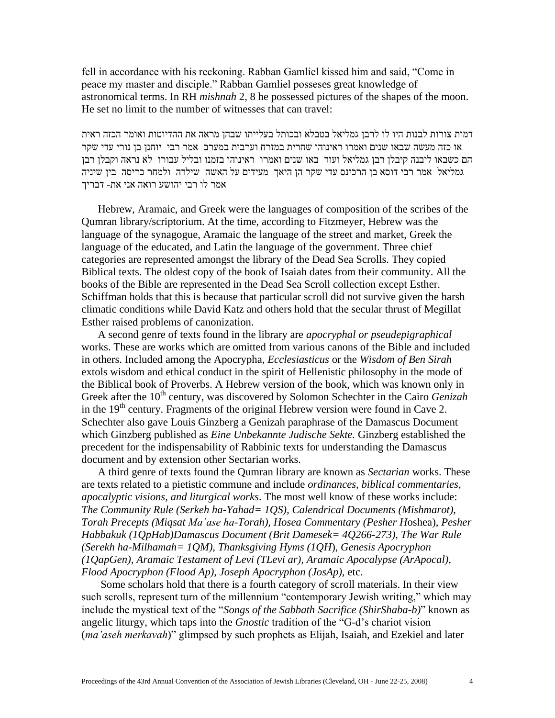fell in accordance with his reckoning. Rabban Gamliel kissed him and said, "Come in peace my master and disciple." Rabban Gamliel posseses great knowledge of astronomical terms. In RH *mishnah* 2, 8 he possessed pictures of the shapes of the moon. He set no limit to the number of witnesses that can travel:

דמות צורות לבנות היו לו לרבן גמליאל בטבלא ובכותל בעלייתו שבהן מראה את ההדיוטות ואומר הכזה ראית או כזה מעשה שבאו שנים ואמרו ראינוהו שחרית במזרח וערבית במערב אמר רבי יוחנן בן נורי עדי שקר הם כשבאו ליבנה קיבלן רבן גמליאל ועוד באו שנים ואמרו ראינוהו בזמנו ובליל עבורו לא נראה וקבלן רבן גמליאל אמר רבי דוסא בן הרכינס עדי שקר הן היאך מעידים על האשה שילדה ולמחר כריסה בין שיניה אמר לו רבי יהושע רואה אני את- דבריך

 Hebrew, Aramaic, and Greek were the languages of composition of the scribes of the Qumran library/scriptorium. At the time, according to Fitzmeyer, Hebrew was the language of the synagogue, Aramaic the language of the street and market, Greek the language of the educated, and Latin the language of the government. Three chief categories are represented amongst the library of the Dead Sea Scrolls. They copied Biblical texts. The oldest copy of the book of Isaiah dates from their community. All the books of the Bible are represented in the Dead Sea Scroll collection except Esther. Schiffman holds that this is because that particular scroll did not survive given the harsh climatic conditions while David Katz and others hold that the secular thrust of Megillat Esther raised problems of canonization.

 A second genre of texts found in the library are *apocryphal or pseudepigraphical* works. These are works which are omitted from various canons of the Bible and included in others. Included among the Apocrypha, *Ecclesiasticus* or the *Wisdom of Ben Sirah* extols wisdom and ethical conduct in the spirit of Hellenistic philosophy in the mode of the Biblical book of Proverbs. A Hebrew version of the book, which was known only in Greek after the 10<sup>th</sup> century, was discovered by Solomon Schechter in the Cairo *Genizah* in the 19<sup>th</sup> century. Fragments of the original Hebrew version were found in Cave 2. Schechter also gave Louis Ginzberg a Genizah paraphrase of the Damascus Document which Ginzberg published as *Eine Unbekannte Judische Sekte.* Ginzberg established the precedent for the indispensability of Rabbinic texts for understanding the Damascus document and by extension other Sectarian works.

 A third genre of texts found the Qumran library are known as *Sectarian* works. These are texts related to a pietistic commune and include *ordinances, biblical commentaries, apocalyptic visions, and liturgical works*. The most well know of these works include: *The Community Rule (Serkeh ha-Yahad= 1QS), Calendrical Documents (Mishmarot), Torah Precepts (Miqsat Ma'ase ha-Torah), Hosea Commentary (Pesher H*oshea), *Pesher Habbakuk (1QpHab)Damascus Document (Brit Damesek= 4Q266-273), The War Rule (Serekh ha-Milhamah= 1QM)*, *Thanksgiving Hyms (1QH*), *Genesis Apocryphon (1QapGen)*, *Aramaic Testament of Levi (TLevi ar), Aramaic Apocalypse (ArApocal), Flood Apocryphon (Flood Ap), Joseph Apocryphon (JosAp),* etc.

 Some scholars hold that there is a fourth category of scroll materials. In their view such scrolls, represent turn of the millennium "contemporary Jewish writing," which may include the mystical text of the "*Songs of the Sabbath Sacrifice (ShirShaba-b)*" known as angelic liturgy, which taps into the *Gnostic* tradition of the "G-d's chariot vision (*ma'aseh merkavah*)" glimpsed by such prophets as Elijah, Isaiah, and Ezekiel and later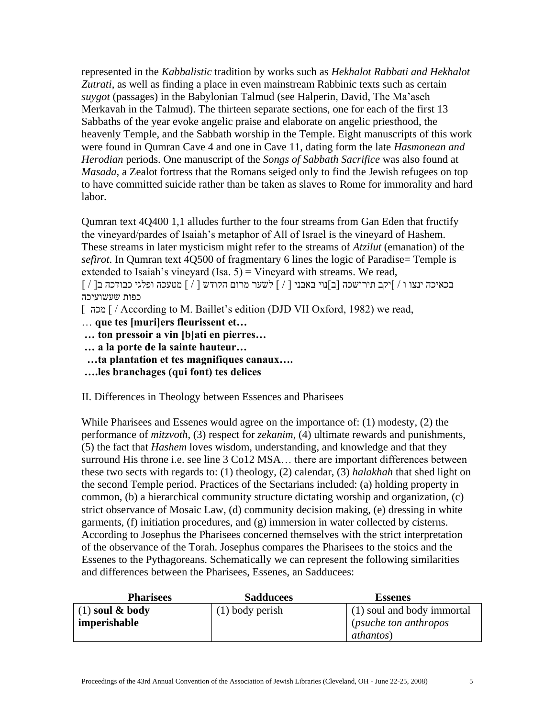represented in the *Kabbalistic* tradition by works such as *Hekhalot Rabbati and Hekhalot Zutrati*, as well as finding a place in even mainstream Rabbinic texts such as certain *suygot* (passages) in the Babylonian Talmud (see Halperin, David, The Ma'aseh Merkavah in the Talmud). The thirteen separate sections, one for each of the first 13 Sabbaths of the year evoke angelic praise and elaborate on angelic priesthood, the heavenly Temple, and the Sabbath worship in the Temple. Eight manuscripts of this work were found in Qumran Cave 4 and one in Cave 11, dating form the late *Hasmonean and Herodian* periods. One manuscript of the *Songs of Sabbath Sacrifice* was also found at *Masada,* a Zealot fortress that the Romans seiged only to find the Jewish refugees on top to have committed suicide rather than be taken as slaves to Rome for immorality and hard labor.

Qumran text 4Q400 1,1 alludes further to the four streams from Gan Eden that fructify the vineyard/pardes of Isaiah's metaphor of All of Israel is the vineyard of Hashem. These streams in later mysticism might refer to the streams of *Atzilut* (emanation) of the *sefirot*. In Qumran text 4Q500 of fragmentary 6 lines the logic of Paradise= Temple is extended to Isaiah's vineyard (Isa.  $5$ ) = Vineyard with streams. We read,

בכאיכה ינצו ו / [יקב תירושכה ]ב[נוי באבני ] / [ לשער מרום הקודש ] / [ מטעכה ופלגי כבודכה ב] / [ כפות שעשועיכה

[ מכה [ / According to M. Baillet's edition (DJD VII Oxford, 1982) we read,

- … **que tes [muri]ers fleurissent et…**
- **… ton pressoir a vin [b]ati en pierres…**
- **… a la porte de la sainte hauteur…**
- **…ta plantation et tes magnifiques canaux….**
- **….les branchages (qui font) tes delices**

II. Differences in Theology between Essences and Pharisees

While Pharisees and Essenes would agree on the importance of: (1) modesty, (2) the performance of *mitzvoth*, (3) respect for *zekanim*, (4) ultimate rewards and punishments, (5) the fact that *Hashem* loves wisdom, understanding, and knowledge and that they surround His throne i.e. see line 3 Co12 MSA… there are important differences between these two sects with regards to: (1) theology, (2) calendar, (3) *halakhah* that shed light on the second Temple period. Practices of the Sectarians included: (a) holding property in common, (b) a hierarchical community structure dictating worship and organization, (c) strict observance of Mosaic Law, (d) community decision making, (e) dressing in white garments, (f) initiation procedures, and (g) immersion in water collected by cisterns. According to Josephus the Pharisees concerned themselves with the strict interpretation of the observance of the Torah. Josephus compares the Pharisees to the stoics and the Essenes to the Pythagoreans. Schematically we can represent the following similarities and differences between the Pharisees, Essenes, an Sadducees:

| <b>Pharisees</b>    | <b>Sadducees</b>  | <b>Essenes</b>                |
|---------------------|-------------------|-------------------------------|
| $(1)$ soul & body   | $(1)$ body perish | (1) soul and body immortal    |
| <i>imperishable</i> |                   | <i>(psuche ton anthropos)</i> |
|                     |                   | <i>athantos</i> )             |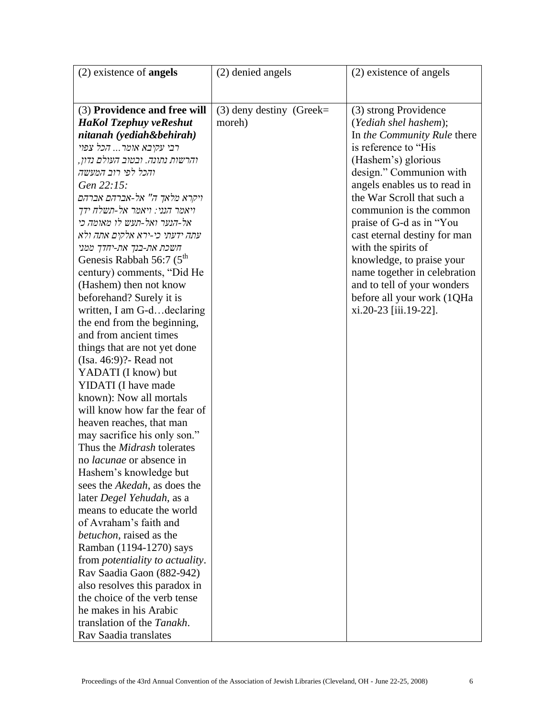| $(2)$ existence of <b>angels</b>               | (2) denied angels          | (2) existence of angels      |
|------------------------------------------------|----------------------------|------------------------------|
|                                                |                            |                              |
|                                                |                            |                              |
| (3) Providence and free will                   | $(3)$ deny destiny (Greek= | (3) strong Providence        |
| <b>HaKol Tzephuy veReshut</b>                  | moreh)                     | (Yediah shel hashem);        |
| nitanah (yediah&behirah)                       |                            | In the Community Rule there  |
| רבי עקיבא אומר הכל צפוי                        |                            | is reference to "His         |
| והרשות נתונה. ובטוב העולם נדון,                |                            | (Hashem's) glorious          |
| והכל לפי רוב המעשה                             |                            | design." Communion with      |
| Gen 22:15:                                     |                            | angels enables us to read in |
| ויקרא מלאך ה" אל-אברהם אברהם                   |                            | the War Scroll that such a   |
| ויאמר הנני: ויאמר אל-תשלח ידך                  |                            | communion is the common      |
| אל-הנער ואל-תעש לו מאומה כי                    |                            | praise of G-d as in "You"    |
| עתה ידעתי כי-ירא אלקים אתה ולא                 |                            | cast eternal destiny for man |
| חשכת את-בנך את-יחדך ממני                       |                            | with the spirits of          |
| Genesis Rabbah 56:7 $(5^{th}$                  |                            | knowledge, to praise your    |
| century) comments, "Did He                     |                            | name together in celebration |
| (Hashem) then not know                         |                            | and to tell of your wonders  |
| beforehand? Surely it is                       |                            | before all your work (1QHa   |
| written, I am G-ddeclaring                     |                            | xi.20-23 [iii.19-22].        |
| the end from the beginning,                    |                            |                              |
| and from ancient times                         |                            |                              |
| things that are not yet done                   |                            |                              |
| (Isa. 46:9)? Read not                          |                            |                              |
| YADATI (I know) but                            |                            |                              |
| YIDATI (I have made                            |                            |                              |
| known): Now all mortals                        |                            |                              |
| will know how far the fear of                  |                            |                              |
| heaven reaches, that man                       |                            |                              |
| may sacrifice his only son."                   |                            |                              |
| Thus the <i>Midrash</i> tolerates              |                            |                              |
| no <i>lacunae</i> or absence in                |                            |                              |
| Hashem's knowledge but                         |                            |                              |
| sees the <i>Akedah</i> , as does the           |                            |                              |
| later Degel Yehudah, as a                      |                            |                              |
| means to educate the world                     |                            |                              |
| of Avraham's faith and                         |                            |                              |
| <i>betuchon</i> , raised as the                |                            |                              |
| Ramban (1194-1270) says                        |                            |                              |
| from <i>potentiality</i> to <i>actuality</i> . |                            |                              |
| Rav Saadia Gaon (882-942)                      |                            |                              |
| also resolves this paradox in                  |                            |                              |
| the choice of the verb tense                   |                            |                              |
| he makes in his Arabic                         |                            |                              |
| translation of the <i>Tanakh</i> .             |                            |                              |
| Rav Saadia translates                          |                            |                              |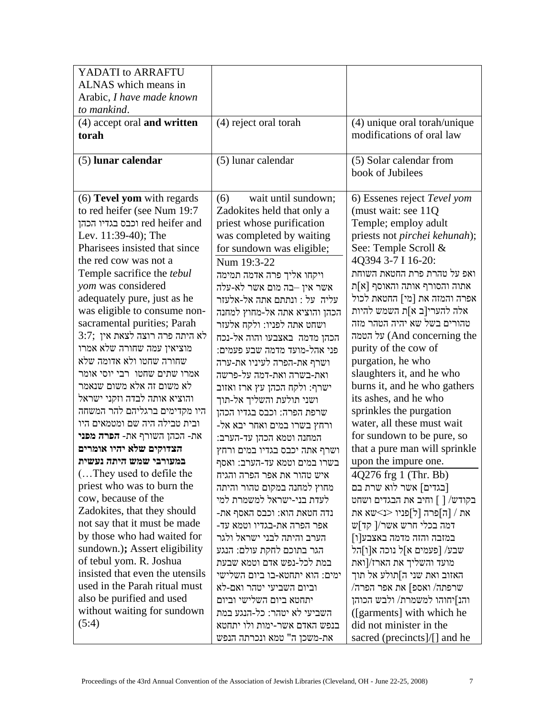| YADATI to ARRAFTU                                           |                                                         |                                                     |
|-------------------------------------------------------------|---------------------------------------------------------|-----------------------------------------------------|
| ALNAS which means in                                        |                                                         |                                                     |
| Arabic, I have made known                                   |                                                         |                                                     |
| to mankind.                                                 |                                                         |                                                     |
| (4) accept oral and written                                 | (4) reject oral torah                                   | (4) unique oral torah/unique                        |
| torah                                                       |                                                         | modifications of oral law                           |
|                                                             |                                                         |                                                     |
| (5) lunar calendar                                          | (5) lunar calendar                                      | (5) Solar calendar from                             |
|                                                             |                                                         | book of Jubilees                                    |
|                                                             | wait until sundown;                                     |                                                     |
| $(6)$ Tevel yom with regards<br>to red heifer (see Num 19:7 | (6)<br>Zadokites held that only a                       | 6) Essenes reject Tevel yom<br>(must wait: see 11Q) |
| red heifer and וכבס בגדיו הכהן                              | priest whose purification                               | Temple; employ adult                                |
| Lev. 11:39-40); The                                         | was completed by waiting                                | priests not pirchei kehunah);                       |
| Pharisees insisted that since                               | for sundown was eligible;                               | See: Temple Scroll &                                |
| the red cow was not a                                       | Num 19:3-22                                             | 4Q394 3-7 I 16-20:                                  |
| Temple sacrifice the <i>tebul</i>                           |                                                         | ואפ על טהרת פרת החטאת השוחת                         |
| yom was considered                                          | ויקחו אליך פרה אדמה תמימה<br>אשר אין –בה מום אשר לא-עלה | אתוה והסורף אותה והאוסף [א]ת                        |
| adequately pure, just as he                                 | עליה על : ונתתם אתה אל-אלעזר                            | אפרה והמזה את [מי] החטאת לכול                       |
| was eligible to consume non-                                | הכהן והוציא אתה אל-מחוץ למחנה                           | אלה להערי[ב א]ת השמש להיות                          |
| sacramental purities; Parah                                 | ושחט אתה לפניו: ולקח אלעזר                              | טהורים בשל שא יהיה הטהר מזה                         |
| 3:7; לא היתה פרה רוצה לצאת אין                              | הכהן מדמה באצבעו והוה אל-נכח                            | על הטמה (And concerning the                         |
| מוציאין עמה שחורה שלא אמרו                                  | פני אהל-מועד מדמה שבע פעמים:                            | purity of the cow of                                |
| שחורה שחטו ולא אדומה שלא                                    | ושרף את-הפרה לעיניו את-ערה                              | purgation, he who                                   |
| אמרו שתים שחטו רבי יוסי אומר                                | ואת-בשרה ואת-דמה על-פרשה                                | slaughters it, and he who                           |
| לא משום זה אלא משום שנאמר                                   | ישרף: ולקח הכהן עץ ארז ואזוב                            | burns it, and he who gathers                        |
| והוציא אותה לבדה וזקני ישראל                                | ושני תולעת והשליך אל-תוך                                | its ashes, and he who                               |
| היו מקדימים ברגליהם להר המשחה                               | שרפת הפרה: וכבס בגדיו הכהן                              | sprinkles the purgation                             |
| ובית טבילה היה שם ומטמאים היו                               | ורחץ בשרו במים ואחר יבא אל-                             | water, all these must wait                          |
| את- הכהן השורף את- <b>הפרה מפני</b>                         | המחנה וטמא הכהן עד-הערב:                                | for sundown to be pure, so                          |
| הצדוקים שלא יהיו אומרים                                     | ושרף אתה יכבס בגדיו במים ורחץ                           | that a pure man will sprinkle                       |
| במעורבי שמש היתה נעשית                                      | בשרו במים וטמא עד-הערב: ואסף                            | upon the impure one.                                |
| (They used to defile the                                    | איש טהור את אפר הפרה והגיח                              | 4Q276 frg 1 (Thr. Bb)                               |
| priest who was to burn the                                  | מחוץ למחנה במקום טהור והיתה                             | [בגדים] אשר לוא שרת בם                              |
| cow, because of the                                         | לעדת בני-ישראל למשמרת למי                               | בקודש/ [ ] וחיב את הבגדים ושחט                      |
| Zadokites, that they should                                 | נדה חטאת הוא: וכבס האסף את-                             | את / [ה]פרה [ל]פניו <נ>שא את                        |
| not say that it must be made                                | אפר הפרה את-בגדיו וטמא עד-                              | דמה בכלי חרש אשר/[ קד]ש                             |
| by those who had waited for                                 | הערב והיתה לבני ישראל ולגר                              | במזבה והזה מדמה באצבע[ו]                            |
| sundown.); Assert eligibility                               | הגר בתוכם לחקת עולם: הנגע                               | שבע/ [פעמים א]ל נוכה א[ו]הל                         |
| of tebul yom. R. Joshua                                     | במת לכל-נפש אדם וטמא שבעת                               | מועד והשליך את הארז/[ואת                            |
| insisted that even the utensils                             | ימים: הוא יתחטא-בו ביום השלישי                          | האזוב ואת שני ה]תולע אל תוך                         |
| used in the Parah ritual must                               | וביום השביעי יטהר ואם-לא                                | $/$ שרפתה/ ואספ] את אפר הפרה                        |
| also be purified and used                                   | יתחטא ביום השלישי וביום                                 | והנ]יחוהו למשמרת/ ולבש הכוהן                        |
| without waiting for sundown                                 | השביעי לא יטהר: כל-הנגע במת                             | ([garments] with which he                           |
| (5:4)                                                       | בנפש האדם אשר-ימות ולו יתחטא                            | did not minister in the                             |
|                                                             | את-משכן ה" טמא ונכרתה הנפש                              | sacred (precincts]/[] and he                        |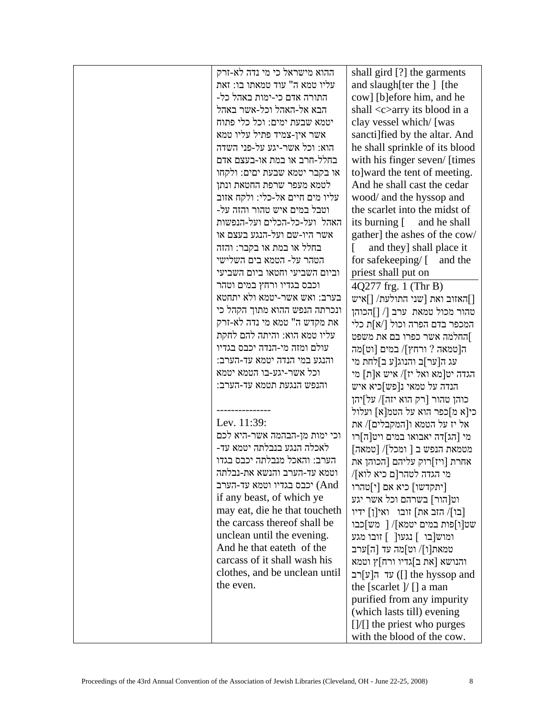| ההוא מישראל כי מי נדה לא-זרק    | shall gird [?] the garments                                 |
|---------------------------------|-------------------------------------------------------------|
| עליו טמא ה" עוד טמאתו בו: זאת   | and slaugh [ter the ] [the                                  |
| התורה אדם כי-ימות באהל כל-      | cow] [b]efore him, and he                                   |
| הבא אל-האהל וכל-אשר באהל        | shall <c>arry its blood in a</c>                            |
| יטמא שבעת ימים: וכל כלי פתוח    | clay vessel which/ [was                                     |
| אשר אין-צמיד פתיל עליו טמא      | sancti] fied by the altar. And                              |
| הוא: וכל אשר-יגע על-פני השדה    | he shall sprinkle of its blood                              |
| בחלל-חרב או במת או-בעצם אדם     | with his finger seven/ [times                               |
| או בקבר יטמא שבעת יםים: ולקחו   |                                                             |
|                                 | to]ward the tent of meeting.<br>And he shall cast the cedar |
| לטמא מעפר שרפת החטאת ונתן       |                                                             |
| עליו מים חיים אל-כלי: ולקח אזוב | wood/ and the hyssop and                                    |
| וטבל במים איש טהור והזה על-     | the scarlet into the midst of                               |
| האהל ועל-כל-הכלים ועל-הנפשות    | its burning [ and he shall                                  |
| אשר היו-שם ועל-הנגע בעצם או     | gather] the ashes of the cow/                               |
| בחלל או במת או בקבר: והזה       | and they] shall place it                                    |
| הטהר על- הטמא בים השלישי        | for safekeeping/ [ and the                                  |
| וביום השביעי וחטאו ביום השביעי  | priest shall put on                                         |
| וכבס בגדיו ורחץ במים וטהר       | 4Q277 frg. 1 (Thr B)                                        |
| בערב: ואש אשר-יטמא ולא יתחטא    | האזוב ואת [שני התולעת/ []איש]                               |
| ונכרתה הנפש ההוא מתוך הקהל כי   | טהור מכול טמאת ערב [/ []הכוהן                               |
| את מקדש ה" טמא מי נדה לא-זרק    | המכפר בדם הפרה וכול [/א]ת כלי                               |
| עליו טמא הוא: והיתה להם לחקת    | ]החלמה אשר כפרו בם את משפט                                  |
| עולם ומזה מי-הנדה יכבס בגדיו    | ה[טמאה ? ורחץ]/ במים [וט]מה                                 |
| והנגע במי הנדה יטמא עד-הערב:    | עג ה[ער]ב והנוג[ע ב]לחת מי                                  |
| וכל אשר-יגע-בו הטמא יטמא        | הגדה יט[מא ואל יז]/ איש א[ת] מי                             |
| והנפש הנגעת תטמא עד-הערב:       | הנדה על טמאי נ[פש]כיא איש                                   |
|                                 | כוהן טהור [רק הוא יזה]/ על]יהן                              |
|                                 | כי[א מ]כפר הוא על הטמ[א] ועלול                              |
| Lev. 11:39:                     | אל יז על הטמא ו[המקבלים]/ את                                |
| וכי ימות מן-הבהמה אשר-היא לכם   | מי [הג]דה יאבואו במים ויט[ה]רו                              |
| לאכלה הנגע בנבלתה יטמא עד-      | מטמאת הנפש ב [ ומכל]/ [טמאה]                                |
| הערב: והאכל מנבלתה יכבס בגדו    | אחרת [ויז]רוק עליהם [הכוהן את                               |
| וטמא עד-הערב והנשא את-נבלתה     | מי הגדה לטהר[ם כיא לוא]/                                    |
| יכבס בגדיו וטמא עד-הערב) (And   | [יתקדשו] כיא אם [י]טהרו                                     |
| if any beast, of which ye       | וט[הור] בשרהם וכל אשר יגע                                   |
| may eat, die he that toucheth   | [כו]/ הזב את] זובו נאי[ן] ידיו                              |
| the carcass thereof shall be    |                                                             |
| unclean until the evening.      | שט[ו]פות במים יטמא]/ [ מש]כבו                               |
| And he that eateth of the       | ומוש[בו ] נגעו[ ] זובו מגע                                  |
| carcass of it shall wash his    | טמאת[ו]/ וט]מה עד [ה]ערב                                    |
|                                 | והנושא [את ב]גדיו ורח]ץ וטמא                                |
| clothes, and be unclean until   | עד ה[ע]<br>r ([] the hyssop and                             |
| the even.                       | the [scarlet $]/$ [] a man                                  |
|                                 | purified from any impurity                                  |
|                                 | (which lasts till) evening                                  |
|                                 | []/[] the priest who purges                                 |
|                                 | with the blood of the cow.                                  |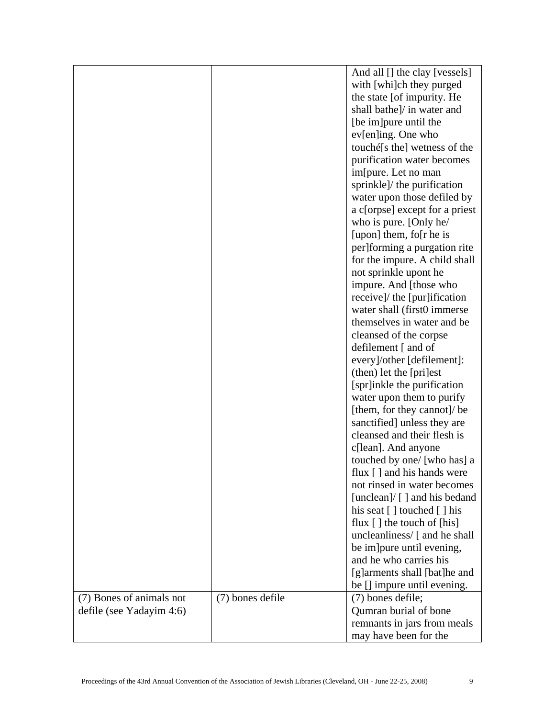|                          |                  | And all [] the clay [vessels]                                      |
|--------------------------|------------------|--------------------------------------------------------------------|
|                          |                  | with [whi]ch they purged                                           |
|                          |                  | the state [of impurity. He                                         |
|                          |                  | shall bathe]/ in water and                                         |
|                          |                  | [be im] pure until the                                             |
|                          |                  |                                                                    |
|                          |                  | ev[en]ing. One who                                                 |
|                          |                  | touché[s the] wetness of the                                       |
|                          |                  | purification water becomes                                         |
|                          |                  | im[pure. Let no man                                                |
|                          |                  | sprinkle]/ the purification                                        |
|                          |                  | water upon those defiled by                                        |
|                          |                  | a c[orpse] except for a priest                                     |
|                          |                  | who is pure. [Only he/                                             |
|                          |                  | [upon] them, fo[r he is                                            |
|                          |                  | per]forming a purgation rite                                       |
|                          |                  | for the impure. A child shall                                      |
|                          |                  | not sprinkle upont he                                              |
|                          |                  | impure. And [those who                                             |
|                          |                  | receive]/ the [pur]ification                                       |
|                          |                  | water shall (first0 immerse)                                       |
|                          |                  | themselves in water and be                                         |
|                          |                  | cleansed of the corpse                                             |
|                          |                  | defilement [ and of                                                |
|                          |                  | every]/other [defilement]:                                         |
|                          |                  | (then) let the [pri]est                                            |
|                          |                  | [spr]inkle the purification                                        |
|                          |                  | water upon them to purify                                          |
|                          |                  | [them, for they cannot]/ be                                        |
|                          |                  | sanctified] unless they are                                        |
|                          |                  | cleansed and their flesh is                                        |
|                          |                  | c[lean]. And anyone                                                |
|                          |                  | touched by one/ [who has] a                                        |
|                          |                  | flux [] and his hands were                                         |
|                          |                  | not rinsed in water becomes                                        |
|                          |                  | [unclean]/ $\lceil$ ] and his bedand                               |
|                          |                  | his seat $\lceil \cdot \rceil$ touched $\lceil \cdot \rceil$ his   |
|                          |                  | flux $\lceil \cdot \rceil$ the touch of $\lceil \text{his} \rceil$ |
|                          |                  | uncleanliness/ [ and he shall                                      |
|                          |                  | be im pure until evening,                                          |
|                          |                  | and he who carries his                                             |
|                          |                  | [g]arments shall [bat]he and                                       |
|                          |                  | be [] impure until evening.                                        |
| (7) Bones of animals not | (7) bones defile | (7) bones defile;                                                  |
| defile (see Yadayim 4:6) |                  | Qumran burial of bone                                              |
|                          |                  | remnants in jars from meals                                        |
|                          |                  | may have been for the                                              |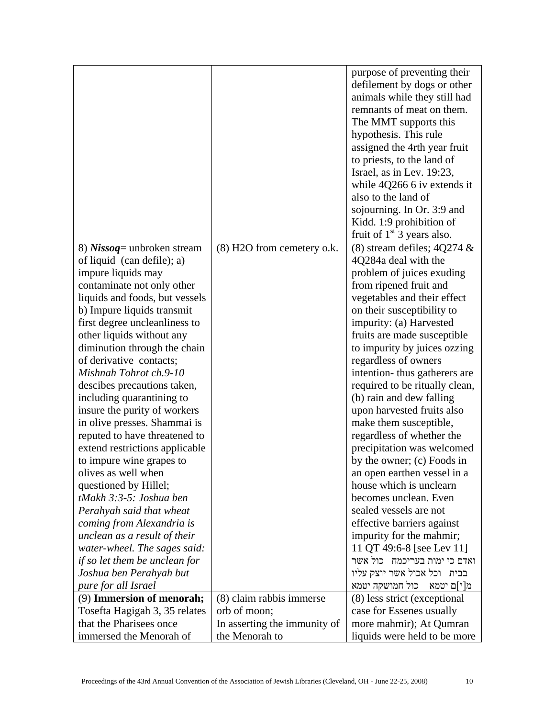|                                |                              | purpose of preventing their    |
|--------------------------------|------------------------------|--------------------------------|
|                                |                              | defilement by dogs or other    |
|                                |                              | animals while they still had   |
|                                |                              | remnants of meat on them.      |
|                                |                              | The MMT supports this          |
|                                |                              | hypothesis. This rule          |
|                                |                              | assigned the 4rth year fruit   |
|                                |                              | to priests, to the land of     |
|                                |                              | Israel, as in Lev. 19:23,      |
|                                |                              | while $4Q266$ 6 iv extends it  |
|                                |                              | also to the land of            |
|                                |                              | sojourning. In Or. 3:9 and     |
|                                |                              | Kidd. 1:9 prohibition of       |
|                                |                              | fruit of $1st$ 3 years also.   |
| 8) Nissoq = unbroken stream    | (8) H2O from cemetery o.k.   | (8) stream defiles; $4Q274 \&$ |
| of liquid (can defile); a)     |                              | 4Q284a deal with the           |
| impure liquids may             |                              | problem of juices exuding      |
| contaminate not only other     |                              | from ripened fruit and         |
| liquids and foods, but vessels |                              | vegetables and their effect    |
| b) Impure liquids transmit     |                              | on their susceptibility to     |
| first degree uncleanliness to  |                              | impurity: (a) Harvested        |
| other liquids without any      |                              | fruits are made susceptible    |
| diminution through the chain   |                              | to impurity by juices ozzing   |
| of derivative contacts;        |                              | regardless of owners           |
| Mishnah Tohrot ch.9-10         |                              | intention-thus gatherers are   |
| descibes precautions taken,    |                              | required to be ritually clean, |
| including quarantining to      |                              | (b) rain and dew falling       |
| insure the purity of workers   |                              | upon harvested fruits also     |
| in olive presses. Shammai is   |                              | make them susceptible,         |
| reputed to have threatened to  |                              | regardless of whether the      |
| extend restrictions applicable |                              | precipitation was welcomed     |
| to impure wine grapes to       |                              | by the owner; (c) Foods in     |
| olives as well when            |                              | an open earthen vessel in a    |
| questioned by Hillel;          |                              | house which is unclearn        |
| tMakh 3:3-5: Joshua ben        |                              | becomes unclean. Even          |
| Perahyah said that wheat       |                              | sealed vessels are not         |
| coming from Alexandria is      |                              | effective barriers against     |
| unclean as a result of their   |                              | impurity for the mahmir;       |
| water-wheel. The sages said:   |                              | 11 QT 49:6-8 [see Lev 11]      |
| if so let them be unclean for  |                              | ואדם כי ימות בעריכמח כול אשר   |
| Joshua ben Perahyah but        |                              | בבית וכל אכול אשר יוצק עליו    |
| pure for all Israel            |                              | מ[י]ם יטמא - כול חמושקה יטמא   |
| (9) Immersion of menorah;      | (8) claim rabbis immerse     | (8) less strict (exceptional   |
| Tosefta Hagigah 3, 35 relates  | orb of moon;                 | case for Essenes usually       |
| that the Pharisees once        | In asserting the immunity of | more mahmir); At Qumran        |
| immersed the Menorah of        | the Menorah to               | liquids were held to be more   |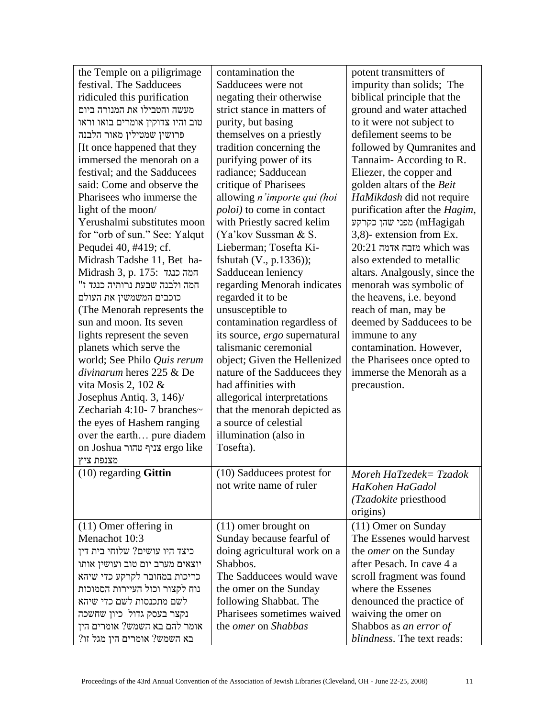| the Temple on a piligrimage      | contamination the                 | potent transmitters of        |
|----------------------------------|-----------------------------------|-------------------------------|
| festival. The Sadducees          | Sadducees were not                | impurity than solids; The     |
| ridiculed this purification      | negating their otherwise          | biblical principle that the   |
| מעשה והטבילו את המנורה ביום      | strict stance in matters of       | ground and water attached     |
| טוב והיו צדוקין אומרים בואו וראו | purity, but basing                | to it were not subject to     |
| פרושין שמטילין מאור הלבנה        | themselves on a priestly          | defilement seems to be        |
| It once happened that they       | tradition concerning the          | followed by Qumranites and    |
| immersed the menorah on a        | purifying power of its            | Tannaim-According to R.       |
| festival; and the Sadducees      | radiance; Sadducean               | Eliezer, the copper and       |
| said: Come and observe the       | critique of Pharisees             | golden altars of the Beit     |
| Pharisees who immerse the        | allowing n'importe qui (hoi       | HaMikdash did not require     |
| light of the moon/               | <i>poloi</i> ) to come in contact | purification after the Hagim, |
| Yerushalmi substitutes moon      | with Priestly sacred kelim        | mHagigah) מפני שהן כקרקע      |
| for "orb of sun." See: Yalqut    | (Ya'kov Sussman & S.              | 3,8)- extension from Ex.      |
| Pequdei 40, #419; cf.            | Lieberman; Tosefta Ki-            | $20:21$ מזבח אדמה which was   |
| Midrash Tadshe 11, Bet ha-       | fshutah (V., p.1336));            | also extended to metallic     |
| Midrash 3, p. 175: חמה כנגד      | Sadducean leniency                | altars. Analgously, since the |
| חמה ולבנה שבעת נרותיה כנגד ז"    | regarding Menorah indicates       | menorah was symbolic of       |
| כוכבים המשמשין את העולם          | regarded it to be                 | the heavens, i.e. beyond      |
| (The Menorah represents the      | unsusceptible to                  | reach of man, may be          |
| sun and moon. Its seven          | contamination regardless of       | deemed by Sadducees to be     |
| lights represent the seven       | its source, ergo supernatural     | immune to any                 |
| planets which serve the          | talismanic ceremonial             | contamination. However,       |
| world; See Philo Quis rerum      | object; Given the Hellenized      | the Pharisees once opted to   |
| divinarum heres 225 & De         | nature of the Sadducees they      | immerse the Menorah as a      |
| vita Mosis 2, 102 $\&$           | had affinities with               | precaustion.                  |
| Josephus Antiq. 3, 146)/         | allegorical interpretations       |                               |
| Zechariah 4:10-7 branches $\sim$ | that the menorah depicted as      |                               |
| the eyes of Hashem ranging       | a source of celestial             |                               |
| over the earth pure diadem       | illumination (also in             |                               |
| on Joshua צניף טהור ergo like    | Tosefta).                         |                               |
| מצנפת ציץ                        |                                   |                               |
| $(10)$ regarding Gittin          | (10) Sadducees protest for        | Moreh HaTzedek= Tzadok        |
|                                  | not write name of ruler           | HaKohen HaGadol               |
|                                  |                                   |                               |
|                                  |                                   | (Tzadokite priesthood         |
|                                  |                                   | origins)                      |
| $(11)$ Omer offering in          | $(11)$ omer brought on            | (11) Omer on Sunday           |
| Menachot 10:3                    | Sunday because fearful of         | The Essenes would harvest     |
| כיצד היו עושים? שלוחי בית דין    | doing agricultural work on a      | the <i>omer</i> on the Sunday |
| יוצאים מערב יום טוב ועושין אותו  | Shabbos.                          | after Pesach. In cave 4 a     |
| כריכות במחובר לקרקע כדי שיהא     | The Sadducees would wave          | scroll fragment was found     |
| נוח לקצור וכול העיירות הסמוכות   | the omer on the Sunday            | where the Essenes             |
| לשם מתכנסות לשם כדי שיהא         | following Shabbat. The            | denounced the practice of     |
| נקצר בעסק גדול כיון שחשכה        | Pharisees sometimes waived        | waiving the omer on           |
| אומר להם בא השמש? אומרים הין     | the <i>omer</i> on <i>Shabbas</i> | Shabbos as an error of        |
| בא השמש? אומרים הין מגל זו?      |                                   | blindness. The text reads:    |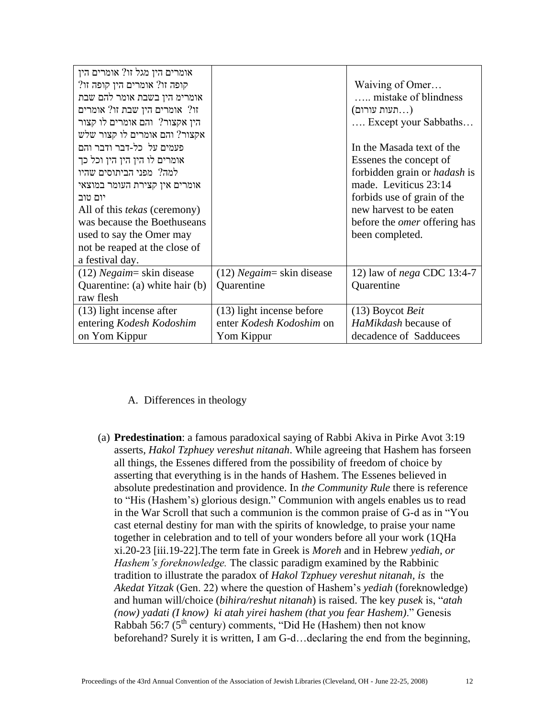| אומרים הין מגל זו? אומרים הין       |                              |                                     |
|-------------------------------------|------------------------------|-------------------------------------|
| קופה זו? אומרים הין קופה זו?        |                              | Waiving of Omer                     |
| אומרימ הין בשבת אומר להם שבת        |                              | mistake of blindness                |
| זו? אומרים הין שבת זו? אומרים       |                              | (תעות עורום                         |
| הין אקצור? והם אומרים לו קצור       |                              | Except your Sabbaths                |
| אקצור? והם אומרים לו קצור שלש       |                              |                                     |
| פעמים על כל-דבר ודבר והם            |                              | In the Masada text of the           |
| אומרים לו הין הין הין וכל כך        |                              | Essenes the concept of              |
| למה? מפני הביתוסים שהיו             |                              | forbidden grain or <i>hadash</i> is |
| אומרים אין קצירת העומר במוצאי       |                              | made. Leviticus 23:14               |
| יום טוב                             |                              | forbids use of grain of the         |
| All of this <i>tekas</i> (ceremony) |                              | new harvest to be eaten             |
| was because the Boethuseans         |                              | before the <i>omer</i> offering has |
| used to say the Omer may            |                              | been completed.                     |
| not be reaped at the close of       |                              |                                     |
| a festival day.                     |                              |                                     |
| $(12)$ <i>Negaim</i> = skin disease | $(12) Negaim = skin$ disease | 12) law of <i>nega</i> CDC 13:4-7   |
| Quarentine: (a) white hair (b)      | Quarentine                   | Quarentine                          |
| raw flesh                           |                              |                                     |
| (13) light incense after            | (13) light incense before    | $(13)$ Boycot <i>Beit</i>           |
| entering Kodesh Kodoshim            | enter Kodesh Kodoshim on     | HaMikdash because of                |
| on Yom Kippur                       | Yom Kippur                   | decadence of Sadducees              |

## A. Differences in theology

(a) **Predestination**: a famous paradoxical saying of Rabbi Akiva in Pirke Avot 3:19 asserts, *Hakol Tzphuey vereshut nitanah*. While agreeing that Hashem has forseen all things, the Essenes differed from the possibility of freedom of choice by asserting that everything is in the hands of Hashem. The Essenes believed in absolute predestination and providence. In *the Community Rule* there is reference to "His (Hashem's) glorious design." Communion with angels enables us to read in the War Scroll that such a communion is the common praise of G-d as in "You cast eternal destiny for man with the spirits of knowledge, to praise your name together in celebration and to tell of your wonders before all your work (1QHa xi.20-23 [iii.19-22].The term fate in Greek is *Moreh* and in Hebrew *yediah, or Hashem's foreknowledge.* The classic paradigm examined by the Rabbinic tradition to illustrate the paradox of *Hakol Tzphuey vereshut nitanah, is* the *Akedat Yitzak* (Gen. 22) where the question of Hashem's *yediah* (foreknowledge) and human will/choice (*bihira/reshut nitanah*) is raised. The key *pusek* is, "*atah (now) yadati (I know) ki atah yirei hashem (that you fear Hashem)*." Genesis Rabbah 56:7 ( $5<sup>th</sup>$  century) comments, "Did He (Hashem) then not know beforehand? Surely it is written, I am G-d…declaring the end from the beginning,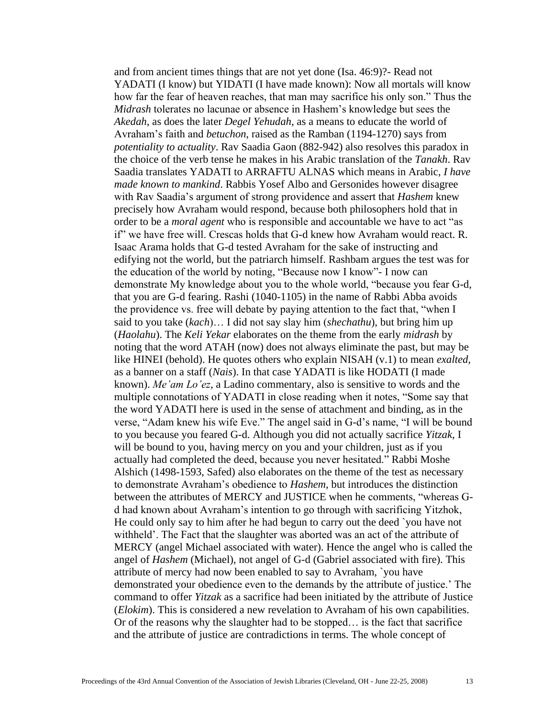and from ancient times things that are not yet done (Isa. 46:9)?- Read not YADATI (I know) but YIDATI (I have made known): Now all mortals will know how far the fear of heaven reaches, that man may sacrifice his only son." Thus the *Midrash* tolerates no lacunae or absence in Hashem's knowledge but sees the *Akedah*, as does the later *Degel Yehudah*, as a means to educate the world of Avraham's faith and *betuchon*, raised as the Ramban (1194-1270) says from *potentiality to actuality*. Rav Saadia Gaon (882-942) also resolves this paradox in the choice of the verb tense he makes in his Arabic translation of the *Tanakh*. Rav Saadia translates YADATI to ARRAFTU ALNAS which means in Arabic, *I have made known to mankind*. Rabbis Yosef Albo and Gersonides however disagree with Rav Saadia's argument of strong providence and assert that *Hashem* knew precisely how Avraham would respond, because both philosophers hold that in order to be a *moral agent* who is responsible and accountable we have to act "as if" we have free will. Crescas holds that G-d knew how Avraham would react. R. Isaac Arama holds that G-d tested Avraham for the sake of instructing and edifying not the world, but the patriarch himself. Rashbam argues the test was for the education of the world by noting, "Because now I know"- I now can demonstrate My knowledge about you to the whole world, "because you fear G-d, that you are G-d fearing. Rashi (1040-1105) in the name of Rabbi Abba avoids the providence vs. free will debate by paying attention to the fact that, "when I said to you take (*kach*)… I did not say slay him (*shechathu*), but bring him up (*Haolahu*). The *Keli Yekar* elaborates on the theme from the early *midrash* by noting that the word ATAH (now) does not always eliminate the past, but may be like HINEI (behold). He quotes others who explain NISAH (v.1) to mean *exalted*, as a banner on a staff (*Nais*). In that case YADATI is like HODATI (I made known). *Me'am Lo'ez*, a Ladino commentary, also is sensitive to words and the multiple connotations of YADATI in close reading when it notes, "Some say that the word YADATI here is used in the sense of attachment and binding, as in the verse, "Adam knew his wife Eve." The angel said in G-d's name, "I will be bound to you because you feared G-d. Although you did not actually sacrifice *Yitzak*, I will be bound to you, having mercy on you and your children, just as if you actually had completed the deed, because you never hesitated." Rabbi Moshe Alshich (1498-1593, Safed) also elaborates on the theme of the test as necessary to demonstrate Avraham's obedience to *Hashem*, but introduces the distinction between the attributes of MERCY and JUSTICE when he comments, "whereas Gd had known about Avraham's intention to go through with sacrificing Yitzhok, He could only say to him after he had begun to carry out the deed `you have not withheld'. The Fact that the slaughter was aborted was an act of the attribute of MERCY (angel Michael associated with water). Hence the angel who is called the angel of *Hashem* (Michael), not angel of G-d (Gabriel associated with fire). This attribute of mercy had now been enabled to say to Avraham, `you have demonstrated your obedience even to the demands by the attribute of justice.' The command to offer *Yitzak* as a sacrifice had been initiated by the attribute of Justice (*Elokim*). This is considered a new revelation to Avraham of his own capabilities. Or of the reasons why the slaughter had to be stopped… is the fact that sacrifice and the attribute of justice are contradictions in terms. The whole concept of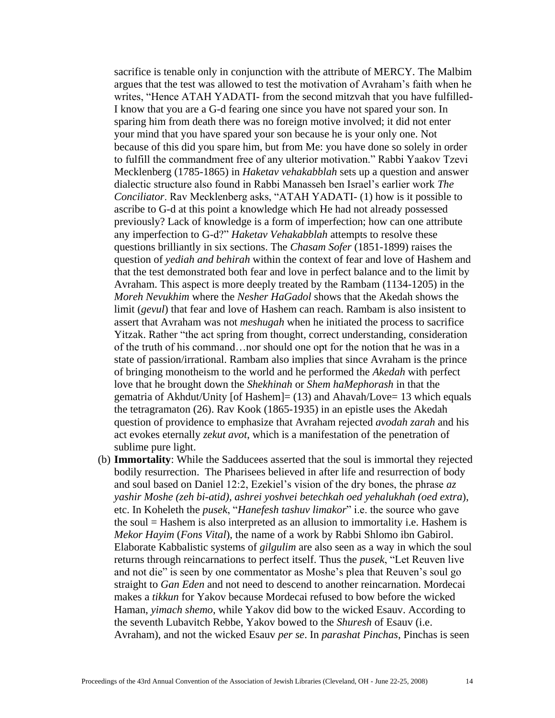sacrifice is tenable only in conjunction with the attribute of MERCY. The Malbim argues that the test was allowed to test the motivation of Avraham's faith when he writes, "Hence ATAH YADATI- from the second mitzvah that you have fulfilled-I know that you are a G-d fearing one since you have not spared your son. In sparing him from death there was no foreign motive involved; it did not enter your mind that you have spared your son because he is your only one. Not because of this did you spare him, but from Me: you have done so solely in order to fulfill the commandment free of any ulterior motivation." Rabbi Yaakov Tzevi Mecklenberg (1785-1865) in *Haketav vehakabblah* sets up a question and answer dialectic structure also found in Rabbi Manasseh ben Israel's earlier work *The Conciliator*. Rav Mecklenberg asks, "ATAH YADATI- (1) how is it possible to ascribe to G-d at this point a knowledge which He had not already possessed previously? Lack of knowledge is a form of imperfection; how can one attribute any imperfection to G-d?" *Haketav Vehakabblah* attempts to resolve these questions brilliantly in six sections. The *Chasam Sofer* (1851-1899) raises the question of *yediah and behirah* within the context of fear and love of Hashem and that the test demonstrated both fear and love in perfect balance and to the limit by Avraham. This aspect is more deeply treated by the Rambam (1134-1205) in the *Moreh Nevukhim* where the *Nesher HaGadol* shows that the Akedah shows the limit (*gevul*) that fear and love of Hashem can reach. Rambam is also insistent to assert that Avraham was not *meshugah* when he initiated the process to sacrifice Yitzak. Rather "the act spring from thought, correct understanding, consideration of the truth of his command…nor should one opt for the notion that he was in a state of passion/irrational. Rambam also implies that since Avraham is the prince of bringing monotheism to the world and he performed the *Akedah* with perfect love that he brought down the *Shekhinah* or *Shem haMephorash* in that the gematria of Akhdut/Unity [of Hashem]= (13) and Ahavah/Love= 13 which equals the tetragramaton (26). Rav Kook (1865-1935) in an epistle uses the Akedah question of providence to emphasize that Avraham rejected *avodah zarah* and his act evokes eternally *zekut avot*, which is a manifestation of the penetration of sublime pure light.

(b) **Immortality**: While the Sadducees asserted that the soul is immortal they rejected bodily resurrection. The Pharisees believed in after life and resurrection of body and soul based on Daniel 12:2, Ezekiel's vision of the dry bones, the phrase *az yashir Moshe (zeh bi-atid), ashrei yoshvei betechkah oed yehalukhah (oed extra*), etc. In Koheleth the *pusek*, "*Hanefesh tashuv limakor*" i.e. the source who gave the soul = Hashem is also interpreted as an allusion to immortality i.e. Hashem is *Mekor Hayim* (*Fons Vital*), the name of a work by Rabbi Shlomo ibn Gabirol. Elaborate Kabbalistic systems of *gilgulim* are also seen as a way in which the soul returns through reincarnations to perfect itself. Thus the *pusek*, "Let Reuven live and not die" is seen by one commentator as Moshe's plea that Reuven's soul go straight to *Gan Eden* and not need to descend to another reincarnation. Mordecai makes a *tikkun* for Yakov because Mordecai refused to bow before the wicked Haman, *yimach shemo*, while Yakov did bow to the wicked Esauv. According to the seventh Lubavitch Rebbe, Yakov bowed to the *Shuresh* of Esauv (i.e. Avraham), and not the wicked Esauv *per se*. In *parashat Pinchas*, Pinchas is seen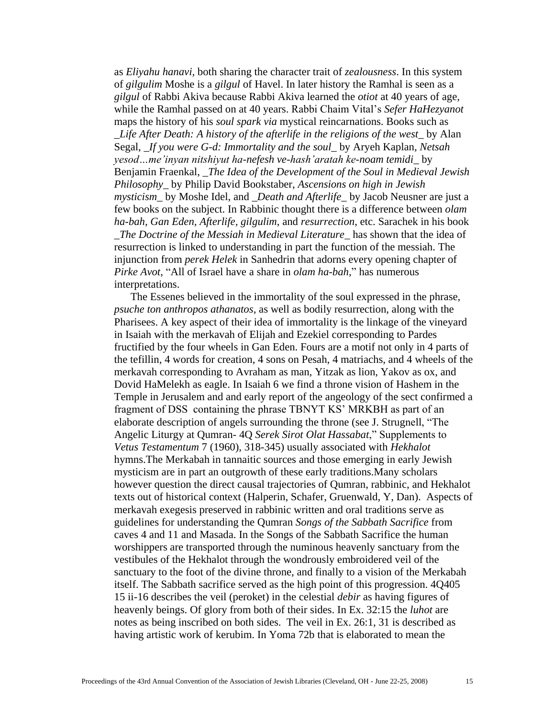as *Eliyahu hanavi,* both sharing the character trait of *zealousness*. In this system of *gilgulim* Moshe is a *gilgul* of Havel. In later history the Ramhal is seen as a *gilgul* of Rabbi Akiva because Rabbi Akiva learned the *otiot* at 40 years of age, while the Ramhal passed on at 40 years. Rabbi Chaim Vital's *Sefer HaHezyanot* maps the history of his *soul spark via* mystical reincarnations. Books such as \_*Life After Death: A history of the afterlife in the religions of the west*\_ by Alan Segal, \_*If you were G-d: Immortality and the soul*\_ by Aryeh Kaplan, *Netsah yesod…me'inyan nitshiyut ha-nefesh ve-hash'aratah ke-noam temidi*\_ by Benjamin Fraenkal, \_*The Idea of the Development of the Soul in Medieval Jewish Philosophy*\_ by Philip David Bookstaber, *Ascensions on high in Jewish mysticism*\_ by Moshe Idel, and \_*Death and Afterlife*\_ by Jacob Neusner are just a few books on the subject. In Rabbinic thought there is a difference between *olam ha-bah, Gan Eden, Afterlife, gilgulim*, and *resurrection*, etc. Sarachek in his book \_*The Doctrine of the Messiah in Medieval Literature*\_ has shown that the idea of resurrection is linked to understanding in part the function of the messiah. The injunction from *perek Helek* in Sanhedrin that adorns every opening chapter of *Pirke Avot*, "All of Israel have a share in *olam ha-bah*," has numerous interpretations.

The Essenes believed in the immortality of the soul expressed in the phrase, *psuche ton anthropos athanatos*, as well as bodily resurrection, along with the Pharisees. A key aspect of their idea of immortality is the linkage of the vineyard in Isaiah with the merkavah of Elijah and Ezekiel corresponding to Pardes fructified by the four wheels in Gan Eden. Fours are a motif not only in 4 parts of the tefillin, 4 words for creation, 4 sons on Pesah, 4 matriachs, and 4 wheels of the merkavah corresponding to Avraham as man, Yitzak as lion, Yakov as ox, and Dovid HaMelekh as eagle. In Isaiah 6 we find a throne vision of Hashem in the Temple in Jerusalem and and early report of the angeology of the sect confirmed a fragment of DSS containing the phrase TBNYT KS' MRKBH as part of an elaborate description of angels surrounding the throne (see J. Strugnell, "The Angelic Liturgy at Qumran- 4Q *Serek Sirot Olat Hassabat*," Supplements to *Vetus Testamentum* 7 (1960), 318-345) usually associated with *Hekhalot* hymns.The Merkabah in tannaitic sources and those emerging in early Jewish mysticism are in part an outgrowth of these early traditions.Many scholars however question the direct causal trajectories of Qumran, rabbinic, and Hekhalot texts out of historical context (Halperin, Schafer, Gruenwald, Y, Dan). Aspects of merkavah exegesis preserved in rabbinic written and oral traditions serve as guidelines for understanding the Qumran *Songs of the Sabbath Sacrifice* from caves 4 and 11 and Masada. In the Songs of the Sabbath Sacrifice the human worshippers are transported through the numinous heavenly sanctuary from the vestibules of the Hekhalot through the wondrously embroidered veil of the sanctuary to the foot of the divine throne, and finally to a vision of the Merkabah itself. The Sabbath sacrifice served as the high point of this progression. 4Q405 15 ii-16 describes the veil (peroket) in the celestial *debir* as having figures of heavenly beings. Of glory from both of their sides. In Ex. 32:15 the *luhot* are notes as being inscribed on both sides. The veil in Ex. 26:1, 31 is described as having artistic work of kerubim. In Yoma 72b that is elaborated to mean the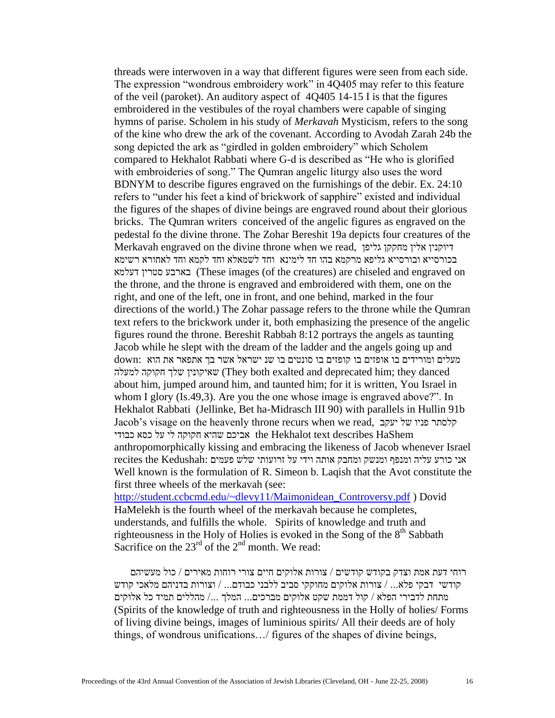threads were interwoven in a way that different figures were seen from each side. The expression "wondrous embroidery work" in 4Q405 may refer to this feature of the veil (paroket). An auditory aspect of 4Q405 14-15 I is that the figures embroidered in the vestibules of the royal chambers were capable of singing hymns of parise. Scholem in his study of *Merkavah* Mysticism, refers to the song of the kine who drew the ark of the covenant. According to Avodah Zarah 24b the song depicted the ark as "girdled in golden embroidery" which Scholem compared to Hekhalot Rabbati where G-d is described as "He who is glorified with embroideries of song." The Qumran angelic liturgy also uses the word BDNYM to describe figures engraved on the furnishings of the debir. Ex. 24:10 refers to "under his feet a kind of brickwork of sapphire" existed and individual the figures of the shapes of divine beings are engraved round about their glorious bricks. The Qumran writers conceived of the angelic figures as engraved on the pedestal fo the divine throne. The Zohar Bereshit 19a depicts four creatures of the Merkavah engraved on the divine throne when we read, גליפן מחקקן אלין דיוקנין בכורסייא ובורסייא גליפא מרקמא בהו חד לימינא וחד לשמאלא וחד לקמא וחד לאחורא רשימא דעלמא סטרין בארבע) These images (of the creatures) are chiseled and engraved on the throne, and the throne is engraved and embroidered with them, one on the right, and one of the left, one in front, and one behind, marked in the four directions of the world.) The Zohar passage refers to the throne while the Qumran text refers to the brickwork under it, both emphasizing the presence of the angelic figures round the throne. Bereshit Rabbah 8:12 portrays the angels as taunting Jacob while he slept with the dream of the ladder and the angels going up and מעלים ומורידים בו אופזים בו קופזים בו סונטים בו שנ ישראל אשר בך אתפאר את הוא :down למעלה חקוקה שלך שאיקונין) They both exalted and deprecated him; they danced about him, jumped around him, and taunted him; for it is written, You Israel in whom I glory (Is.49,3). Are you the one whose image is engraved above?". In Hekhalot Rabbati (Jellinke, Bet ha-Midrasch III 90) with parallels in Hullin 91b Jacob's visage on the heavenly throne recurs when we read, יעקב של פניו קלסתר the Hekhalot text describes HaShem אביכם שהיא חקוקה לי על כסא כבודי anthropomorphically kissing and embracing the likeness of Jacob whenever Israel אני כורע עליה ומנפף ומנשק ומחבק אותה וידי על זרועותי שלש פעמים :Kedushah the recites Well known is the formulation of R. Simeon b. Laqish that the Avot constitute the first three wheels of the merkavah (see: [http://student.ccbcmd.edu/~dlevy11/Maimonidean\\_Controversy.pdf](http://student.ccbcmd.edu/~dlevy11/Maimonidean_Controversy.pdf) ) Dovid

HaMelekh is the fourth wheel of the merkavah because he completes, understands, and fulfills the whole. Spirits of knowledge and truth and righteousness in the Holy of Holies is evoked in the Song of the  $8<sup>th</sup>$  Sabbath Sacrifice on the  $23<sup>rd</sup>$  of the  $2<sup>nd</sup>$  month. We read:

רוחי דעת אמת וצדק בקודש קודשים / צורות אלוקים חיים צורי רוחות מאירים / כול מעשיהם קודשי דבקי פלא... / צורות אלוקים מחוקקי סביב ללבני כבודם... / וצורות בדניהם מלאכי קודש מתחת לדבירי הפלא / קול דממת שקט אלוקים מברכים... המלך /... מהללים תמיד כל אלוקים (Spirits of the knowledge of truth and righteousness in the Holly of holies/ Forms of living divine beings, images of luminious spirits/ All their deeds are of holy things, of wondrous unifications…/ figures of the shapes of divine beings,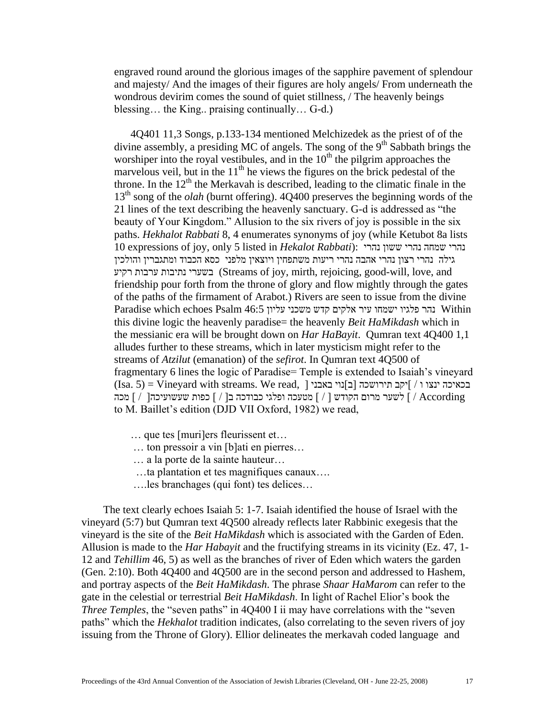engraved round around the glorious images of the sapphire pavement of splendour and majesty/ And the images of their figures are holy angels/ From underneath the wondrous devirim comes the sound of quiet stillness, / The heavenly beings blessing… the King.. praising continually… G-d.)

4Q401 11,3 Songs, p.133-134 mentioned Melchizedek as the priest of of the divine assembly, a presiding MC of angels. The song of the  $9<sup>th</sup>$  Sabbath brings the worshiper into the royal vestibules, and in the  $10<sup>th</sup>$  the pilgrim approaches the marvelous veil, but in the  $11<sup>th</sup>$  he views the figures on the brick pedestal of the throne. In the  $12<sup>th</sup>$  the Merkavah is described, leading to the climatic finale in the 13<sup>th</sup> song of the *olah* (burnt offering). 4Q400 preserves the beginning words of the 21 lines of the text describing the heavenly sanctuary. G-d is addressed as "the beauty of Your Kingdom." Allusion to the six rivers of joy is possible in the six paths. *Hekhalot Rabbati* 8, 4 enumerates synonyms of joy (while Ketubot 8a lists 10 expressions of joy, only 5 listed in *Hekalot Rabbati*): נהרי ששון נהרי שמחה נהרי גילה נהרי רצון נהרי אהבה נהרי ריעות משתפחין ויוצאין מלפני כסא הכבוד ומתגברין והולכין רקיע ערבות נתיבות בשערי) Streams of joy, mirth, rejoicing, good-will, love, and friendship pour forth from the throne of glory and flow mightly through the gates of the paths of the firmament of Arabot.) Rivers are seen to issue from the divine Paradise which echoes Psalm 46:5 נהר פלגיו ישמחו עיר אלקים קדש משכני עליון  $\text{Within}$ this divine logic the heavenly paradise= the heavenly *Beit HaMikdash* which in the messianic era will be brought down on *Har HaBayit*. Qumran text 4Q400 1,1 alludes further to these streams, which in later mysticism might refer to the streams of *Atzilut* (emanation) of the *sefirot*. In Qumran text 4Q500 of fragmentary 6 lines the logic of Paradise= Temple is extended to Isaiah's vineyard  $(Isa. 5)$  = Vineyard with streams. We read,  $|$ בכאיכה ינצו ו  $|$ וֹקב תירושכה  $|$ בווי באבני  $|$  According / ] לשער מרום הקודש ] / [ מטעכה ופלגי כבודכה ב] / [ כפות שעשועיכה] / [ מכה to M. Baillet's edition (DJD VII Oxford, 1982) we read,

- … que tes [muri]ers fleurissent et…
- … ton pressoir a vin [b]ati en pierres…
- … a la porte de la sainte hauteur…
- …ta plantation et tes magnifiques canaux….
- ….les branchages (qui font) tes delices…

 The text clearly echoes Isaiah 5: 1-7. Isaiah identified the house of Israel with the vineyard (5:7) but Qumran text 4Q500 already reflects later Rabbinic exegesis that the vineyard is the site of the *Beit HaMikdash* which is associated with the Garden of Eden. Allusion is made to the *Har Habayit* and the fructifying streams in its vicinity (Ez. 47, 1- 12 and *Tehillim* 46, 5) as well as the branches of river of Eden which waters the garden (Gen. 2:10). Both 4Q400 and 4Q500 are in the second person and addressed to Hashem, and portray aspects of the *Beit HaMikdash*. The phrase *Shaar HaMarom* can refer to the gate in the celestial or terrestrial *Beit HaMikdash*. In light of Rachel Elior's book the *Three Temples*, the "seven paths" in 4Q400 I ii may have correlations with the "seven" paths" which the *Hekhalot* tradition indicates, (also correlating to the seven rivers of joy issuing from the Throne of Glory). Ellior delineates the merkavah coded language and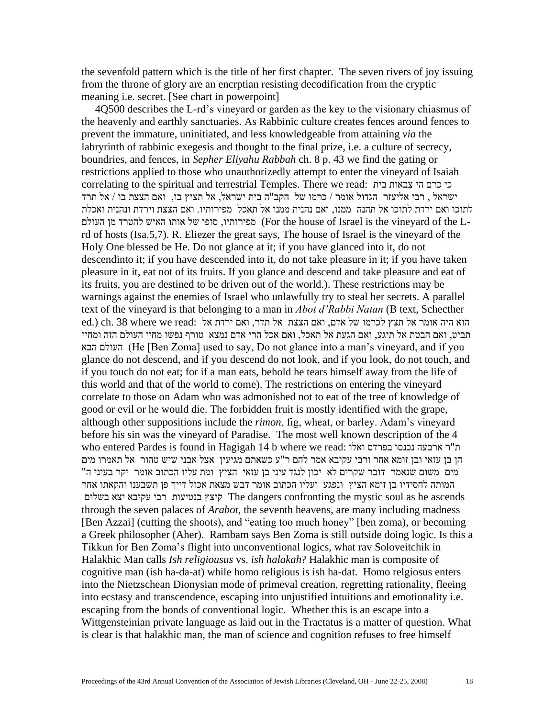the sevenfold pattern which is the title of her first chapter. The seven rivers of joy issuing from the throne of glory are an encrptian resisting decodification from the cryptic meaning i.e. secret. [See chart in powerpoint]

 4Q500 describes the L-rd's vineyard or garden as the key to the visionary chiasmus of the heavenly and earthly sanctuaries. As Rabbinic culture creates fences around fences to prevent the immature, uninitiated, and less knowledgeable from attaining *via* the labryrinth of rabbinic exegesis and thought to the final prize, i.e. a culture of secrecy, boundries, and fences, in *Sepher Eliyahu Rabbah* ch. 8 p. 43 we find the gating or restrictions applied to those who unauthorizedly attempt to enter the vineyard of Isaiah correlating to the spiritual and terrestrial Temples. There we read: כי כרם הי צבאות בית ישראל , רבי אליעזר הגדול אומר / כרמו של הקב"ה בית ישראל, אל תציץ בו, ואם הצצת בו / אל תרד לתוכו ואם ירדת לתוכו אל תהנה ממנו, ואם נהנית ממנו אל תאכל מפירותיו. ואם הצצת וירדת ונהנית ואכלת הפירותיו, סופו של אותו האיש להטרד מן העולם (For the house of Israel is the vineyard of the Lrd of hosts (Isa.5,7). R. Eliezer the great says, The house of Israel is the vineyard of the Holy One blessed be He. Do not glance at it; if you have glanced into it, do not descendinto it; if you have descended into it, do not take pleasure in it; if you have taken pleasure in it, eat not of its fruits. If you glance and descend and take pleasure and eat of its fruits, you are destined to be driven out of the world.). These restrictions may be warnings against the enemies of Israel who unlawfully try to steal her secrets. A parallel text of the vineyard is that belonging to a man in *Abot d'Rabbi Natan* (B text, Schecther ed.) ch. 38 where we read: הוא היה אומר אל תצץ לכרמו של אדם, ואם הצצת אל תדר, ואם ירדת אל  $r$ תביט, ואם הבטת אל תיגע, ואם הגעת אל תאכל, ואם אכל הרי אדם נמצא טורף נפשו מחיי העולם הזה ומחיי הבא העולם) He [Ben Zoma] used to say, Do not glance into a man's vineyard, and if you glance do not descend, and if you descend do not look, and if you look, do not touch, and if you touch do not eat; for if a man eats, behold he tears himself away from the life of this world and that of the world to come). The restrictions on entering the vineyard correlate to those on Adam who was admonished not to eat of the tree of knowledge of good or evil or he would die. The forbidden fruit is mostly identified with the grape, although other suppositions include the *rimon*, fig, wheat, or barley. Adam's vineyard before his sin was the vineyard of Paradise. The most well known description of the 4 who entered Pardes is found in Hagigah 14 b where we read: ואלו בפרדס נכנסו ארבעה ר"ת הן בן עזאי ובן זומא אחר ורבי עקיבא אמר להם ר"ע כשאתם מגיעין אצל אבני שיש טהור אל תאמרו מים מים משום שנאמר דובר שקרים לא יכון לנגד עיני בן עזאי הציץ ומת עליו הכתוב אומר יקר בעיני ה" המותה לחסידיו בן זומא הציץ ונפגע ועליו הכתוב אומר דבש מצאת אכול דייך פן תשבענו והקאתו אחר בשלום יצא עקיבא רבי בנטיעות קיצץ The dangers confronting the mystic soul as he ascends through the seven palaces of *Arabot*, the seventh heavens, are many including madness [Ben Azzai] (cutting the shoots), and "eating too much honey" [ben zoma), or becoming a Greek philosopher (Aher). Rambam says Ben Zoma is still outside doing logic. Is this a Tikkun for Ben Zoma's flight into unconventional logics, what rav Soloveitchik in Halakhic Man calls *Ish religiousus* vs. *ish halakah*? Halakhic man is composite of cognitive man (ish ha-da-at) while homo religious is ish ha-dat. Homo relgiosus enters into the Nietzschean Dionysian mode of primeval creation, regretting rationality, fleeing into ecstasy and transcendence, escaping into unjustified intuitions and emotionality i.e. escaping from the bonds of conventional logic. Whether this is an escape into a Wittgensteinian private language as laid out in the Tractatus is a matter of question. What is clear is that halakhic man, the man of science and cognition refuses to free himself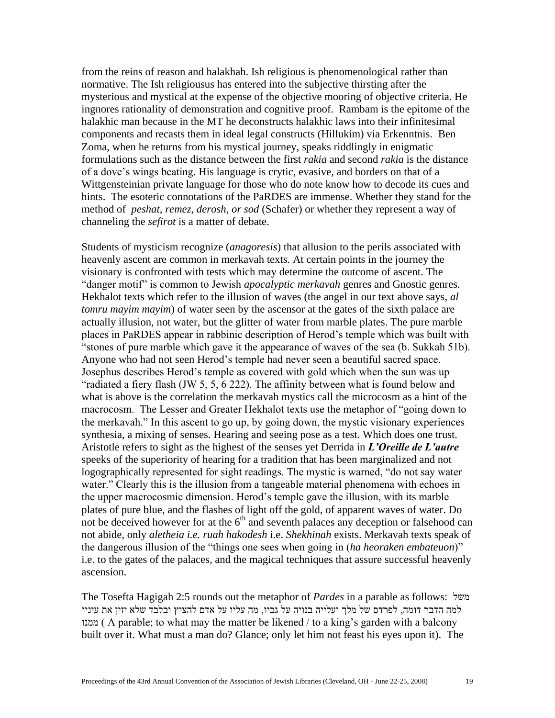from the reins of reason and halakhah. Ish religious is phenomenological rather than normative. The Ish religiousus has entered into the subjective thirsting after the mysterious and mystical at the expense of the objective mooring of objective criteria. He ingnores rationality of demonstration and cognitive proof. Rambam is the epitome of the halakhic man because in the MT he deconstructs halakhic laws into their infinitesimal components and recasts them in ideal legal constructs (Hillukim) via Erkenntnis. Ben Zoma, when he returns from his mystical journey, speaks riddlingly in enigmatic formulations such as the distance between the first *rakia* and second *rakia* is the distance of a dove's wings beating. His language is crytic, evasive, and borders on that of a Wittgensteinian private language for those who do note know how to decode its cues and hints. The esoteric connotations of the PaRDES are immense. Whether they stand for the method of *peshat, remez, derosh, or sod* (Schafer) or whether they represent a way of channeling the *sefirot* is a matter of debate.

Students of mysticism recognize (*anagoresis*) that allusion to the perils associated with heavenly ascent are common in merkavah texts. At certain points in the journey the visionary is confronted with tests which may determine the outcome of ascent. The "danger motif" is common to Jewish *apocalyptic merkavah* genres and Gnostic genres. Hekhalot texts which refer to the illusion of waves (the angel in our text above says, *al tomru mayim mayim*) of water seen by the ascensor at the gates of the sixth palace are actually illusion, not water, but the glitter of water from marble plates. The pure marble places in PaRDES appear in rabbinic description of Herod's temple which was built with "stones of pure marble which gave it the appearance of waves of the sea (b. Sukkah 51b). Anyone who had not seen Herod's temple had never seen a beautiful sacred space. Josephus describes Herod's temple as covered with gold which when the sun was up "radiated a fiery flash (JW 5, 5, 6 222). The affinity between what is found below and what is above is the correlation the merkavah mystics call the microcosm as a hint of the macrocosm. The Lesser and Greater Hekhalot texts use the metaphor of "going down to the merkavah." In this ascent to go up, by going down, the mystic visionary experiences synthesia, a mixing of senses. Hearing and seeing pose as a test. Which does one trust. Aristotle refers to sight as the highest of the senses yet Derrida in *L'Oreille de L'autre* speeks of the superiority of hearing for a tradition that has been marginalized and not logographically represented for sight readings. The mystic is warned, "do not say water water." Clearly this is the illusion from a tangeable material phenomena with echoes in the upper macrocosmic dimension. Herod's temple gave the illusion, with its marble plates of pure blue, and the flashes of light off the gold, of apparent waves of water. Do not be deceived however for at the  $6<sup>th</sup>$  and seventh palaces any deception or falsehood can not abide, only *aletheia i.e. ruah hakodesh* i.e. *Shekhinah* exists. Merkavah texts speak of the dangerous illusion of the "things one sees when going in (*ha heoraken embateuon*)" i.e. to the gates of the palaces, and the magical techniques that assure successful heavenly ascension.

The Tosefta Hagigah 2:5 rounds out the metaphor of *Pardes* in a parable as follows: משל למה הדבר דומה, לפרדס של מלך ועלייה בנויה על גביו, מה עליו על אדם להציץ ובלבד שלא יזין את עיניו ממנו ) A parable; to what may the matter be likened / to a king's garden with a balcony built over it. What must a man do? Glance; only let him not feast his eyes upon it). The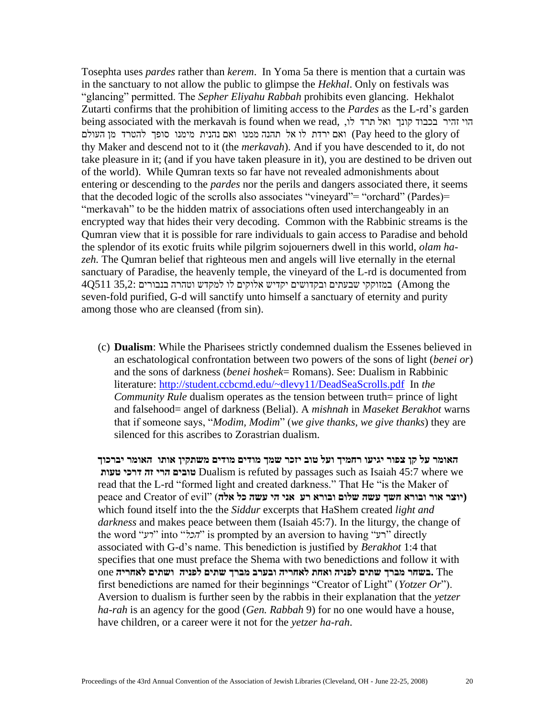Tosephta uses *pardes* rather than *kerem*. In Yoma 5a there is mention that a curtain was in the sanctuary to not allow the public to glimpse the *Hekhal*. Only on festivals was "glancing" permitted. The *Sepher Eliyahu Rabbah* prohibits even glancing. Hekhalot Zutarti confirms that the prohibition of limiting access to the *Pardes* as the L-rd's garden being associated with the merkavah is found when we read, ,לו תרד ואל קונך בכבוד זהיר הוי ואם ירדת לו אל תהנה ממנו ואם נהנית מימנו סופך להטרד מן העולם (Pay heed to the glory of thy Maker and descend not to it (the *merkavah*). And if you have descended to it, do not take pleasure in it; (and if you have taken pleasure in it), you are destined to be driven out of the world). While Qumran texts so far have not revealed admonishments about entering or descending to the *pardes* nor the perils and dangers associated there, it seems that the decoded logic of the scrolls also associates "vineyard"= "orchard" (Pardes)= "merkavah" to be the hidden matrix of associations often used interchangeably in an encrypted way that hides their very decoding. Common with the Rabbinic streams is the Qumran view that it is possible for rare individuals to gain access to Paradise and behold the splendor of its exotic fruits while pilgrim sojouerners dwell in this world, *olam hazeh.* The Qumran belief that righteous men and angels will live eternally in the eternal sanctuary of Paradise, the heavenly temple, the vineyard of the L-rd is documented from the Among (במזוקקי שבעתים ובקדושים יקדיש אלוקים לו למקדש וטהרה בנבורים 35,2: 511Q4 seven-fold purified, G-d will sanctify unto himself a sanctuary of eternity and purity among those who are cleansed (from sin).

(c) **Dualism**: While the Pharisees strictly condemned dualism the Essenes believed in an eschatological confrontation between two powers of the sons of light (*benei or*) and the sons of darkness (*benei hoshek*= Romans). See: Dualism in Rabbinic literature:<http://student.ccbcmd.edu/~dlevy11/DeadSeaScrolls.pdf>In *the Community Rule* dualism operates as the tension between truth= prince of light and falsehood= angel of darkness (Belial). A *mishnah* in *Maseket Berakhot* warns that if someone says, "*Modim, Modim*" (*we give thanks, we give thanks*) they are silenced for this ascribes to Zorastrian dualism.

**האומר על קן צפור יגיעו רחמיך ועל טוב יזכר שמך מודים מודים משתקין אותו האומר יברכוך טעות דרכי זה הרי טובים** Dualism is refuted by passages such as Isaiah 45:7 where we read that the L-rd "formed light and created darkness." That He "is the Maker of (יוצר אור ובורא חשך עשה שלום ובורא רע אני הי עשה כל אלה) וEpeace and Creator of evil" ( which found itself into the the *Siddur* excerpts that HaShem created *light and darkness* and makes peace between them (Isaiah 45:7). In the liturgy, the change of the word "*יהכל*" is prompted by an aversion to having "רע" directly" associated with G-d's name. This benediction is justified by *Berakhot* 1:4 that specifies that one must preface the Shema with two benedictions and follow it with The **.בשחר מברך שתים לפניה ואחת לאחריה ובערב מברך שתים לפניה ושתים לאחריה** one first benedictions are named for their beginnings "Creator of Light" (*Yotzer Or*"). Aversion to dualism is further seen by the rabbis in their explanation that the *yetzer ha-rah* is an agency for the good (*Gen. Rabbah* 9) for no one would have a house, have children, or a career were it not for the *yetzer ha-rah*.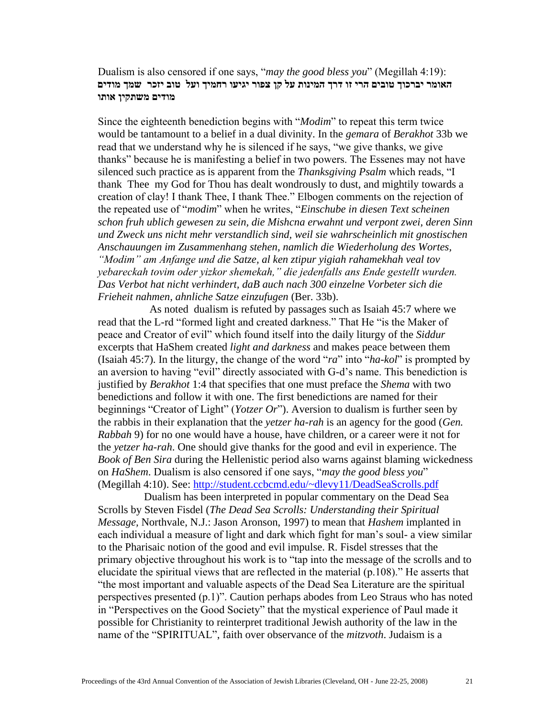Dualism is also censored if one says, "*may the good bless you*" (Megillah 4:19): **האומר יברכוך טובים הרי זו דרך המינות על קן צפור יגיעו רחמיך ועל טוב יזכר שמך מודים מודים משתקין אותו**

Since the eighteenth benediction begins with "*Modim*" to repeat this term twice would be tantamount to a belief in a dual divinity. In the *gemara* of *Berakhot* 33b we read that we understand why he is silenced if he says, "we give thanks, we give thanks" because he is manifesting a belief in two powers. The Essenes may not have silenced such practice as is apparent from the *Thanksgiving Psalm* which reads, "I thank Thee my God for Thou has dealt wondrously to dust, and mightily towards a creation of clay! I thank Thee, I thank Thee." Elbogen comments on the rejection of the repeated use of "*modim*" when he writes, "*Einschube in diesen Text scheinen schon fruh ublich gewesen zu sein, die Mishcna erwahnt und verpont zwei, deren Sinn und Zweck uns nicht mehr verstandlich sind, weil sie wahrscheinlich mit gnostischen Anschauungen im Zusammenhang stehen, namlich die Wiederholung des Wortes, "Modim" am Anfange und die Satze, al ken ztipur yigiah rahamekhah veal tov yebareckah tovim oder yizkor shemekah," die jedenfalls ans Ende gestellt wurden. Das Verbot hat nicht verhindert, daB auch nach 300 einzelne Vorbeter sich die Frieheit nahmen, ahnliche Satze einzufugen* (Ber. 33b).

As noted dualism is refuted by passages such as Isaiah 45:7 where we read that the L-rd "formed light and created darkness." That He "is the Maker of peace and Creator of evil" which found itself into the daily liturgy of the *Siddur* excerpts that HaShem created *light and darkness* and makes peace between them (Isaiah 45:7). In the liturgy, the change of the word "*ra*" into "*ha-kol*" is prompted by an aversion to having "evil" directly associated with G-d's name. This benediction is justified by *Berakhot* 1:4 that specifies that one must preface the *Shema* with two benedictions and follow it with one. The first benedictions are named for their beginnings "Creator of Light" (*Yotzer Or*"). Aversion to dualism is further seen by the rabbis in their explanation that the *yetzer ha-rah* is an agency for the good (*Gen. Rabbah* 9) for no one would have a house, have children, or a career were it not for the *yetzer ha-rah*. One should give thanks for the good and evil in experience. The *Book of Ben Sira* during the Hellenistic period also warns against blaming wickedness on *HaShem*. Dualism is also censored if one says, "*may the good bless you*" (Megillah 4:10). See:<http://student.ccbcmd.edu/~dlevy11/DeadSeaScrolls.pdf>

Dualism has been interpreted in popular commentary on the Dead Sea Scrolls by Steven Fisdel (*The Dead Sea Scrolls: Understanding their Spiritual Message,* Northvale, N.J.: Jason Aronson, 1997) to mean that *Hashem* implanted in each individual a measure of light and dark which fight for man's soul- a view similar to the Pharisaic notion of the good and evil impulse. R. Fisdel stresses that the primary objective throughout his work is to "tap into the message of the scrolls and to elucidate the spiritual views that are reflected in the material (p.108)." He asserts that "the most important and valuable aspects of the Dead Sea Literature are the spiritual perspectives presented (p.1)". Caution perhaps abodes from Leo Straus who has noted in "Perspectives on the Good Society" that the mystical experience of Paul made it possible for Christianity to reinterpret traditional Jewish authority of the law in the name of the "SPIRITUAL", faith over observance of the *mitzvoth*. Judaism is a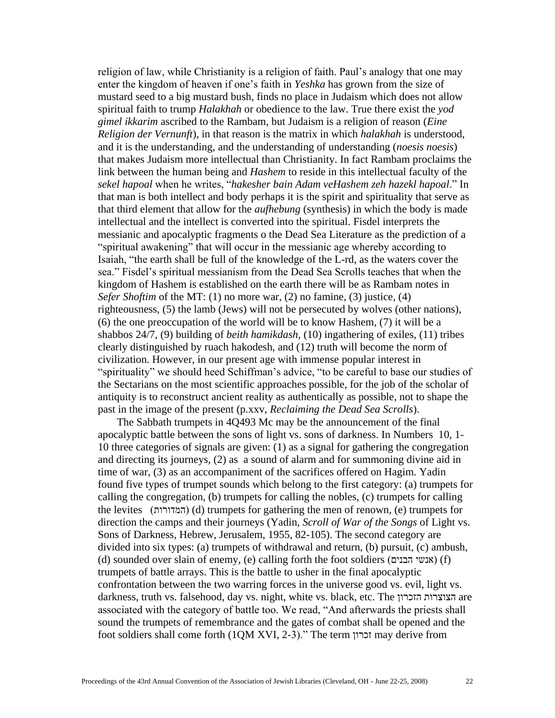religion of law, while Christianity is a religion of faith. Paul's analogy that one may enter the kingdom of heaven if one's faith in *Yeshka* has grown from the size of mustard seed to a big mustard bush, finds no place in Judaism which does not allow spiritual faith to trump *Halakhah* or obedience to the law. True there exist the *yod gimel ikkarim* ascribed to the Rambam, but Judaism is a religion of reason (*Eine Religion der Vernunft*), in that reason is the matrix in which *halakhah* is understood, and it is the understanding, and the understanding of understanding (*noesis noesis*) that makes Judaism more intellectual than Christianity. In fact Rambam proclaims the link between the human being and *Hashem* to reside in this intellectual faculty of the *sekel hapoal* when he writes, "*hakesher bain Adam veHashem zeh hazekl hapoal*." In that man is both intellect and body perhaps it is the spirit and spirituality that serve as that third element that allow for the *aufhebung* (synthesis) in which the body is made intellectual and the intellect is converted into the spiritual. Fisdel interprets the messianic and apocalyptic fragments o the Dead Sea Literature as the prediction of a "spiritual awakening" that will occur in the messianic age whereby according to Isaiah, "the earth shall be full of the knowledge of the L-rd, as the waters cover the sea." Fisdel's spiritual messianism from the Dead Sea Scrolls teaches that when the kingdom of Hashem is established on the earth there will be as Rambam notes in *Sefer Shoftim* of the MT: (1) no more war, (2) no famine, (3) justice, (4) righteousness, (5) the lamb (Jews) will not be persecuted by wolves (other nations), (6) the one preoccupation of the world will be to know Hashem, (7) it will be a shabbos 24/7, (9) building of *beith hamikdash,* (10) ingathering of exiles, (11) tribes clearly distinguished by ruach hakodesh, and (12) truth will become the norm of civilization. However, in our present age with immense popular interest in "spirituality" we should heed Schiffman's advice, "to be careful to base our studies of the Sectarians on the most scientific approaches possible, for the job of the scholar of antiquity is to reconstruct ancient reality as authentically as possible, not to shape the past in the image of the present (p.xxv, *Reclaiming the Dead Sea Scrolls*).

 The Sabbath trumpets in 4Q493 Mc may be the announcement of the final apocalyptic battle between the sons of light vs. sons of darkness. In Numbers 10, 1- 10 three categories of signals are given: (1) as a signal for gathering the congregation and directing its journeys, (2) as a sound of alarm and for summoning divine aid in time of war, (3) as an accompaniment of the sacrifices offered on Hagim. Yadin found five types of trumpet sounds which belong to the first category: (a) trumpets for calling the congregation, (b) trumpets for calling the nobles, (c) trumpets for calling the levites )המדורות) )d) trumpets for gathering the men of renown, (e) trumpets for direction the camps and their journeys (Yadin, *Scroll of War of the Songs* of Light vs. Sons of Darkness, Hebrew, Jerusalem, 1955, 82-105). The second category are divided into six types: (a) trumpets of withdrawal and return, (b) pursuit, (c) ambush, (d) sounded over slain of enemy, (e) calling forth the foot soldiers  $(n)$ אנשי הבנים) (f) trumpets of battle arrays. This is the battle to usher in the final apocalyptic confrontation between the two warring forces in the universe good vs. evil, light vs. darkness, truth vs. falsehood, day vs. night, white vs. black, etc. The הזכרון הצוצרות are associated with the category of battle too. We read, "And afterwards the priests shall sound the trumpets of remembrance and the gates of combat shall be opened and the foot soldiers shall come forth (1QM XVI, 2-3)." The term זכרון may derive from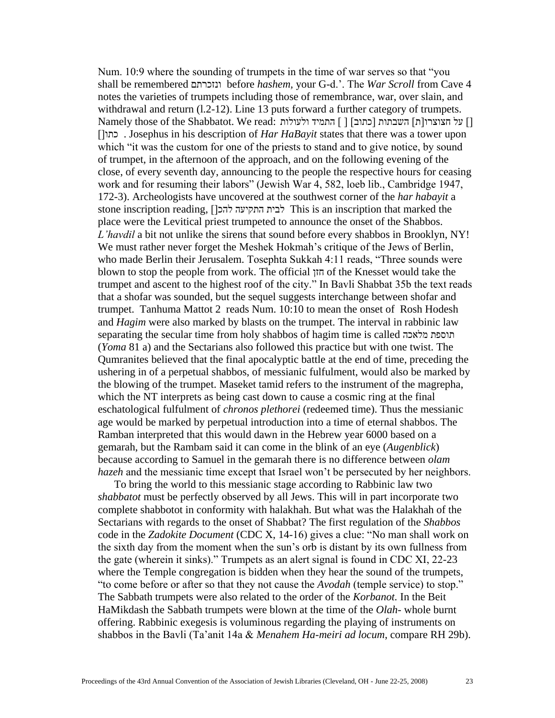Num. 10:9 where the sounding of trumpets in the time of war serves so that "you shall be remembered ונזכרתם before *hashem,* your G-d.'. The *War Scroll* from Cave 4 notes the varieties of trumpets including those of remembrance, war, over slain, and withdrawal and return (1.2-12). Line 13 puts forward a further category of trumpets. ][ על חצוצרו]ת[ השבתות ]כתוב[ ] [ התמיד ולעולות :read We .Shabbatot the of those Namely ][כתו . Josephus in his description of *Har HaBayit* states that there was a tower upon which "it was the custom for one of the priests to stand and to give notice, by sound of trumpet, in the afternoon of the approach, and on the following evening of the close, of every seventh day, announcing to the people the respective hours for ceasing work and for resuming their labors" (Jewish War 4, 582, loeb lib., Cambridge 1947, 172-3). Archeologists have uncovered at the southwest corner of the *har habayit* a stone inscription reading, [[לבית התקיעה להכן This is an inscription that marked the place were the Levitical priest trumpeted to announce the onset of the Shabbos. *L'havdil* a bit not unlike the sirens that sound before every shabbos in Brooklyn, NY! We must rather never forget the Meshek Hokmah's critique of the Jews of Berlin, who made Berlin their Jerusalem. Tosephta Sukkah 4:11 reads, "Three sounds were blown to stop the people from work. The official חזן of the Knesset would take the trumpet and ascent to the highest roof of the city." In Bavli Shabbat 35b the text reads that a shofar was sounded, but the sequel suggests interchange between shofar and trumpet. Tanhuma Mattot 2 reads Num. 10:10 to mean the onset of Rosh Hodesh and *Hagim* were also marked by blasts on the trumpet. The interval in rabbinic law separating the secular time from holy shabbos of hagim time is called מלאכה תוספת (*Yoma* 81 a) and the Sectarians also followed this practice but with one twist. The Qumranites believed that the final apocalyptic battle at the end of time, preceding the ushering in of a perpetual shabbos, of messianic fulfulment, would also be marked by the blowing of the trumpet. Maseket tamid refers to the instrument of the magrepha, which the NT interprets as being cast down to cause a cosmic ring at the final eschatological fulfulment of *chronos plethorei* (redeemed time). Thus the messianic age would be marked by perpetual introduction into a time of eternal shabbos. The Ramban interpreted that this would dawn in the Hebrew year 6000 based on a gemarah, but the Rambam said it can come in the blink of an eye (*Augenblick*) because according to Samuel in the gemarah there is no difference between *olam hazeh* and the messianic time except that Israel won't be persecuted by her neighbors.

 To bring the world to this messianic stage according to Rabbinic law two *shabbatot* must be perfectly observed by all Jews. This will in part incorporate two complete shabbotot in conformity with halakhah. But what was the Halakhah of the Sectarians with regards to the onset of Shabbat? The first regulation of the *Shabbos* code in the *Zadokite Document* (CDC X, 14-16) gives a clue: "No man shall work on the sixth day from the moment when the sun's orb is distant by its own fullness from the gate (wherein it sinks)." Trumpets as an alert signal is found in CDC XI, 22-23 where the Temple congregation is bidden when they hear the sound of the trumpets, "to come before or after so that they not cause the *Avodah* (temple service) to stop." The Sabbath trumpets were also related to the order of the *Korbanot.* In the Beit HaMikdash the Sabbath trumpets were blown at the time of the *Olah*- whole burnt offering. Rabbinic exegesis is voluminous regarding the playing of instruments on shabbos in the Bavli (Ta'anit 14a & *Menahem Ha-meiri ad locum*, compare RH 29b).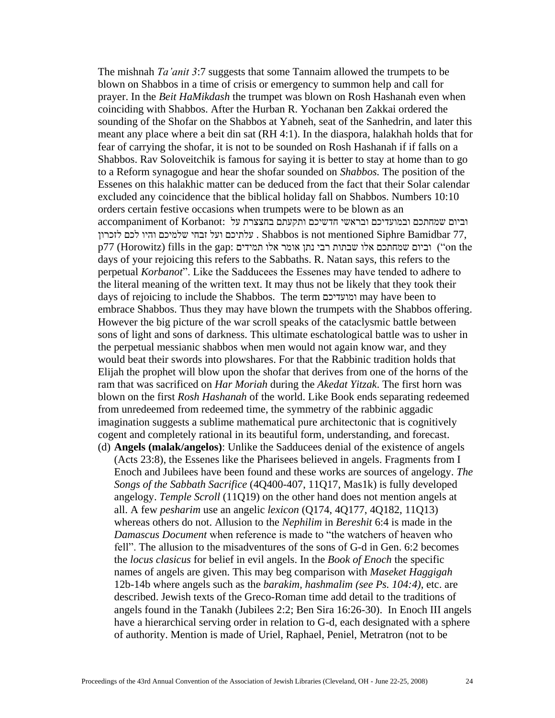The mishnah *Ta'anit 3*:7 suggests that some Tannaim allowed the trumpets to be blown on Shabbos in a time of crisis or emergency to summon help and call for prayer. In the *Beit HaMikdash* the trumpet was blown on Rosh Hashanah even when coinciding with Shabbos. After the Hurban R. Yochanan ben Zakkai ordered the sounding of the Shofar on the Shabbos at Yabneh, seat of the Sanhedrin, and later this meant any place where a beit din sat (RH 4:1). In the diaspora, halakhah holds that for fear of carrying the shofar, it is not to be sounded on Rosh Hashanah if if falls on a Shabbos. Rav Soloveitchik is famous for saying it is better to stay at home than to go to a Reform synagogue and hear the shofar sounded on *Shabbos.* The position of the Essenes on this halakhic matter can be deduced from the fact that their Solar calendar excluded any coincidence that the biblical holiday fall on Shabbos. Numbers 10:10 orders certain festive occasions when trumpets were to be blown as an וביום שמחתכם ובמועדיכם ובראשי חדשיכם ותקעתם בחצצרת על :Korbanot of accompaniment 77, Bamidbar Siphre mentioned not is Shabbos . עלתיכם ועל זבחי שלמיכם והיו לכם לזכרון p77 (Horowitz) fills in the gap: וביום שמחתכם אלו שבתות רבי נתן אומר אלו תמידים : $\cdot$ on the days of your rejoicing this refers to the Sabbaths. R. Natan says, this refers to the perpetual *Korbanot*". Like the Sadducees the Essenes may have tended to adhere to the literal meaning of the written text. It may thus not be likely that they took their days of rejoicing to include the Shabbos. The term ומועדיכם may have been to embrace Shabbos. Thus they may have blown the trumpets with the Shabbos offering. However the big picture of the war scroll speaks of the cataclysmic battle between sons of light and sons of darkness. This ultimate eschatological battle was to usher in the perpetual messianic shabbos when men would not again know war, and they would beat their swords into plowshares. For that the Rabbinic tradition holds that Elijah the prophet will blow upon the shofar that derives from one of the horns of the ram that was sacrificed on *Har Moriah* during the *Akedat Yitzak*. The first horn was blown on the first *Rosh Hashanah* of the world. Like Book ends separating redeemed from unredeemed from redeemed time, the symmetry of the rabbinic aggadic imagination suggests a sublime mathematical pure architectonic that is cognitively cogent and completely rational in its beautiful form, understanding, and forecast.

(d) **Angels (malak/angelos)**: Unlike the Sadducees denial of the existence of angels (Acts 23:8), the Essenes like the Pharisees believed in angels. Fragments from I Enoch and Jubilees have been found and these works are sources of angelogy. *The Songs of the Sabbath Sacrifice* (4Q400-407, 11Q17, Mas1k) is fully developed angelogy. *Temple Scroll* (11Q19) on the other hand does not mention angels at all. A few *pesharim* use an angelic *lexicon* (Q174, 4Q177, 4Q182, 11Q13) whereas others do not. Allusion to the *Nephilim* in *Bereshit* 6:4 is made in the *Damascus Document* when reference is made to "the watchers of heaven who fell". The allusion to the misadventures of the sons of G-d in Gen. 6:2 becomes the *locus clasicus* for belief in evil angels. In the *Book of Enoch* the specific names of angels are given. This may beg comparison with *Maseket Haggigah* 12b-14b where angels such as the *barakim, hashmalim (see Ps. 104:4)*, etc. are described. Jewish texts of the Greco-Roman time add detail to the traditions of angels found in the Tanakh (Jubilees 2:2; Ben Sira 16:26-30). In Enoch III angels have a hierarchical serving order in relation to G-d, each designated with a sphere of authority. Mention is made of Uriel, Raphael, Peniel, Metratron (not to be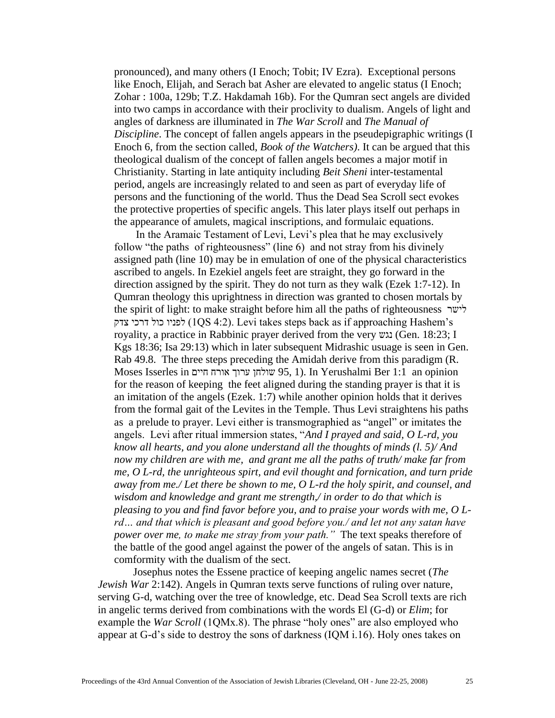pronounced), and many others (I Enoch; Tobit; IV Ezra). Exceptional persons like Enoch, Elijah, and Serach bat Asher are elevated to angelic status (I Enoch; Zohar : 100a, 129b; T.Z. Hakdamah 16b). For the Qumran sect angels are divided into two camps in accordance with their proclivity to dualism. Angels of light and angles of darkness are illuminated in *The War Scroll* and *The Manual of Discipline*. The concept of fallen angels appears in the pseudepigraphic writings (I Enoch 6, from the section called, *Book of the Watchers)*. It can be argued that this theological dualism of the concept of fallen angels becomes a major motif in Christianity. Starting in late antiquity including *Beit Sheni* inter-testamental period, angels are increasingly related to and seen as part of everyday life of persons and the functioning of the world. Thus the Dead Sea Scroll sect evokes the protective properties of specific angels. This later plays itself out perhaps in the appearance of amulets, magical inscriptions, and formulaic equations.

 In the Aramaic Testament of Levi, Levi's plea that he may exclusively follow "the paths of righteousness" (line 6) and not stray from his divinely assigned path (line 10) may be in emulation of one of the physical characteristics ascribed to angels. In Ezekiel angels feet are straight, they go forward in the direction assigned by the spirit. They do not turn as they walk (Ezek 1:7-12). In Qumran theology this uprightness in direction was granted to chosen mortals by the spirit of light: to make straight before him all the paths of righteousness לישר צדק דרכי כול לפניו) 1QS 4:2). Levi takes steps back as if approaching Hashem's royality, a practice in Rabbinic prayer derived from the very נגש) Gen. 18:23; I Kgs 18:36; Isa 29:13) which in later subsequent Midrashic usuage is seen in Gen. Rab 49.8. The three steps preceding the Amidah derive from this paradigm (R. Moses Isserles in חיים אורח ערוך שולחן 95, 1(. In Yerushalmi Ber 1:1 an opinion for the reason of keeping the feet aligned during the standing prayer is that it is an imitation of the angels (Ezek. 1:7) while another opinion holds that it derives from the formal gait of the Levites in the Temple. Thus Levi straightens his paths as a prelude to prayer. Levi either is transmographied as "angel" or imitates the angels. Levi after ritual immersion states, "*And I prayed and said, O L-rd, you know all hearts, and you alone understand all the thoughts of minds (l. 5)/ And now my children are with me, and grant me all the paths of truth/ make far from me, O L-rd, the unrighteous spirt, and evil thought and fornication, and turn pride away from me./ Let there be shown to me, O L-rd the holy spirit, and counsel, and wisdom and knowledge and grant me strength,/ in order to do that which is pleasing to you and find favor before you, and to praise your words with me, O Lrd… and that which is pleasant and good before you./ and let not any satan have power over me, to make me stray from your path."* The text speaks therefore of the battle of the good angel against the power of the angels of satan. This is in comformity with the dualism of the sect.

Josephus notes the Essene practice of keeping angelic names secret (*The Jewish War* 2:142). Angels in Qumran texts serve functions of ruling over nature, serving G-d, watching over the tree of knowledge, etc. Dead Sea Scroll texts are rich in angelic terms derived from combinations with the words El (G-d) or *Elim*; for example the *War Scroll* (1QMx.8). The phrase "holy ones" are also employed who appear at G-d's side to destroy the sons of darkness (IQM i.16). Holy ones takes on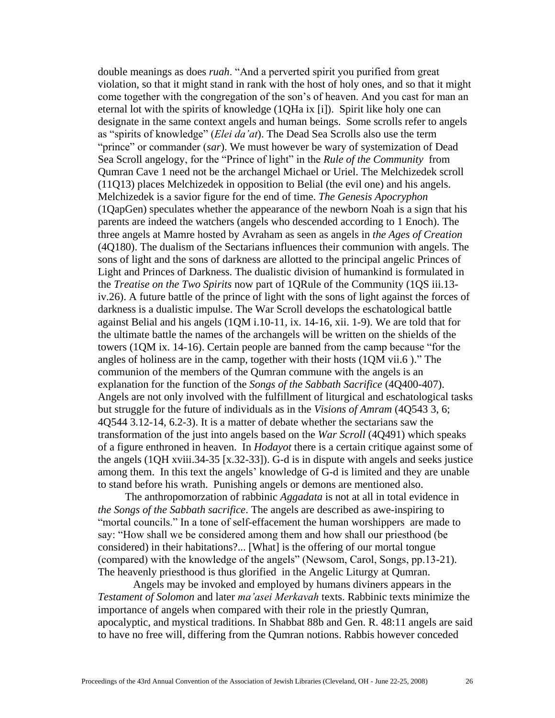double meanings as does *ruah*. "And a perverted spirit you purified from great violation, so that it might stand in rank with the host of holy ones, and so that it might come together with the congregation of the son's of heaven. And you cast for man an eternal lot with the spirits of knowledge (1QHa ix [i]). Spirit like holy one can designate in the same context angels and human beings. Some scrolls refer to angels as "spirits of knowledge" (*Elei da'at*). The Dead Sea Scrolls also use the term "prince" or commander (*sar*). We must however be wary of systemization of Dead Sea Scroll angelogy, for the "Prince of light" in the *Rule of the Community* from Qumran Cave 1 need not be the archangel Michael or Uriel. The Melchizedek scroll (11Q13) places Melchizedek in opposition to Belial (the evil one) and his angels. Melchizedek is a savior figure for the end of time. *The Genesis Apocryphon* (1QapGen) speculates whether the appearance of the newborn Noah is a sign that his parents are indeed the watchers (angels who descended according to 1 Enoch). The three angels at Mamre hosted by Avraham as seen as angels in *the Ages of Creation* (4Q180). The dualism of the Sectarians influences their communion with angels. The sons of light and the sons of darkness are allotted to the principal angelic Princes of Light and Princes of Darkness. The dualistic division of humankind is formulated in the *Treatise on the Two Spirits* now part of 1QRule of the Community (1QS iii.13 iv.26). A future battle of the prince of light with the sons of light against the forces of darkness is a dualistic impulse. The War Scroll develops the eschatological battle against Belial and his angels (1QM i.10-11, ix. 14-16, xii. 1-9). We are told that for the ultimate battle the names of the archangels will be written on the shields of the towers (1QM ix. 14-16). Certain people are banned from the camp because "for the angles of holiness are in the camp, together with their hosts (1QM vii.6 )." The communion of the members of the Qumran commune with the angels is an explanation for the function of the *Songs of the Sabbath Sacrifice* (4Q400-407). Angels are not only involved with the fulfillment of liturgical and eschatological tasks but struggle for the future of individuals as in the *Visions of Amram* (4Q543 3, 6; 4Q544 3.12-14, 6.2-3). It is a matter of debate whether the sectarians saw the transformation of the just into angels based on the *War Scroll* (4Q491) which speaks of a figure enthroned in heaven. In *Hodayot* there is a certain critique against some of the angels (1QH xviii.34-35 [x.32-33]). G-d is in dispute with angels and seeks justice among them. In this text the angels' knowledge of G-d is limited and they are unable to stand before his wrath. Punishing angels or demons are mentioned also.

 The anthropomorzation of rabbinic *Aggadata* is not at all in total evidence in *the Songs of the Sabbath sacrifice*. The angels are described as awe-inspiring to "mortal councils." In a tone of self-effacement the human worshippers are made to say: "How shall we be considered among them and how shall our priesthood (be considered) in their habitations?... [What] is the offering of our mortal tongue (compared) with the knowledge of the angels" (Newsom, Carol, Songs, pp.13-21). The heavenly priesthood is thus glorified in the Angelic Liturgy at Qumran.

Angels may be invoked and employed by humans diviners appears in the *Testament of Solomon* and later *ma'asei Merkavah* texts. Rabbinic texts minimize the importance of angels when compared with their role in the priestly Qumran, apocalyptic, and mystical traditions. In Shabbat 88b and Gen. R. 48:11 angels are said to have no free will, differing from the Qumran notions. Rabbis however conceded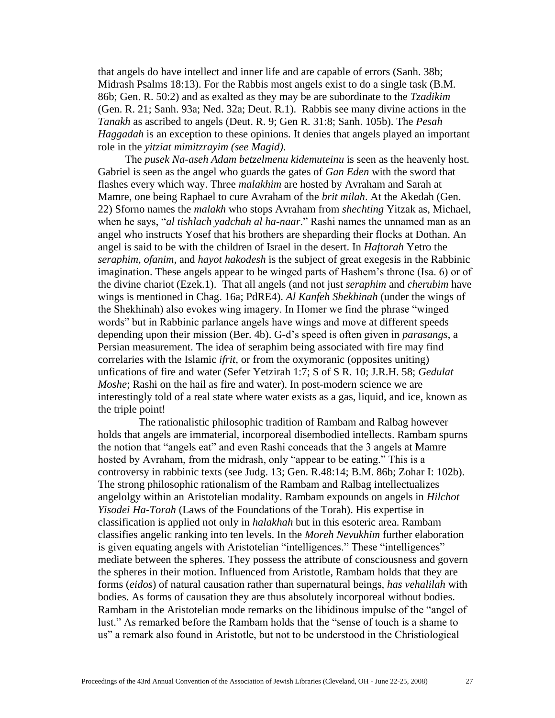that angels do have intellect and inner life and are capable of errors (Sanh. 38b; Midrash Psalms 18:13). For the Rabbis most angels exist to do a single task (B.M. 86b; Gen. R. 50:2) and as exalted as they may be are subordinate to the *Tzadikim* (Gen. R. 21; Sanh. 93a; Ned. 32a; Deut. R.1). Rabbis see many divine actions in the *Tanakh* as ascribed to angels (Deut. R. 9; Gen R. 31:8; Sanh. 105b). The *Pesah Haggadah* is an exception to these opinions. It denies that angels played an important role in the *yitziat mimitzrayim (see Magid)*.

The *pusek Na-aseh Adam betzelmenu kidemuteinu* is seen as the heavenly host. Gabriel is seen as the angel who guards the gates of *Gan Eden* with the sword that flashes every which way. Three *malakhim* are hosted by Avraham and Sarah at Mamre, one being Raphael to cure Avraham of the *brit milah*. At the Akedah (Gen. 22) Sforno names the *malakh* who stops Avraham from *shechting* Yitzak as, Michael, when he says, "*al tishlach yadchah al ha-naar*." Rashi names the unnamed man as an angel who instructs Yosef that his brothers are sheparding their flocks at Dothan. An angel is said to be with the children of Israel in the desert. In *Haftorah* Yetro the *seraphim, ofanim,* and *hayot hakodesh* is the subject of great exegesis in the Rabbinic imagination. These angels appear to be winged parts of Hashem's throne (Isa. 6) or of the divine chariot (Ezek.1). That all angels (and not just *seraphim* and *cherubim* have wings is mentioned in Chag. 16a; PdRE4). *Al Kanfeh Shekhinah* (under the wings of the Shekhinah) also evokes wing imagery. In Homer we find the phrase "winged words" but in Rabbinic parlance angels have wings and move at different speeds depending upon their mission (Ber. 4b). G-d's speed is often given in *parasangs*, a Persian measurement. The idea of seraphim being associated with fire may find correlaries with the Islamic *ifrit,* or from the oxymoranic (opposites uniting) unfications of fire and water (Sefer Yetzirah 1:7; S of S R. 10; J.R.H. 58; *Gedulat Moshe*; Rashi on the hail as fire and water). In post-modern science we are interestingly told of a real state where water exists as a gas, liquid, and ice, known as the triple point!

 The rationalistic philosophic tradition of Rambam and Ralbag however holds that angels are immaterial, incorporeal disembodied intellects. Rambam spurns the notion that "angels eat" and even Rashi conceads that the 3 angels at Mamre hosted by Avraham, from the midrash, only "appear to be eating." This is a controversy in rabbinic texts (see Judg. 13; Gen. R.48:14; B.M. 86b; Zohar I: 102b). The strong philosophic rationalism of the Rambam and Ralbag intellectualizes angelolgy within an Aristotelian modality. Rambam expounds on angels in *Hilchot Yisodei Ha-Torah* (Laws of the Foundations of the Torah). His expertise in classification is applied not only in *halakhah* but in this esoteric area. Rambam classifies angelic ranking into ten levels. In the *Moreh Nevukhim* further elaboration is given equating angels with Aristotelian "intelligences." These "intelligences" mediate between the spheres. They possess the attribute of consciousness and govern the spheres in their motion. Influenced from Aristotle, Rambam holds that they are forms (*eidos*) of natural causation rather than supernatural beings, *has vehalilah* with bodies. As forms of causation they are thus absolutely incorporeal without bodies. Rambam in the Aristotelian mode remarks on the libidinous impulse of the "angel of lust." As remarked before the Rambam holds that the "sense of touch is a shame to us" a remark also found in Aristotle, but not to be understood in the Christiological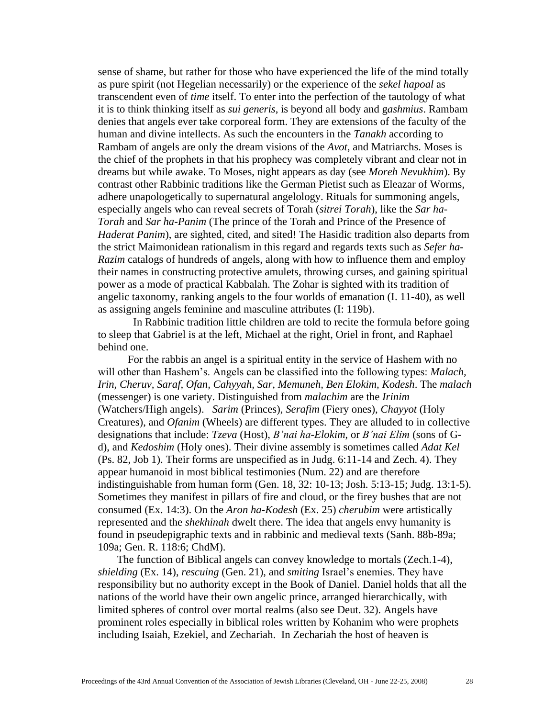sense of shame, but rather for those who have experienced the life of the mind totally as pure spirit (not Hegelian necessarily) or the experience of the *sekel hapoal* as transcendent even of *time* itself. To enter into the perfection of the tautology of what it is to think thinking itself as *sui generis*, is beyond all body and g*ashmius*. Rambam denies that angels ever take corporeal form. They are extensions of the faculty of the human and divine intellects. As such the encounters in the *Tanakh* according to Rambam of angels are only the dream visions of the *Avot*, and Matriarchs. Moses is the chief of the prophets in that his prophecy was completely vibrant and clear not in dreams but while awake. To Moses, night appears as day (see *Moreh Nevukhim*). By contrast other Rabbinic traditions like the German Pietist such as Eleazar of Worms, adhere unapologetically to supernatural angelology. Rituals for summoning angels, especially angels who can reveal secrets of Torah (*sitrei Torah*), like the *Sar ha-Torah* and *Sar ha-Panim* (The prince of the Torah and Prince of the Presence of *Haderat Panim*), are sighted, cited, and sited! The Hasidic tradition also departs from the strict Maimonidean rationalism in this regard and regards texts such as *Sefer ha-Razim* catalogs of hundreds of angels, along with how to influence them and employ their names in constructing protective amulets, throwing curses, and gaining spiritual power as a mode of practical Kabbalah. The Zohar is sighted with its tradition of angelic taxonomy, ranking angels to the four worlds of emanation (I. 11-40), as well as assigning angels feminine and masculine attributes (I: 119b).

 In Rabbinic tradition little children are told to recite the formula before going to sleep that Gabriel is at the left, Michael at the right, Oriel in front, and Raphael behind one.

For the rabbis an angel is a spiritual entity in the service of Hashem with no will other than Hashem's. Angels can be classified into the following types: *Malach, Irin, Cheruv, Saraf, Ofan, Cahyyah, Sar, Memuneh, Ben Elokim, Kodesh*. The *malach* (messenger) is one variety. Distinguished from *malachim* are the *Irinim* (Watchers/High angels).*Sarim* (Princes), *Serafim* (Fiery ones), *Chayyot* (Holy Creatures), and *Ofanim* (Wheels) are different types. They are alluded to in collective designations that include: *Tzeva* (Host), *B'nai ha-Elokim*, or *B'nai Elim* (sons of Gd), and *Kedoshim* (Holy ones). Their divine assembly is sometimes called *Adat Kel* (Ps. 82, Job 1). Their forms are unspecified as in Judg. 6:11-14 and Zech. 4). They appear humanoid in most biblical testimonies (Num. 22) and are therefore indistinguishable from human form (Gen. 18, 32: 10-13; Josh. 5:13-15; Judg. 13:1-5). Sometimes they manifest in pillars of fire and cloud, or the firey bushes that are not consumed (Ex. 14:3). On the *Aron ha-Kodesh* (Ex. 25) *cherubim* were artistically represented and the *shekhinah* dwelt there. The idea that angels envy humanity is found in pseudepigraphic texts and in rabbinic and medieval texts (Sanh. 88b-89a; 109a; Gen. R. 118:6; ChdM).

 The function of Biblical angels can convey knowledge to mortals (Zech.1-4), *shielding* (Ex. 14), *rescuing* (Gen. 21), and *smiting* Israel's enemies. They have responsibility but no authority except in the Book of Daniel. Daniel holds that all the nations of the world have their own angelic prince, arranged hierarchically, with limited spheres of control over mortal realms (also see Deut. 32). Angels have prominent roles especially in biblical roles written by Kohanim who were prophets including Isaiah, Ezekiel, and Zechariah. In Zechariah the host of heaven is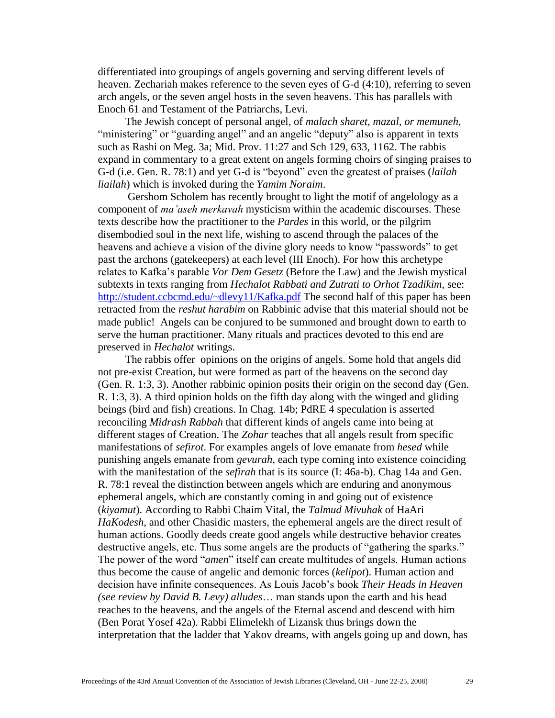differentiated into groupings of angels governing and serving different levels of heaven. Zechariah makes reference to the seven eyes of G-d (4:10), referring to seven arch angels, or the seven angel hosts in the seven heavens. This has parallels with Enoch 61 and Testament of the Patriarchs, Levi.

 The Jewish concept of personal angel, of *malach sharet, mazal, or memuneh*, "ministering" or "guarding angel" and an angelic "deputy" also is apparent in texts such as Rashi on Meg. 3a; Mid. Prov. 11:27 and Sch 129, 633, 1162. The rabbis expand in commentary to a great extent on angels forming choirs of singing praises to G-d (i.e. Gen. R. 78:1) and yet G-d is "beyond" even the greatest of praises (*lailah liailah*) which is invoked during the *Yamim Noraim*.

 Gershom Scholem has recently brought to light the motif of angelology as a component of *ma'aseh merkavah* mysticism within the academic discourses. These texts describe how the practitioner to the *Pardes* in this world, or the pilgrim disembodied soul in the next life, wishing to ascend through the palaces of the heavens and achieve a vision of the divine glory needs to know "passwords" to get past the archons (gatekeepers) at each level (III Enoch). For how this archetype relates to Kafka's parable *Vor Dem Gesetz* (Before the Law) and the Jewish mystical subtexts in texts ranging from *Hechalot Rabbati and Zutrati to Orhot Tzadikim*, see: <http://student.ccbcmd.edu/~dlevy11/Kafka.pdf> The second half of this paper has been retracted from the *reshut harabim* on Rabbinic advise that this material should not be made public! Angels can be conjured to be summoned and brought down to earth to serve the human practitioner. Many rituals and practices devoted to this end are preserved in *Hechalot* writings.

 The rabbis offer opinions on the origins of angels. Some hold that angels did not pre-exist Creation, but were formed as part of the heavens on the second day (Gen. R. 1:3, 3). Another rabbinic opinion posits their origin on the second day (Gen. R. 1:3, 3). A third opinion holds on the fifth day along with the winged and gliding beings (bird and fish) creations. In Chag. 14b; PdRE 4 speculation is asserted reconciling *Midrash Rabbah* that different kinds of angels came into being at different stages of Creation. The *Zohar* teaches that all angels result from specific manifestations of *sefirot*. For examples angels of love emanate from *hesed* while punishing angels emanate from *gevurah*, each type coming into existence coinciding with the manifestation of the *sefirah* that is its source (I: 46a-b). Chag 14a and Gen. R. 78:1 reveal the distinction between angels which are enduring and anonymous ephemeral angels, which are constantly coming in and going out of existence (*kiyamut*). According to Rabbi Chaim Vital, the *Talmud Mivuhak* of HaAri *HaKodesh*, and other Chasidic masters, the ephemeral angels are the direct result of human actions. Goodly deeds create good angels while destructive behavior creates destructive angels, etc. Thus some angels are the products of "gathering the sparks." The power of the word "*amen*" itself can create multitudes of angels. Human actions thus become the cause of angelic and demonic forces (*kelipot*). Human action and decision have infinite consequences. As Louis Jacob's book *Their Heads in Heaven (see review by David B. Levy) alludes*… man stands upon the earth and his head reaches to the heavens, and the angels of the Eternal ascend and descend with him (Ben Porat Yosef 42a). Rabbi Elimelekh of Lizansk thus brings down the interpretation that the ladder that Yakov dreams, with angels going up and down, has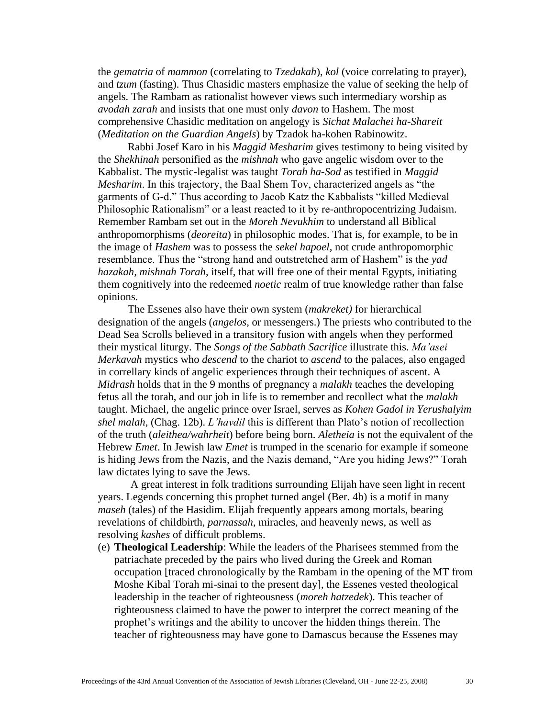the *gematria* of *mammon* (correlating to *Tzedakah*), *kol* (voice correlating to prayer), and *tzum* (fasting). Thus Chasidic masters emphasize the value of seeking the help of angels. The Rambam as rationalist however views such intermediary worship as *avodah zarah* and insists that one must only *davon* to Hashem. The most comprehensive Chasidic meditation on angelogy is *Sichat Malachei ha-Shareit* (*Meditation on the Guardian Angels*) by Tzadok ha-kohen Rabinowitz.

 Rabbi Josef Karo in his *Maggid Mesharim* gives testimony to being visited by the *Shekhinah* personified as the *mishnah* who gave angelic wisdom over to the Kabbalist. The mystic-legalist was taught *Torah ha-Sod* as testified in *Maggid Mesharim*. In this trajectory, the Baal Shem Tov, characterized angels as "the garments of G-d." Thus according to Jacob Katz the Kabbalists "killed Medieval Philosophic Rationalism" or a least reacted to it by re-anthropocentrizing Judaism. Remember Rambam set out in the *Moreh Nevukhim* to understand all Biblical anthropomorphisms (*deoreita*) in philosophic modes. That is, for example, to be in the image of *Hashem* was to possess the *sekel hapoel*, not crude anthropomorphic resemblance. Thus the "strong hand and outstretched arm of Hashem" is the *yad hazakah, mishnah Torah*, itself, that will free one of their mental Egypts, initiating them cognitively into the redeemed *noetic* realm of true knowledge rather than false opinions.

The Essenes also have their own system (*makreket)* for hierarchical designation of the angels (*angelos*, or messengers.) The priests who contributed to the Dead Sea Scrolls believed in a transitory fusion with angels when they performed their mystical liturgy. The *Songs of the Sabbath Sacrifice* illustrate this. *Ma'asei Merkavah* mystics who *descend* to the chariot to *ascend* to the palaces, also engaged in correllary kinds of angelic experiences through their techniques of ascent. A *Midrash* holds that in the 9 months of pregnancy a *malakh* teaches the developing fetus all the torah, and our job in life is to remember and recollect what the *malakh* taught. Michael, the angelic prince over Israel, serves as *Kohen Gadol in Yerushalyim shel malah*, (Chag. 12b). *L'havdil* this is different than Plato's notion of recollection of the truth (*aleithea/wahrheit*) before being born. *Aletheia* is not the equivalent of the Hebrew *Emet*. In Jewish law *Emet* is trumped in the scenario for example if someone is hiding Jews from the Nazis, and the Nazis demand, "Are you hiding Jews?" Torah law dictates lying to save the Jews.

 A great interest in folk traditions surrounding Elijah have seen light in recent years. Legends concerning this prophet turned angel (Ber. 4b) is a motif in many *maseh* (tales) of the Hasidim. Elijah frequently appears among mortals, bearing revelations of childbirth, *parnassah*, miracles, and heavenly news, as well as resolving *kashes* of difficult problems.

(e) **Theological Leadership**: While the leaders of the Pharisees stemmed from the patriachate preceded by the pairs who lived during the Greek and Roman occupation [traced chronologically by the Rambam in the opening of the MT from Moshe Kibal Torah mi-sinai to the present day], the Essenes vested theological leadership in the teacher of righteousness (*moreh hatzedek*). This teacher of righteousness claimed to have the power to interpret the correct meaning of the prophet's writings and the ability to uncover the hidden things therein. The teacher of righteousness may have gone to Damascus because the Essenes may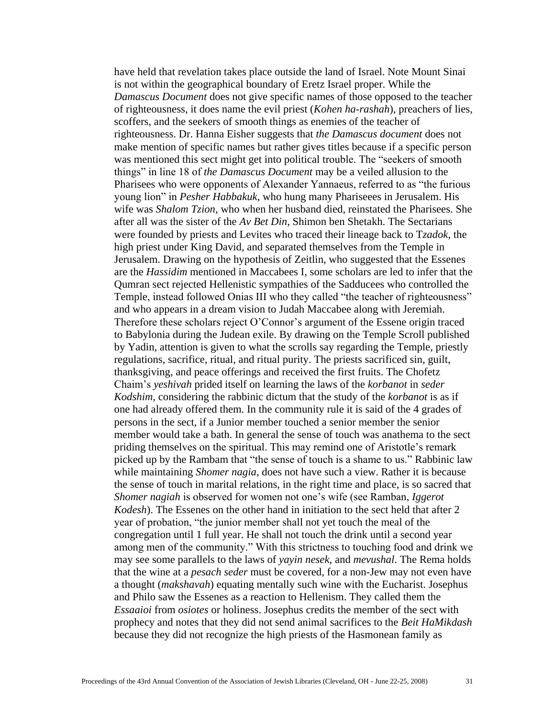have held that revelation takes place outside the land of Israel. Note Mount Sinai is not within the geographical boundary of Eretz Israel proper. While the *Damascus Document* does not give specific names of those opposed to the teacher of righteousness, it does name the evil priest (*Kohen ha-rashah*), preachers of lies, scoffers, and the seekers of smooth things as enemies of the teacher of righteousness. Dr. Hanna Eisher suggests that *the Damascus document* does not make mention of specific names but rather gives titles because if a specific person was mentioned this sect might get into political trouble. The "seekers of smooth things" in line 18 of *the Damascus Document* may be a veiled allusion to the Pharisees who were opponents of Alexander Yannaeus, referred to as "the furious young lion" in *Pesher Habbakuk*, who hung many Phariseees in Jerusalem. His wife was *Shalom Tzion*, who when her husband died, reinstated the Pharisees. She after all was the sister of the *Av Bet Din*, Shimon ben Shetakh. The Sectarians were founded by priests and Levites who traced their lineage back to T*zadok*, the high priest under King David, and separated themselves from the Temple in Jerusalem. Drawing on the hypothesis of Zeitlin, who suggested that the Essenes are the *Hassidim* mentioned in Maccabees I, some scholars are led to infer that the Qumran sect rejected Hellenistic sympathies of the Sadducees who controlled the Temple, instead followed Onias III who they called "the teacher of righteousness" and who appears in a dream vision to Judah Maccabee along with Jeremiah. Therefore these scholars reject O'Connor's argument of the Essene origin traced to Babylonia during the Judean exile. By drawing on the Temple Scroll published by Yadin, attention is given to what the scrolls say regarding the Temple, priestly regulations, sacrifice, ritual, and ritual purity. The priests sacrificed sin, guilt, thanksgiving, and peace offerings and received the first fruits. The Chofetz Chaim's *yeshivah* prided itself on learning the laws of the *korbanot* in *seder Kodshim*, considering the rabbinic dictum that the study of the *korbanot* is as if one had already offered them. In the community rule it is said of the 4 grades of persons in the sect, if a Junior member touched a senior member the senior member would take a bath. In general the sense of touch was anathema to the sect priding themselves on the spiritual. This may remind one of Aristotle's remark picked up by the Rambam that "the sense of touch is a shame to us." Rabbinic law while maintaining *Shomer nagia*, does not have such a view. Rather it is because the sense of touch in marital relations, in the right time and place, is so sacred that *Shomer nagiah* is observed for women not one's wife (see Ramban, *Iggerot Kodesh*). The Essenes on the other hand in initiation to the sect held that after 2 year of probation, "the junior member shall not yet touch the meal of the congregation until 1 full year. He shall not touch the drink until a second year among men of the community." With this strictness to touching food and drink we may see some parallels to the laws of *yayin nesek*, and *mevushal*. The Rema holds that the wine at a *pesach seder* must be covered, for a non-Jew may not even have a thought (*makshavah*) equating mentally such wine with the Eucharist. Josephus and Philo saw the Essenes as a reaction to Hellenism. They called them the *Essaaioi* from *osiotes* or holiness. Josephus credits the member of the sect with prophecy and notes that they did not send animal sacrifices to the *Beit HaMikdash* because they did not recognize the high priests of the Hasmonean family as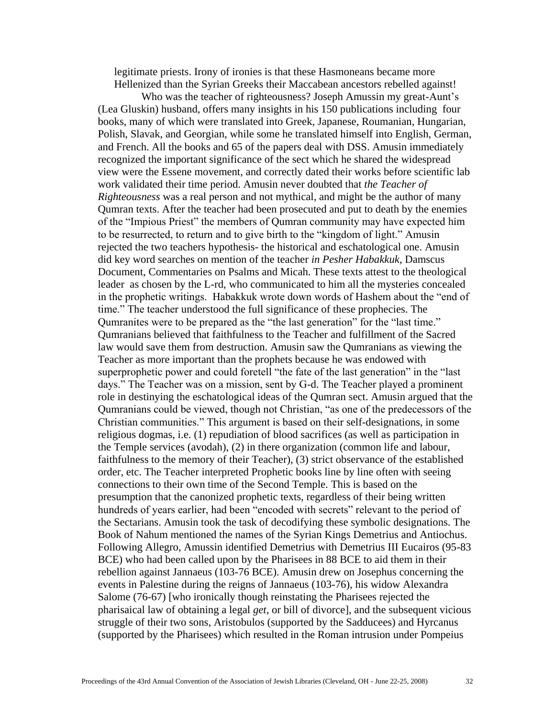legitimate priests. Irony of ironies is that these Hasmoneans became more Hellenized than the Syrian Greeks their Maccabean ancestors rebelled against!

Who was the teacher of righteousness? Joseph Amussin my great-Aunt's (Lea Gluskin) husband, offers many insights in his 150 publications including four books, many of which were translated into Greek, Japanese, Roumanian, Hungarian, Polish, Slavak, and Georgian, while some he translated himself into English, German, and French. All the books and 65 of the papers deal with DSS. Amusin immediately recognized the important significance of the sect which he shared the widespread view were the Essene movement, and correctly dated their works before scientific lab work validated their time period. Amusin never doubted that *the Teacher of Righteousness* was a real person and not mythical, and might be the author of many Qumran texts. After the teacher had been prosecuted and put to death by the enemies of the "Impious Priest" the members of Qumran community may have expected him to be resurrected, to return and to give birth to the "kingdom of light." Amusin rejected the two teachers hypothesis- the historical and eschatological one. Amusin did key word searches on mention of the teacher *in Pesher Habakkuk*, Damscus Document, Commentaries on Psalms and Micah. These texts attest to the theological leader as chosen by the L-rd, who communicated to him all the mysteries concealed in the prophetic writings. Habakkuk wrote down words of Hashem about the "end of time." The teacher understood the full significance of these prophecies. The Qumranites were to be prepared as the "the last generation" for the "last time." Qumranians believed that faithfulness to the Teacher and fulfillment of the Sacred law would save them from destruction. Amusin saw the Qumranians as viewing the Teacher as more important than the prophets because he was endowed with superprophetic power and could foretell "the fate of the last generation" in the "last days." The Teacher was on a mission, sent by G-d. The Teacher played a prominent role in destinying the eschatological ideas of the Qumran sect. Amusin argued that the Qumranians could be viewed, though not Christian, "as one of the predecessors of the Christian communities." This argument is based on their self-designations, in some religious dogmas, i.e. (1) repudiation of blood sacrifices (as well as participation in the Temple services (avodah), (2) in there organization (common life and labour, faithfulness to the memory of their Teacher), (3) strict observance of the established order, etc. The Teacher interpreted Prophetic books line by line often with seeing connections to their own time of the Second Temple. This is based on the presumption that the canonized prophetic texts, regardless of their being written hundreds of years earlier, had been "encoded with secrets" relevant to the period of the Sectarians. Amusin took the task of decodifying these symbolic designations. The Book of Nahum mentioned the names of the Syrian Kings Demetrius and Antiochus. Following Allegro, Amussin identified Demetrius with Demetrius III Eucairos (95-83 BCE) who had been called upon by the Pharisees in 88 BCE to aid them in their rebellion against Jannaeus (103-76 BCE). Amusin drew on Josephus concerning the events in Palestine during the reigns of Jannaeus (103-76), his widow Alexandra Salome (76-67) [who ironically though reinstating the Pharisees rejected the pharisaical law of obtaining a legal *get*, or bill of divorce], and the subsequent vicious struggle of their two sons, Aristobulos (supported by the Sadducees) and Hyrcanus (supported by the Pharisees) which resulted in the Roman intrusion under Pompeius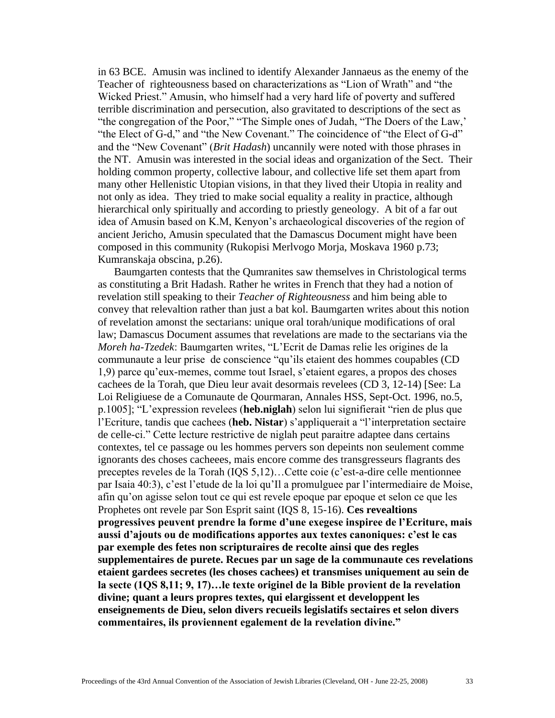in 63 BCE. Amusin was inclined to identify Alexander Jannaeus as the enemy of the Teacher of righteousness based on characterizations as "Lion of Wrath" and "the Wicked Priest." Amusin, who himself had a very hard life of poverty and suffered terrible discrimination and persecution, also gravitated to descriptions of the sect as "the congregation of the Poor," "The Simple ones of Judah, "The Doers of the Law,' "the Elect of G-d," and "the New Covenant." The coincidence of "the Elect of G-d" and the "New Covenant" (*Brit Hadash*) uncannily were noted with those phrases in the NT. Amusin was interested in the social ideas and organization of the Sect. Their holding common property, collective labour, and collective life set them apart from many other Hellenistic Utopian visions, in that they lived their Utopia in reality and not only as idea. They tried to make social equality a reality in practice, although hierarchical only spiritually and according to priestly geneology. A bit of a far out idea of Amusin based on K.M, Kenyon's archaeological discoveries of the region of ancient Jericho, Amusin speculated that the Damascus Document might have been composed in this community (Rukopisi Merlvogo Morja, Moskava 1960 p.73; Kumranskaja obscina, p.26).

 Baumgarten contests that the Qumranites saw themselves in Christological terms as constituting a Brit Hadash. Rather he writes in French that they had a notion of revelation still speaking to their *Teacher of Righteousness* and him being able to convey that relevaltion rather than just a bat kol. Baumgarten writes about this notion of revelation amonst the sectarians: unique oral torah/unique modifications of oral law; Damascus Document assumes that revelations are made to the sectarians via the *Moreh ha-Tzedek*: Baumgarten writes, "L'Ecrit de Damas relie les origines de la communaute a leur prise de conscience "qu'ils etaient des hommes coupables (CD 1,9) parce qu'eux-memes, comme tout Israel, s'etaient egares, a propos des choses cachees de la Torah, que Dieu leur avait desormais revelees (CD 3, 12-14) [See: La Loi Religiuese de a Comunaute de Qourmaran, Annales HSS, Sept-Oct. 1996, no.5, p.1005]; "L'expression revelees (**heb.niglah**) selon lui signifierait "rien de plus que l'Ecriture, tandis que cachees (**heb. Nistar**) s'appliquerait a "l'interpretation sectaire de celle-ci." Cette lecture restrictive de niglah peut paraitre adaptee dans certains contextes, tel ce passage ou les hommes pervers son depeints non seulement comme ignorants des choses cacheees, mais encore comme des transgresseurs flagrants des preceptes reveles de la Torah (IQS 5,12)…Cette coie (c'est-a-dire celle mentionnee par Isaia 40:3), c'est l'etude de la loi qu'Il a promulguee par l'intermediaire de Moise, afin qu'on agisse selon tout ce qui est revele epoque par epoque et selon ce que les Prophetes ont revele par Son Esprit saint (IQS 8, 15-16). **Ces revealtions progressives peuvent prendre la forme d'une exegese inspiree de l'Ecriture, mais aussi d'ajouts ou de modifications apportes aux textes canoniques: c'est le cas par exemple des fetes non scripturaires de recolte ainsi que des regles supplementaires de purete. Recues par un sage de la communaute ces revelations etaient gardees secretes (les choses cachees) et transmises uniquement au sein de la secte (1QS 8,11; 9, 17)…le texte originel de la Bible provient de la revelation divine; quant a leurs propres textes, qui elargissent et developpent les enseignements de Dieu, selon divers recueils legislatifs sectaires et selon divers commentaires, ils proviennent egalement de la revelation divine."**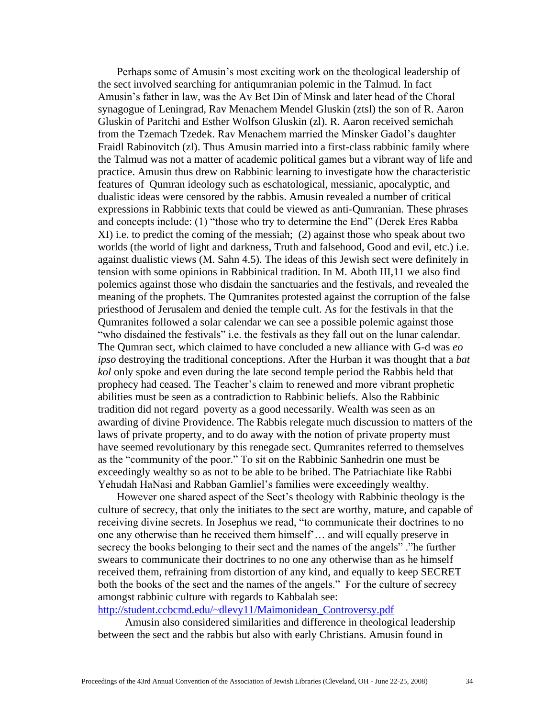Perhaps some of Amusin's most exciting work on the theological leadership of the sect involved searching for antiqumranian polemic in the Talmud. In fact Amusin's father in law, was the Av Bet Din of Minsk and later head of the Choral synagogue of Leningrad, Rav Menachem Mendel Gluskin (ztsl) the son of R. Aaron Gluskin of Paritchi and Esther Wolfson Gluskin (zl). R. Aaron received semichah from the Tzemach Tzedek. Rav Menachem married the Minsker Gadol's daughter Fraidl Rabinovitch (zl). Thus Amusin married into a first-class rabbinic family where the Talmud was not a matter of academic political games but a vibrant way of life and practice. Amusin thus drew on Rabbinic learning to investigate how the characteristic features of Qumran ideology such as eschatological, messianic, apocalyptic, and dualistic ideas were censored by the rabbis. Amusin revealed a number of critical expressions in Rabbinic texts that could be viewed as anti-Qumranian. These phrases and concepts include: (1) "those who try to determine the End" (Derek Eres Rabba XI) i.e. to predict the coming of the messiah; (2) against those who speak about two worlds (the world of light and darkness, Truth and falsehood, Good and evil, etc.) i.e. against dualistic views (M. Sahn 4.5). The ideas of this Jewish sect were definitely in tension with some opinions in Rabbinical tradition. In M. Aboth III,11 we also find polemics against those who disdain the sanctuaries and the festivals, and revealed the meaning of the prophets. The Qumranites protested against the corruption of the false priesthood of Jerusalem and denied the temple cult. As for the festivals in that the Qumranites followed a solar calendar we can see a possible polemic against those "who disdained the festivals" i.e. the festivals as they fall out on the lunar calendar. The Qumran sect, which claimed to have concluded a new alliance with G-d was *eo ipso* destroying the traditional conceptions. After the Hurban it was thought that a *bat kol* only spoke and even during the late second temple period the Rabbis held that prophecy had ceased. The Teacher's claim to renewed and more vibrant prophetic abilities must be seen as a contradiction to Rabbinic beliefs. Also the Rabbinic tradition did not regard poverty as a good necessarily. Wealth was seen as an awarding of divine Providence. The Rabbis relegate much discussion to matters of the laws of private property, and to do away with the notion of private property must have seemed revolutionary by this renegade sect. Qumranites referred to themselves as the "community of the poor." To sit on the Rabbinic Sanhedrin one must be exceedingly wealthy so as not to be able to be bribed. The Patriachiate like Rabbi Yehudah HaNasi and Rabban Gamliel's families were exceedingly wealthy.

 However one shared aspect of the Sect's theology with Rabbinic theology is the culture of secrecy, that only the initiates to the sect are worthy, mature, and capable of receiving divine secrets. In Josephus we read, "to communicate their doctrines to no one any otherwise than he received them himself'… and will equally preserve in secrecy the books belonging to their sect and the names of the angels" ."he further swears to communicate their doctrines to no one any otherwise than as he himself received them, refraining from distortion of any kind, and equally to keep SECRET both the books of the sect and the names of the angels." For the culture of secrecy amongst rabbinic culture with regards to Kabbalah see:

[http://student.ccbcmd.edu/~dlevy11/Maimonidean\\_Controversy.pdf](http://student.ccbcmd.edu/~dlevy11/Maimonidean_Controversy.pdf)

 Amusin also considered similarities and difference in theological leadership between the sect and the rabbis but also with early Christians. Amusin found in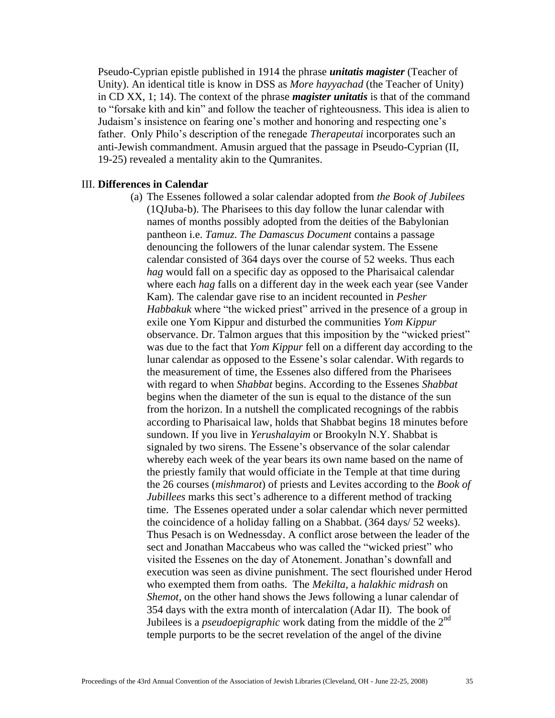Pseudo-Cyprian epistle published in 1914 the phrase *unitatis magister* (Teacher of Unity). An identical title is know in DSS as *More hayyachad* (the Teacher of Unity) in CD XX, 1; 14). The context of the phrase *magister unitatis* is that of the command to "forsake kith and kin" and follow the teacher of righteousness. This idea is alien to Judaism's insistence on fearing one's mother and honoring and respecting one's father. Only Philo's description of the renegade *Therapeutai* incorporates such an anti-Jewish commandment. Amusin argued that the passage in Pseudo-Cyprian (II, 19-25) revealed a mentality akin to the Qumranites.

#### III. **Differences in Calendar**

(a) The Essenes followed a solar calendar adopted from *the Book of Jubilees* (1QJuba-b). The Pharisees to this day follow the lunar calendar with names of months possibly adopted from the deities of the Babylonian pantheon i.e. *Tamuz*. *The Damascus Document* contains a passage denouncing the followers of the lunar calendar system. The Essene calendar consisted of 364 days over the course of 52 weeks. Thus each *hag* would fall on a specific day as opposed to the Pharisaical calendar where each *hag* falls on a different day in the week each year (see Vander Kam). The calendar gave rise to an incident recounted in *Pesher Habbakuk* where "the wicked priest" arrived in the presence of a group in exile one Yom Kippur and disturbed the communities *Yom Kippur* observance. Dr. Talmon argues that this imposition by the "wicked priest" was due to the fact that *Yom Kippur* fell on a different day according to the lunar calendar as opposed to the Essene's solar calendar. With regards to the measurement of time, the Essenes also differed from the Pharisees with regard to when *Shabbat* begins. According to the Essenes *Shabbat* begins when the diameter of the sun is equal to the distance of the sun from the horizon. In a nutshell the complicated recognings of the rabbis according to Pharisaical law, holds that Shabbat begins 18 minutes before sundown. If you live in *Yerushalayim* or Brookyln N.Y. Shabbat is signaled by two sirens. The Essene's observance of the solar calendar whereby each week of the year bears its own name based on the name of the priestly family that would officiate in the Temple at that time during the 26 courses (*mishmarot*) of priests and Levites according to the *Book of Jubillees* marks this sect's adherence to a different method of tracking time. The Essenes operated under a solar calendar which never permitted the coincidence of a holiday falling on a Shabbat. (364 days/ 52 weeks). Thus Pesach is on Wednessday. A conflict arose between the leader of the sect and Jonathan Maccabeus who was called the "wicked priest" who visited the Essenes on the day of Atonement. Jonathan's downfall and execution was seen as divine punishment. The sect flourished under Herod who exempted them from oaths. The *Mekilta*, a *halakhic midrash* on *Shemot,* on the other hand shows the Jews following a lunar calendar of 354 days with the extra month of intercalation (Adar II). The book of Jubilees is a *pseudoepigraphic* work dating from the middle of the 2nd temple purports to be the secret revelation of the angel of the divine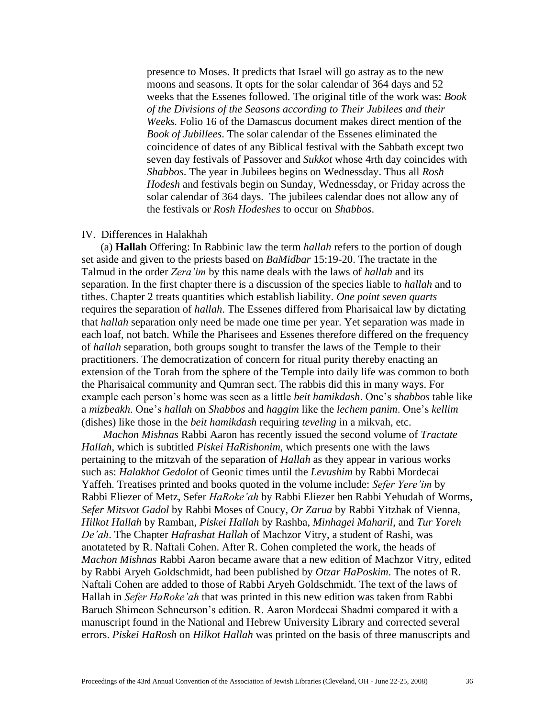presence to Moses. It predicts that Israel will go astray as to the new moons and seasons. It opts for the solar calendar of 364 days and 52 weeks that the Essenes followed. The original title of the work was: *Book of the Divisions of the Seasons according to Their Jubilees and their Weeks.* Folio 16 of the Damascus document makes direct mention of the *Book of Jubillees*. The solar calendar of the Essenes eliminated the coincidence of dates of any Biblical festival with the Sabbath except two seven day festivals of Passover and *Sukkot* whose 4rth day coincides with *Shabbos*. The year in Jubilees begins on Wednessday. Thus all *Rosh Hodesh* and festivals begin on Sunday, Wednessday, or Friday across the solar calendar of 364 days. The jubilees calendar does not allow any of the festivals or *Rosh Hodeshes* to occur on *Shabbos*.

#### IV. Differences in Halakhah

 (a) **Hallah** Offering: In Rabbinic law the term *hallah* refers to the portion of dough set aside and given to the priests based on *BaMidbar* 15:19-20. The tractate in the Talmud in the order *Zera'im* by this name deals with the laws of *hallah* and its separation. In the first chapter there is a discussion of the species liable to *hallah* and to tithes. Chapter 2 treats quantities which establish liability. *One point seven quarts* requires the separation of *hallah*. The Essenes differed from Pharisaical law by dictating that *hallah* separation only need be made one time per year. Yet separation was made in each loaf, not batch. While the Pharisees and Essenes therefore differed on the frequency of *hallah* separation, both groups sought to transfer the laws of the Temple to their practitioners. The democratization of concern for ritual purity thereby enacting an extension of the Torah from the sphere of the Temple into daily life was common to both the Pharisaical community and Qumran sect. The rabbis did this in many ways. For example each person's home was seen as a little *beit hamikdash*. One's s*habbos* table like a *mizbeakh*. One's *hallah* on *Shabbos* and *haggim* like the *lechem panim*. One's *kellim* (dishes) like those in the *beit hamikdash* requiring *teveling* in a mikvah, etc.

 *Machon Mishnas* Rabbi Aaron has recently issued the second volume of *Tractate Hallah*, which is subtitled *Piskei HaRishonim*, which presents one with the laws pertaining to the mitzvah of the separation of *Hallah* as they appear in various works such as: *Halakhot Gedolot* of Geonic times until the *Levushim* by Rabbi Mordecai Yaffeh. Treatises printed and books quoted in the volume include: *Sefer Yere'im* by Rabbi Eliezer of Metz, Sefer *HaRoke'ah* by Rabbi Eliezer ben Rabbi Yehudah of Worms, *Sefer Mitsvot Gadol* by Rabbi Moses of Coucy, *Or Zarua* by Rabbi Yitzhak of Vienna, *Hilkot Hallah* by Ramban, *Piskei Hallah* by Rashba, *Minhagei Maharil*, and *Tur Yoreh De'ah*. The Chapter *Hafrashat Hallah* of Machzor Vitry, a student of Rashi, was anotateted by R. Naftali Cohen. After R. Cohen completed the work, the heads of *Machon Mishnas* Rabbi Aaron became aware that a new edition of Machzor Vitry, edited by Rabbi Aryeh Goldschmidt, had been published by *Otzar HaPoskim*. The notes of R. Naftali Cohen are added to those of Rabbi Aryeh Goldschmidt. The text of the laws of Hallah in *Sefer HaRoke'ah* that was printed in this new edition was taken from Rabbi Baruch Shimeon Schneurson's edition. R. Aaron Mordecai Shadmi compared it with a manuscript found in the National and Hebrew University Library and corrected several errors. *Piskei HaRosh* on *Hilkot Hallah* was printed on the basis of three manuscripts and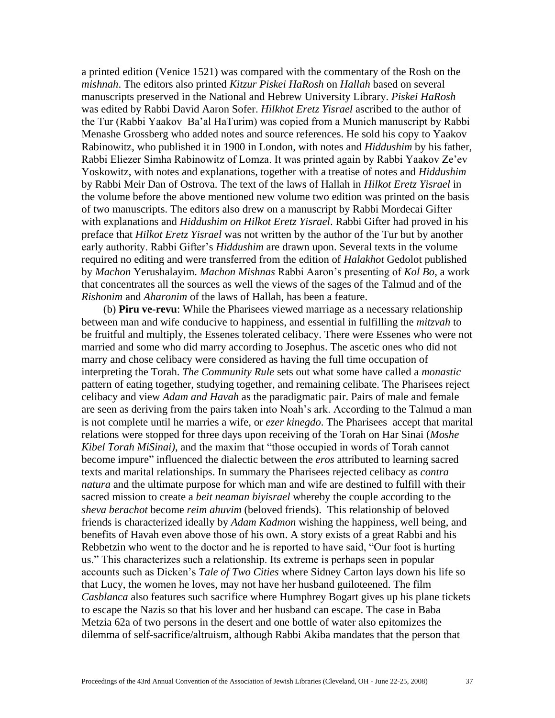a printed edition (Venice 1521) was compared with the commentary of the Rosh on the *mishnah*. The editors also printed *Kitzur Piskei HaRosh* on *Hallah* based on several manuscripts preserved in the National and Hebrew University Library. *Piskei HaRosh* was edited by Rabbi David Aaron Sofer. *Hilkhot Eretz Yisrael* ascribed to the author of the Tur (Rabbi Yaakov Ba'al HaTurim) was copied from a Munich manuscript by Rabbi Menashe Grossberg who added notes and source references. He sold his copy to Yaakov Rabinowitz, who published it in 1900 in London, with notes and *Hiddushim* by his father, Rabbi Eliezer Simha Rabinowitz of Lomza. It was printed again by Rabbi Yaakov Ze'ev Yoskowitz, with notes and explanations, together with a treatise of notes and *Hiddushim* by Rabbi Meir Dan of Ostrova. The text of the laws of Hallah in *Hilkot Eretz Yisrael* in the volume before the above mentioned new volume two edition was printed on the basis of two manuscripts. The editors also drew on a manuscript by Rabbi Mordecai Gifter with explanations and *Hiddushim on Hilkot Eretz Yisrael*. Rabbi Gifter had proved in his preface that *Hilkot Eretz Yisrael* was not written by the author of the Tur but by another early authority. Rabbi Gifter's *Hiddushim* are drawn upon. Several texts in the volume required no editing and were transferred from the edition of *Halakhot* Gedolot published by *Machon* Yerushalayim. *Machon Mishnas* Rabbi Aaron's presenting of *Kol Bo,* a work that concentrates all the sources as well the views of the sages of the Talmud and of the *Rishonim* and *Aharonim* of the laws of Hallah, has been a feature.

 (b) **Piru ve-revu**: While the Pharisees viewed marriage as a necessary relationship between man and wife conducive to happiness, and essential in fulfilling the *mitzvah* to be fruitful and multiply, the Essenes tolerated celibacy. There were Essenes who were not married and some who did marry according to Josephus. The ascetic ones who did not marry and chose celibacy were considered as having the full time occupation of interpreting the Torah. *The Community Rule* sets out what some have called a *monastic* pattern of eating together, studying together, and remaining celibate. The Pharisees reject celibacy and view *Adam and Havah* as the paradigmatic pair. Pairs of male and female are seen as deriving from the pairs taken into Noah's ark. According to the Talmud a man is not complete until he marries a wife, or *ezer kinegdo*. The Pharisees accept that marital relations were stopped for three days upon receiving of the Torah on Har Sinai (*Moshe Kibel Torah MiSinai)*, and the maxim that "those occupied in words of Torah cannot become impure" influenced the dialectic between the *eros* attributed to learning sacred texts and marital relationships. In summary the Pharisees rejected celibacy as *contra natura* and the ultimate purpose for which man and wife are destined to fulfill with their sacred mission to create a *beit neaman biyisrael* whereby the couple according to the *sheva berachot* become *reim ahuvim* (beloved friends). This relationship of beloved friends is characterized ideally by *Adam Kadmon* wishing the happiness, well being, and benefits of Havah even above those of his own. A story exists of a great Rabbi and his Rebbetzin who went to the doctor and he is reported to have said, "Our foot is hurting us." This characterizes such a relationship. Its extreme is perhaps seen in popular accounts such as Dicken's *Tale of Two Cities* where Sidney Carton lays down his life so that Lucy, the women he loves, may not have her husband guiloteened. The film *Casblanca* also features such sacrifice where Humphrey Bogart gives up his plane tickets to escape the Nazis so that his lover and her husband can escape. The case in Baba Metzia 62a of two persons in the desert and one bottle of water also epitomizes the dilemma of self-sacrifice/altruism, although Rabbi Akiba mandates that the person that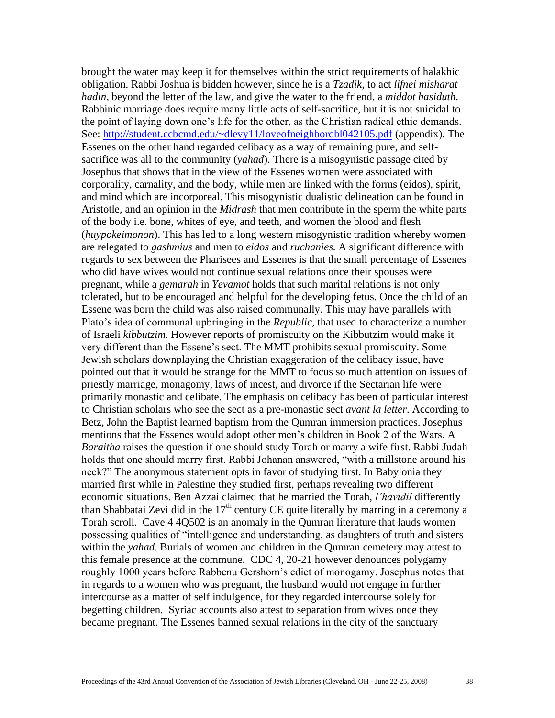brought the water may keep it for themselves within the strict requirements of halakhic obligation. Rabbi Joshua is bidden however, since he is a *Tzadik,* to act *lifnei misharat hadin*, beyond the letter of the law, and give the water to the friend, a *middot hasiduth*. Rabbinic marriage does require many little acts of self-sacrifice, but it is not suicidal to the point of laying down one's life for the other, as the Christian radical ethic demands. See:<http://student.ccbcmd.edu/~dlevy11/loveofneighbordbl042105.pdf> (appendix). The Essenes on the other hand regarded celibacy as a way of remaining pure, and selfsacrifice was all to the community (*yahad*). There is a misogynistic passage cited by Josephus that shows that in the view of the Essenes women were associated with corporality, carnality, and the body, while men are linked with the forms (eidos), spirit, and mind which are incorporeal. This misogynistic dualistic delineation can be found in Aristotle, and an opinion in the *Midrash* that men contribute in the sperm the white parts of the body i.e. bone, whites of eye, and teeth, and women the blood and flesh (*huypokeimonon*). This has led to a long western misogynistic tradition whereby women are relegated to *gashmius* and men to *eidos* and *ruchanies.* A significant difference with regards to sex between the Pharisees and Essenes is that the small percentage of Essenes who did have wives would not continue sexual relations once their spouses were pregnant, while a *gemarah* in *Yevamot* holds that such marital relations is not only tolerated, but to be encouraged and helpful for the developing fetus. Once the child of an Essene was born the child was also raised communally. This may have parallels with Plato's idea of communal upbringing in the *Republic*, that used to characterize a number of Israeli *kibbutzim*. However reports of promiscuity on the Kibbutzim would make it very different than the Essene's sect. The MMT prohibits sexual promiscuity. Some Jewish scholars downplaying the Christian exaggeration of the celibacy issue, have pointed out that it would be strange for the MMT to focus so much attention on issues of priestly marriage, monagomy, laws of incest, and divorce if the Sectarian life were primarily monastic and celibate. The emphasis on celibacy has been of particular interest to Christian scholars who see the sect as a pre-monastic sect *avant la letter*. According to Betz, John the Baptist learned baptism from the Qumran immersion practices. Josephus mentions that the Essenes would adopt other men's children in Book 2 of the Wars. A *Baraitha* raises the question if one should study Torah or marry a wife first. Rabbi Judah holds that one should marry first. Rabbi Johanan answered, "with a millstone around his neck?" The anonymous statement opts in favor of studying first. In Babylonia they married first while in Palestine they studied first, perhaps revealing two different economic situations. Ben Azzai claimed that he married the Torah, *l'havidil* differently than Shabbatai Zevi did in the  $17<sup>th</sup>$  century CE quite literally by marring in a ceremony a Torah scroll. Cave 4 4Q502 is an anomaly in the Qumran literature that lauds women possessing qualities of "intelligence and understanding, as daughters of truth and sisters within the *yahad*. Burials of women and children in the Qumran cemetery may attest to this female presence at the commune. CDC 4, 20-21 however denounces polygamy roughly 1000 years before Rabbenu Gershom's edict of monogamy. Josephus notes that in regards to a women who was pregnant, the husband would not engage in further intercourse as a matter of self indulgence, for they regarded intercourse solely for begetting children. Syriac accounts also attest to separation from wives once they became pregnant. The Essenes banned sexual relations in the city of the sanctuary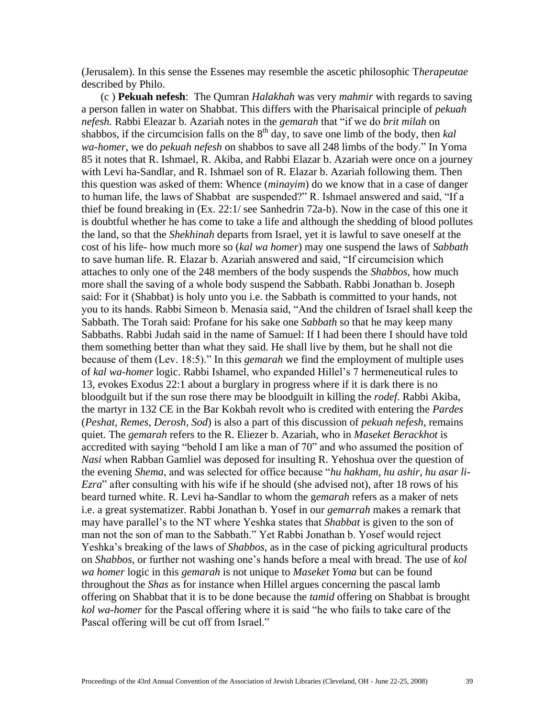(Jerusalem). In this sense the Essenes may resemble the ascetic philosophic T*herapeutae* described by Philo.

 (c ) **Pekuah nefesh**: The Qumran *Halakhah* was very *mahmir* with regards to saving a person fallen in water on Shabbat. This differs with the Pharisaical principle of *pekuah nefesh.* Rabbi Eleazar b. Azariah notes in the *gemarah* that "if we do *brit milah* on shabbos, if the circumcision falls on the 8<sup>th</sup> day, to save one limb of the body, then *kal wa-homer*, we do *pekuah nefesh* on shabbos to save all 248 limbs of the body." In Yoma 85 it notes that R. Ishmael, R. Akiba, and Rabbi Elazar b. Azariah were once on a journey with Levi ha-Sandlar, and R. Ishmael son of R. Elazar b. Azariah following them. Then this question was asked of them: Whence (*minayim*) do we know that in a case of danger to human life, the laws of Shabbat are suspended?" R. Ishmael answered and said, "If a thief be found breaking in (Ex. 22:1/ see Sanhedrin 72a-b). Now in the case of this one it is doubtful whether he has come to take a life and although the shedding of blood pollutes the land, so that the *Shekhinah* departs from Israel, yet it is lawful to save oneself at the cost of his life- how much more so (*kal wa homer*) may one suspend the laws of *Sabbath* to save human life. R. Elazar b. Azariah answered and said, "If circumcision which attaches to only one of the 248 members of the body suspends the *Shabbos*, how much more shall the saving of a whole body suspend the Sabbath. Rabbi Jonathan b. Joseph said: For it (Shabbat) is holy unto you i.e. the Sabbath is committed to your hands, not you to its hands. Rabbi Simeon b. Menasia said, "And the children of Israel shall keep the Sabbath. The Torah said: Profane for his sake one *Sabbath* so that he may keep many Sabbaths. Rabbi Judah said in the name of Samuel: If I had been there I should have told them something better than what they said. He shall live by them, but he shall not die because of them (Lev. 18:5)." In this *gemarah* we find the employment of multiple uses of *kal wa-homer* logic. Rabbi Ishamel, who expanded Hillel's 7 hermeneutical rules to 13, evokes Exodus 22:1 about a burglary in progress where if it is dark there is no bloodguilt but if the sun rose there may be bloodguilt in killing the *rodef*. Rabbi Akiba, the martyr in 132 CE in the Bar Kokbah revolt who is credited with entering the *Pardes* (*Peshat, Remes, Derosh, Sod*) is also a part of this discussion of *pekuah nefesh*, remains quiet. The *gemarah* refers to the R. Eliezer b. Azariah, who in *Maseket Berackhot* is accredited with saying "behold I am like a man of 70" and who assumed the position of *Nasi* when Rabban Gamliel was deposed for insulting R. Yehoshua over the question of the evening *Shema*, and was selected for office because "*hu hakham, hu ashir, hu asar li-Ezra*" after consulting with his wife if he should (she advised not), after 18 rows of his beard turned white. R. Levi ha-Sandlar to whom the g*emarah* refers as a maker of nets i.e. a great systematizer. Rabbi Jonathan b. Yosef in our *gemarrah* makes a remark that may have parallel's to the NT where Yeshka states that *Shabbat* is given to the son of man not the son of man to the Sabbath." Yet Rabbi Jonathan b. Yosef would reject Yeshka's breaking of the laws of *Shabbos*, as in the case of picking agricultural products on *Shabbos*, or further not washing one's hands before a meal with bread. The use of *kol wa homer* logic in this *gemarah* is not unique to *Maseket Yoma* but can be found throughout the *Shas* as for instance when Hillel argues concerning the pascal lamb offering on Shabbat that it is to be done because the *tamid* offering on Shabbat is brought *kol wa-homer* for the Pascal offering where it is said "he who fails to take care of the Pascal offering will be cut off from Israel."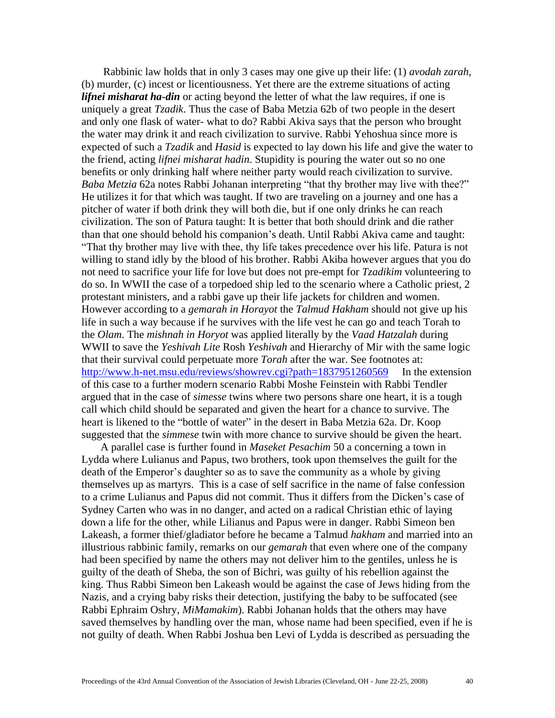Rabbinic law holds that in only 3 cases may one give up their life: (1) *avodah zarah*, (b) murder, (c) incest or licentiousness. Yet there are the extreme situations of acting *lifnei misharat ha-din* or acting beyond the letter of what the law requires, if one is uniquely a great *Tzadik*. Thus the case of Baba Metzia 62b of two people in the desert and only one flask of water- what to do? Rabbi Akiva says that the person who brought the water may drink it and reach civilization to survive. Rabbi Yehoshua since more is expected of such a *Tzadik* and *Hasid* is expected to lay down his life and give the water to the friend, acting *lifnei misharat hadin*. Stupidity is pouring the water out so no one benefits or only drinking half where neither party would reach civilization to survive. *Baba Metzia* 62a notes Rabbi Johanan interpreting "that thy brother may live with thee?" He utilizes it for that which was taught. If two are traveling on a journey and one has a pitcher of water if both drink they will both die, but if one only drinks he can reach civilization. The son of Patura taught: It is better that both should drink and die rather than that one should behold his companion's death. Until Rabbi Akiva came and taught: "That thy brother may live with thee, thy life takes precedence over his life. Patura is not willing to stand idly by the blood of his brother. Rabbi Akiba however argues that you do not need to sacrifice your life for love but does not pre-empt for *Tzadikim* volunteering to do so. In WWII the case of a torpedoed ship led to the scenario where a Catholic priest, 2 protestant ministers, and a rabbi gave up their life jackets for children and women. However according to a *gemarah in Horayot* the *Talmud Hakham* should not give up his life in such a way because if he survives with the life vest he can go and teach Torah to the *Olam*. The *mishnah in Horyot* was applied literally by the *Vaad Hatzalah* during WWII to save the *Yeshivah Lite* Rosh *Yeshivah* and Hierarchy of Mir with the same logic that their survival could perpetuate more *Torah* after the war. See footnotes at: <http://www.h-net.msu.edu/reviews/showrev.cgi?path=1837951260569>In the extension of this case to a further modern scenario Rabbi Moshe Feinstein with Rabbi Tendler argued that in the case of *simesse* twins where two persons share one heart, it is a tough call which child should be separated and given the heart for a chance to survive. The heart is likened to the "bottle of water" in the desert in Baba Metzia 62a. Dr. Koop suggested that the *simmese* twin with more chance to survive should be given the heart.

 A parallel case is further found in *Maseket Pesachim* 50 a concerning a town in Lydda where Lulianus and Papus, two brothers, took upon themselves the guilt for the death of the Emperor's daughter so as to save the community as a whole by giving themselves up as martyrs. This is a case of self sacrifice in the name of false confession to a crime Lulianus and Papus did not commit. Thus it differs from the Dicken's case of Sydney Carten who was in no danger, and acted on a radical Christian ethic of laying down a life for the other, while Lilianus and Papus were in danger. Rabbi Simeon ben Lakeash, a former thief/gladiator before he became a Talmud *hakham* and married into an illustrious rabbinic family, remarks on our *gemarah* that even where one of the company had been specified by name the others may not deliver him to the gentiles, unless he is guilty of the death of Sheba, the son of Bichri, was guilty of his rebellion against the king. Thus Rabbi Simeon ben Lakeash would be against the case of Jews hiding from the Nazis, and a crying baby risks their detection, justifying the baby to be suffocated (see Rabbi Ephraim Oshry, *MiMamakim*). Rabbi Johanan holds that the others may have saved themselves by handling over the man, whose name had been specified, even if he is not guilty of death. When Rabbi Joshua ben Levi of Lydda is described as persuading the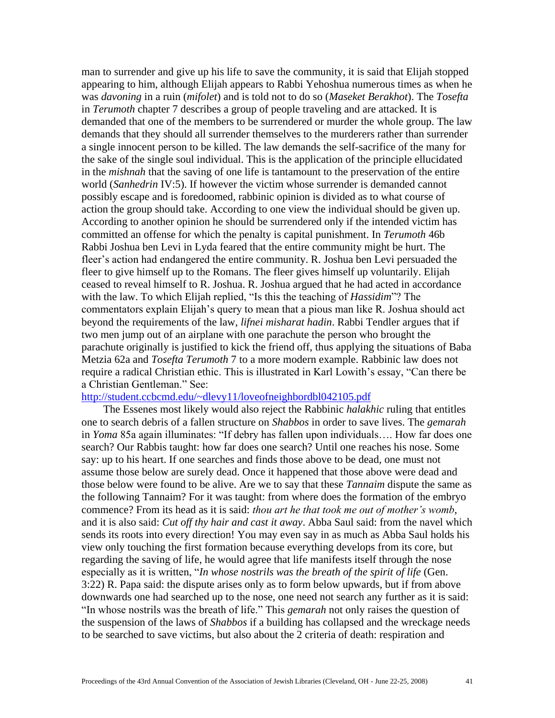man to surrender and give up his life to save the community, it is said that Elijah stopped appearing to him, although Elijah appears to Rabbi Yehoshua numerous times as when he was *davoning* in a ruin (*mifolet*) and is told not to do so (*Maseket Berakhot*). The *Tosefta* in *Terumoth* chapter 7 describes a group of people traveling and are attacked. It is demanded that one of the members to be surrendered or murder the whole group. The law demands that they should all surrender themselves to the murderers rather than surrender a single innocent person to be killed. The law demands the self-sacrifice of the many for the sake of the single soul individual. This is the application of the principle ellucidated in the *mishnah* that the saving of one life is tantamount to the preservation of the entire world (*Sanhedrin* IV:5). If however the victim whose surrender is demanded cannot possibly escape and is foredoomed, rabbinic opinion is divided as to what course of action the group should take. According to one view the individual should be given up. According to another opinion he should be surrendered only if the intended victim has committed an offense for which the penalty is capital punishment. In *Terumoth* 46b Rabbi Joshua ben Levi in Lyda feared that the entire community might be hurt. The fleer's action had endangered the entire community. R. Joshua ben Levi persuaded the fleer to give himself up to the Romans. The fleer gives himself up voluntarily. Elijah ceased to reveal himself to R. Joshua. R. Joshua argued that he had acted in accordance with the law. To which Elijah replied, "Is this the teaching of *Hassidim*"? The commentators explain Elijah's query to mean that a pious man like R. Joshua should act beyond the requirements of the law, *lifnei misharat hadin*. Rabbi Tendler argues that if two men jump out of an airplane with one parachute the person who brought the parachute originally is justified to kick the friend off, thus applying the situations of Baba Metzia 62a and *Tosefta Terumoth* 7 to a more modern example. Rabbinic law does not require a radical Christian ethic. This is illustrated in Karl Lowith's essay, "Can there be a Christian Gentleman." See:

#### <http://student.ccbcmd.edu/~dlevy11/loveofneighbordbl042105.pdf>

 The Essenes most likely would also reject the Rabbinic *halakhic* ruling that entitles one to search debris of a fallen structure on *Shabbos* in order to save lives. The *gemarah* in *Yoma* 85a again illuminates: "If debry has fallen upon individuals…. How far does one search? Our Rabbis taught: how far does one search? Until one reaches his nose. Some say: up to his heart. If one searches and finds those above to be dead, one must not assume those below are surely dead. Once it happened that those above were dead and those below were found to be alive. Are we to say that these *Tannaim* dispute the same as the following Tannaim? For it was taught: from where does the formation of the embryo commence? From its head as it is said: *thou art he that took me out of mother's womb*, and it is also said: *Cut off thy hair and cast it away*. Abba Saul said: from the navel which sends its roots into every direction! You may even say in as much as Abba Saul holds his view only touching the first formation because everything develops from its core, but regarding the saving of life, he would agree that life manifests itself through the nose especially as it is written, "*In whose nostrils was the breath of the spirit of life* (Gen. 3:22) R. Papa said: the dispute arises only as to form below upwards, but if from above downwards one had searched up to the nose, one need not search any further as it is said: "In whose nostrils was the breath of life." This *gemarah* not only raises the question of the suspension of the laws of *Shabbos* if a building has collapsed and the wreckage needs to be searched to save victims, but also about the 2 criteria of death: respiration and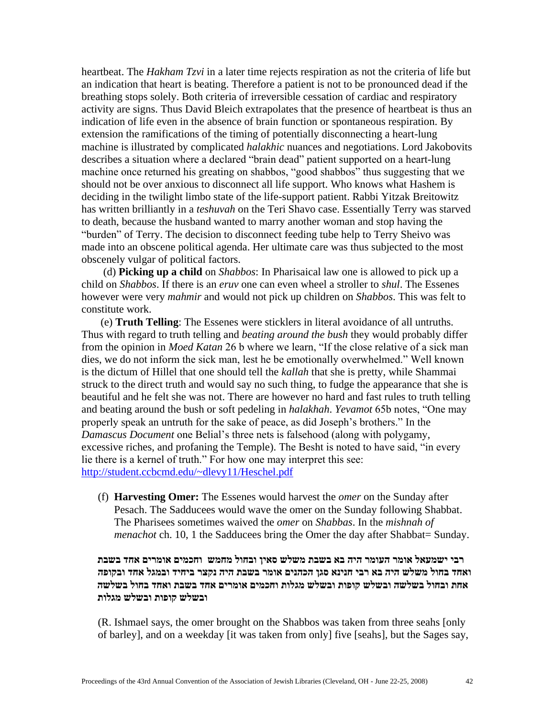heartbeat. The *Hakham Tzvi* in a later time rejects respiration as not the criteria of life but an indication that heart is beating. Therefore a patient is not to be pronounced dead if the breathing stops solely. Both criteria of irreversible cessation of cardiac and respiratory activity are signs. Thus David Bleich extrapolates that the presence of heartbeat is thus an indication of life even in the absence of brain function or spontaneous respiration. By extension the ramifications of the timing of potentially disconnecting a heart-lung machine is illustrated by complicated *halakhic* nuances and negotiations. Lord Jakobovits describes a situation where a declared "brain dead" patient supported on a heart-lung machine once returned his greating on shabbos, "good shabbos" thus suggesting that we should not be over anxious to disconnect all life support. Who knows what Hashem is deciding in the twilight limbo state of the life-support patient. Rabbi Yitzak Breitowitz has written brilliantly in a *teshuvah* on the Teri Shavo case. Essentially Terry was starved to death, because the husband wanted to marry another woman and stop having the "burden" of Terry. The decision to disconnect feeding tube help to Terry Sheivo was made into an obscene political agenda. Her ultimate care was thus subjected to the most obscenely vulgar of political factors.

 (d) **Picking up a child** on *Shabbos*: In Pharisaical law one is allowed to pick up a child on *Shabbos*. If there is an *eruv* one can even wheel a stroller to *shul*. The Essenes however were very *mahmir* and would not pick up children on *Shabbos*. This was felt to constitute work.

 (e) **Truth Telling**: The Essenes were sticklers in literal avoidance of all untruths. Thus with regard to truth telling and *beating around the bush* they would probably differ from the opinion in *Moed Katan* 26 b where we learn, "If the close relative of a sick man dies, we do not inform the sick man, lest he be emotionally overwhelmed." Well known is the dictum of Hillel that one should tell the *kallah* that she is pretty, while Shammai struck to the direct truth and would say no such thing, to fudge the appearance that she is beautiful and he felt she was not. There are however no hard and fast rules to truth telling and beating around the bush or soft pedeling in *halakhah*. *Yevamot* 65b notes, "One may properly speak an untruth for the sake of peace, as did Joseph's brothers." In the *Damascus Document* one Belial's three nets is falsehood (along with polygamy, excessive riches, and profaning the Temple). The Besht is noted to have said, "in every lie there is a kernel of truth." For how one may interpret this see: <http://student.ccbcmd.edu/~dlevy11/Heschel.pdf>

(f) **Harvesting Omer:** The Essenes would harvest the *omer* on the Sunday after Pesach. The Sadducees would wave the omer on the Sunday following Shabbat. The Pharisees sometimes waived the *omer* on *Shabbas*. In the *mishnah of menachot* ch. 10, 1 the Sadducees bring the Omer the day after Shabbat= Sunday.

## **רבי ישמעאל אומר העומר היה בא בשבת משלש סאין ובחול מחמש וחכמים אומרים אחד בשבת ואחד בחול משלש היה בא רבי חנינא סגן הכהנים אומר בשבת היה נקצר ביחיד ובמגל אחד ובקופה אחת ובחול בשלשה ובשלש קופות ובשלש מגלות וחכמים אומרים אחד בשבת ואחד בחול בשלשה ובשלש קופות ובשלש מגלות**

(R. Ishmael says, the omer brought on the Shabbos was taken from three seahs [only of barley], and on a weekday [it was taken from only] five [seahs], but the Sages say,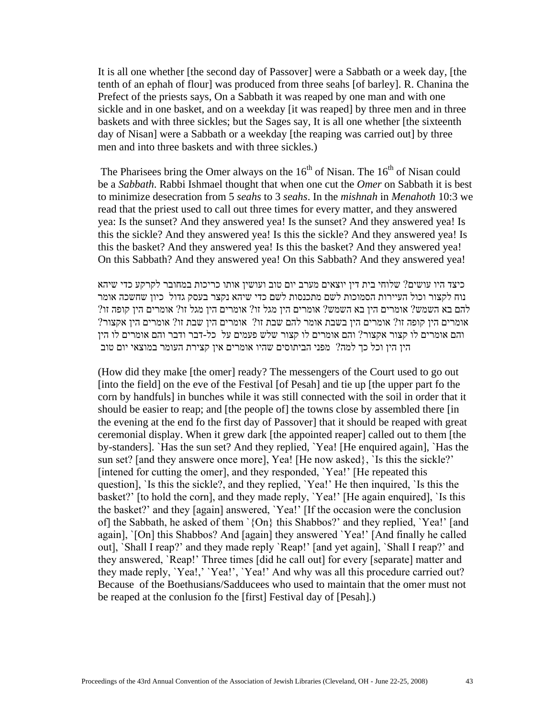It is all one whether [the second day of Passover] were a Sabbath or a week day, [the tenth of an ephah of flour] was produced from three seahs [of barley]. R. Chanina the Prefect of the priests says, On a Sabbath it was reaped by one man and with one sickle and in one basket, and on a weekday [it was reaped] by three men and in three baskets and with three sickles; but the Sages say, It is all one whether [the sixteenth day of Nisan] were a Sabbath or a weekday [the reaping was carried out] by three men and into three baskets and with three sickles.)

The Pharisees bring the Omer always on the  $16<sup>th</sup>$  of Nisan. The  $16<sup>th</sup>$  of Nisan could be a *Sabbath*. Rabbi Ishmael thought that when one cut the *Omer* on Sabbath it is best to minimize desecration from 5 *seahs* to 3 *seahs*. In the *mishnah* in *Menahoth* 10:3 we read that the priest used to call out three times for every matter, and they answered yea: Is the sunset? And they answered yea! Is the sunset? And they answered yea! Is this the sickle? And they answered yea! Is this the sickle? And they answered yea! Is this the basket? And they answered yea! Is this the basket? And they answered yea! On this Sabbath? And they answered yea! On this Sabbath? And they answered yea!

כיצד היו עושים? שלוחי בית דין יוצאים מערב יום טוב ועושין אותו כריכות במחובר לקרקע כדי שיהא נוח לקצור וכול העיירות הסמוכות לשם מתכנסות לשם כדי שיהא נקצר בעסק גדול כיון שחשכה אומר להם בא השמש? אומרים הין בא השמש? אומרים הין מגל זו? אומרים הין מגל זו? אומרים הין קופה זו? אומרים הין קופה זו? אומרים הין בשבת אומר להם שבת זו? אומרים הין שבת זו? אומרים הין אקצור? והם אומרים לו קצור אקצור? והם אומרים לו קצור שלש פעמים על כל-דבר ודבר והם אומרים לו הין הין הין וכל כך למה? מפני הביתוסים שהיו אומרים אין קצירת העומר במוצאי יום טוב

(How did they make [the omer] ready? The messengers of the Court used to go out [into the field] on the eve of the Festival [of Pesah] and tie up [the upper part fo the corn by handfuls] in bunches while it was still connected with the soil in order that it should be easier to reap; and [the people of] the towns close by assembled there [in the evening at the end fo the first day of Passover] that it should be reaped with great ceremonial display. When it grew dark [the appointed reaper] called out to them [the by-standers]. `Has the sun set? And they replied, `Yea! [He enquired again], `Has the sun set? [and they answere once more], Yea! [He now asked}, `Is this the sickle?' [intened for cutting the omer], and they responded, `Yea!' [He repeated this question], `Is this the sickle?, and they replied, `Yea!' He then inquired, `Is this the basket?' [to hold the corn], and they made reply, `Yea!' [He again enquired], `Is this the basket?' and they [again] answered, `Yea!' [If the occasion were the conclusion of] the Sabbath, he asked of them `{On} this Shabbos?' and they replied, `Yea!' [and again], `[On] this Shabbos? And [again] they answered `Yea!' [And finally he called out], `Shall I reap?' and they made reply `Reap!' [and yet again], `Shall I reap?' and they answered, `Reap!' Three times [did he call out] for every [separate] matter and they made reply, 'Yea!,' 'Yea!', 'Yea!' And why was all this procedure carried out? Because of the Boethusians/Sadducees who used to maintain that the omer must not be reaped at the conlusion fo the [first] Festival day of [Pesah].)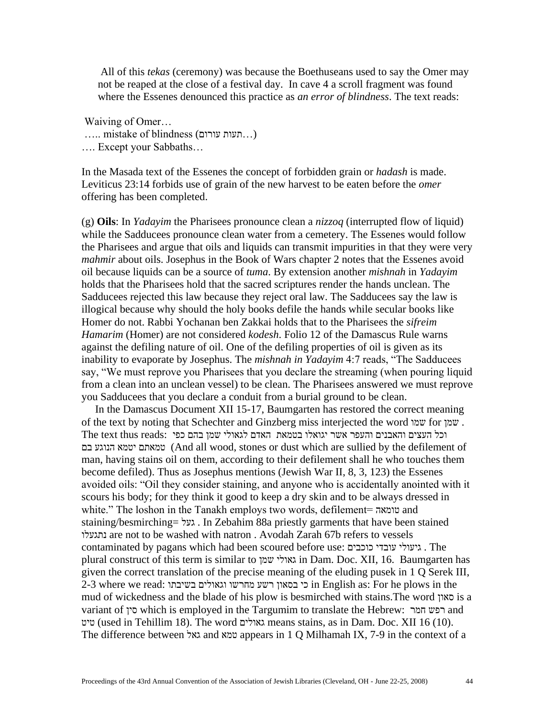All of this *tekas* (ceremony) was because the Boethuseans used to say the Omer may not be reaped at the close of a festival day. In cave 4 a scroll fragment was found where the Essenes denounced this practice as *an error of blindness*. The text reads:

Waiving of Omer…

 $\ldots$ .... mistake of blindness ( $\ldots$ ... תעות עורום...

…. Except your Sabbaths…

In the Masada text of the Essenes the concept of forbidden grain or *hadash* is made. Leviticus 23:14 forbids use of grain of the new harvest to be eaten before the *omer* offering has been completed.

(g) **Oils**: In *Yadayim* the Pharisees pronounce clean a *nizzoq* (interrupted flow of liquid) while the Sadducees pronounce clean water from a cemetery. The Essenes would follow the Pharisees and argue that oils and liquids can transmit impurities in that they were very *mahmir* about oils. Josephus in the Book of Wars chapter 2 notes that the Essenes avoid oil because liquids can be a source of *tuma*. By extension another *mishnah* in *Yadayim* holds that the Pharisees hold that the sacred scriptures render the hands unclean. The Sadducees rejected this law because they reject oral law. The Sadducees say the law is illogical because why should the holy books defile the hands while secular books like Homer do not. Rabbi Yochanan ben Zakkai holds that to the Pharisees the *sifreim Hamarim* (Homer) are not considered *kodesh*. Folio 12 of the Damascus Rule warns against the defiling nature of oil. One of the defiling properties of oil is given as its inability to evaporate by Josephus. The *mishnah in Yadayim* 4:7 reads, "The Sadducees say, "We must reprove you Pharisees that you declare the streaming (when pouring liquid from a clean into an unclean vessel) to be clean. The Pharisees answered we must reprove you Sadducees that you declare a conduit from a burial ground to be clean.

 In the Damascus Document XII 15-17, Baumgarten has restored the correct meaning of the text by noting that Schechter and Ginzberg miss interjected the word שמו for שמן . וכל העצים והאבנים והעפר אשר יגואלו בטמאת האדם לגאולי שמן בהם כפי :reads thus text The בם הנוגע יטמא טמאתם) And all wood, stones or dust which are sullied by the defilement of man, having stains oil on them, according to their defilement shall he who touches them become defiled). Thus as Josephus mentions (Jewish War II, 8, 3, 123) the Essenes avoided oils: "Oil they consider staining, and anyone who is accidentally anointed with it scours his body; for they think it good to keep a dry skin and to be always dressed in white." The loshon in the Tanakh employs two words, defilement= טומאה and staining/besmirching= געל . In Zebahim 88a priestly garments that have been stained נתגעלו are not to be washed with natron . Avodah Zarah 67b refers to vessels contaminated by pagans which had been scoured before use: כוכבים עובדי גיעולי . The plural construct of this term is similar to שמן גאולי in Dam. Doc. XII, 16. Baumgarten has given the correct translation of the precise meaning of the eluding pusek in 1 Q Serek III, 2-3 where we read: בשיבתו וגאולים מחרשו רשע בסאון כי in English as: For he plows in the mud of wickedness and the blade of his plow is besmirched with stains.The word סאון is a variant of סין which is employed in the Targumim to translate the Hebrew: חמר רפש and טיט) used in Tehillim 18). The word גאולים means stains, as in Dam. Doc. XII 16 (10). The difference between גאל and טמא appears in 1 Q Milhamah IX, 7-9 in the context of a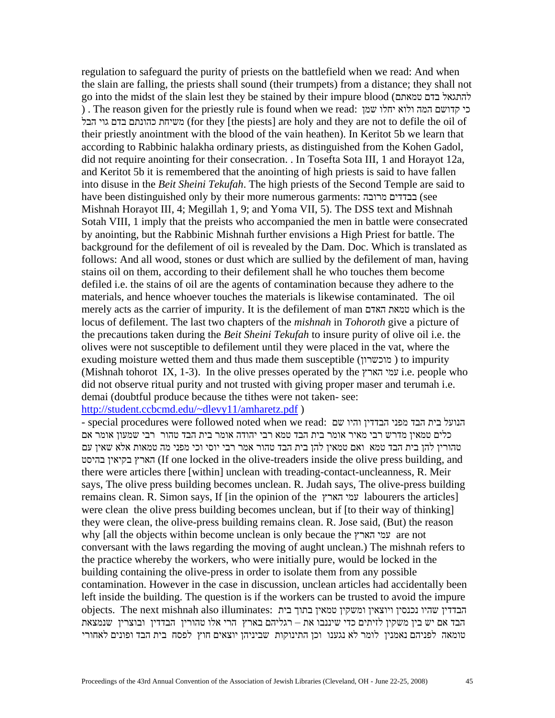regulation to safeguard the purity of priests on the battlefield when we read: And when the slain are falling, the priests shall sound (their trumpets) from a distance; they shall not go into the midst of the slain lest they be stained by their impure blood (טמאתם בדם להתגאל ) . The reason given for the priestly rule is found when we read: שמן יחלו ולוא המה קדושם כי הבל גוי בדם כהונתם משיחת) for they [the piests] are holy and they are not to defile the oil of their priestly anointment with the blood of the vain heathen). In Keritot 5b we learn that according to Rabbinic halakha ordinary priests, as distinguished from the Kohen Gadol, did not require anointing for their consecration. . In Tosefta Sota III, 1 and Horayot 12a, and Keritot 5b it is remembered that the anointing of high priests is said to have fallen into disuse in the *Beit Sheini Tekufah*. The high priests of the Second Temple are said to have been distinguished only by their more numerous garments: מרובה בבדדים) see Mishnah Horayot III, 4; Megillah 1, 9; and Yoma VII, 5). The DSS text and Mishnah Sotah VIII, 1 imply that the preists who accompanied the men in battle were consecrated by anointing, but the Rabbinic Mishnah further envisions a High Priest for battle. The background for the defilement of oil is revealed by the Dam. Doc. Which is translated as follows: And all wood, stones or dust which are sullied by the defilement of man, having stains oil on them, according to their defilement shall he who touches them become defiled i.e. the stains of oil are the agents of contamination because they adhere to the materials, and hence whoever touches the materials is likewise contaminated. The oil merely acts as the carrier of impurity. It is the defilement of man האדם טמאת which is the locus of defilement. The last two chapters of the *mishnah* in *Tohoroth* give a picture of the precautions taken during the *Beit Sheini Tekufah* to insure purity of olive oil i.e. the olives were not susceptible to defilement until they were placed in the vat, where the exuding moisture wetted them and thus made them susceptible (מוכשרון ( to impurity (Mishnah tohorot IX, 1-3). In the olive presses operated by the הארץ עמי i.e. people who did not observe ritual purity and not trusted with giving proper maser and terumah i.e. demai (doubtful produce because the tithes were not taken- see:

### <http://student.ccbcmd.edu/~dlevy11/amharetz.pdf> )

- special procedures were followed noted when we read: הנועל בית הבד מפני הבדדין והיו שם כלים טמאין מדרש רבי מאיר אומר בית הבד טמא רבי יהודה אומר בית הבד טהור רבי שמעון אומר אם טהורין להן בית הבד טמא ואם טמאין להן בית הבד טהור אמר רבי יוסי וכי מפני מה טמאות אלא שאין עם בהיסט בקיאין הארץ) If one locked in the olive-treaders inside the olive press building, and there were articles there [within] unclean with treading-contact-uncleanness, R. Meir says, The olive press building becomes unclean. R. Judah says, The olive-press building remains clean. R. Simon says, If [in the opinion of the הארץ עמי labourers the articles] were clean the olive press building becomes unclean, but if [to their way of thinking] they were clean, the olive-press building remains clean. R. Jose said, (But) the reason why [all the objects within become unclean is only becaue the הארץ עמי are not conversant with the laws regarding the moving of aught unclean.) The mishnah refers to the practice whereby the workers, who were initially pure, would be locked in the building containing the olive-press in order to isolate them from any possible contamination. However in the case in discussion, unclean articles had accidentally been left inside the building. The question is if the workers can be trusted to avoid the impure הבדדין שהיו נכנסין ויוצאין ומשקין טמאין בתוך בית :objects. The next mishnah also illuminates הבד אם יש בין משקין לזיתים כדי שיננבו את – רגליהם בארץ הרי אלו טהורין הבדדין ובוצרין שנמצאת טומאה לפניהם נאמנין לומר לא נגענו וכן התינוקות שביניהן יוצאים חוץ לפסח בית הבד ופונים לאחורי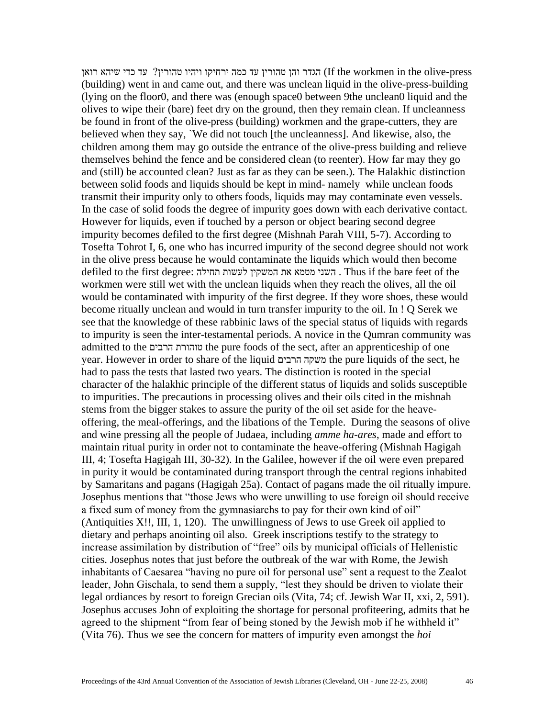press-olive the in workmen the If (הגדר והן טהורין עד כמה ירחיקו ויהיו טהורין? עד כדי שיהא רואן (building) went in and came out, and there was unclean liquid in the olive-press-building (lying on the floor0, and there was (enough space0 between 9the unclean0 liquid and the olives to wipe their (bare) feet dry on the ground, then they remain clean. If uncleanness be found in front of the olive-press (building) workmen and the grape-cutters, they are believed when they say, `We did not touch [the uncleanness]. And likewise, also, the children among them may go outside the entrance of the olive-press building and relieve themselves behind the fence and be considered clean (to reenter). How far may they go and (still) be accounted clean? Just as far as they can be seen.). The Halakhic distinction between solid foods and liquids should be kept in mind- namely while unclean foods transmit their impurity only to others foods, liquids may may contaminate even vessels. In the case of solid foods the degree of impurity goes down with each derivative contact. However for liquids, even if touched by a person or object bearing second degree impurity becomes defiled to the first degree (Mishnah Parah VIII, 5-7). According to Tosefta Tohrot I, 6, one who has incurred impurity of the second degree should not work in the olive press because he would contaminate the liquids which would then become defiled to the first degree: תחילה לעשות המשקין את מטמא השני . Thus if the bare feet of the workmen were still wet with the unclean liquids when they reach the olives, all the oil would be contaminated with impurity of the first degree. If they wore shoes, these would become ritually unclean and would in turn transfer impurity to the oil. In ! Q Serek we see that the knowledge of these rabbinic laws of the special status of liquids with regards to impurity is seen the inter-testamental periods. A novice in the Qumran community was admitted to the הרבים טוהורת the pure foods of the sect, after an apprenticeship of one year. However in order to share of the liquid הרבים משקה the pure liquids of the sect, he had to pass the tests that lasted two years. The distinction is rooted in the special character of the halakhic principle of the different status of liquids and solids susceptible to impurities. The precautions in processing olives and their oils cited in the mishnah stems from the bigger stakes to assure the purity of the oil set aside for the heaveoffering, the meal-offerings, and the libations of the Temple. During the seasons of olive and wine pressing all the people of Judaea, including *amme ha-ares*, made and effort to maintain ritual purity in order not to contaminate the heave-offering (Mishnah Hagigah III, 4; Tosefta Hagigah III, 30-32). In the Galilee, however if the oil were even prepared in purity it would be contaminated during transport through the central regions inhabited by Samaritans and pagans (Hagigah 25a). Contact of pagans made the oil ritually impure. Josephus mentions that "those Jews who were unwilling to use foreign oil should receive a fixed sum of money from the gymnasiarchs to pay for their own kind of oil" (Antiquities X!!, III, 1, 120). The unwillingness of Jews to use Greek oil applied to dietary and perhaps anointing oil also. Greek inscriptions testify to the strategy to increase assimilation by distribution of "free" oils by municipal officials of Hellenistic cities. Josephus notes that just before the outbreak of the war with Rome, the Jewish inhabitants of Caesarea "having no pure oil for personal use" sent a request to the Zealot leader, John Gischala, to send them a supply, "lest they should be driven to violate their legal ordiances by resort to foreign Grecian oils (Vita, 74; cf. Jewish War II, xxi, 2, 591). Josephus accuses John of exploiting the shortage for personal profiteering, admits that he agreed to the shipment "from fear of being stoned by the Jewish mob if he withheld it" (Vita 76). Thus we see the concern for matters of impurity even amongst the *hoi*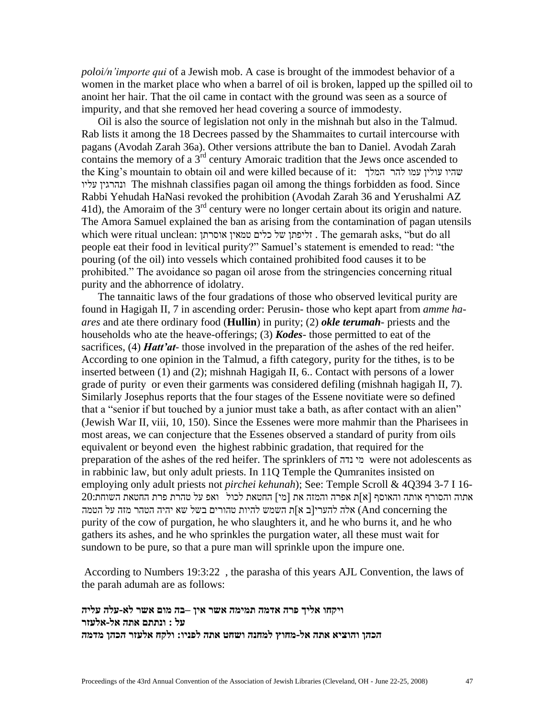*poloi/n'importe qui* of a Jewish mob. A case is brought of the immodest behavior of a women in the market place who when a barrel of oil is broken, lapped up the spilled oil to anoint her hair. That the oil came in contact with the ground was seen as a source of impurity, and that she removed her head covering a source of immodesty.

 Oil is also the source of legislation not only in the mishnah but also in the Talmud. Rab lists it among the 18 Decrees passed by the Shammaites to curtail intercourse with pagans (Avodah Zarah 36a). Other versions attribute the ban to Daniel. Avodah Zarah contains the memory of a  $3<sup>rd</sup>$  century Amoraic tradition that the Jews once ascended to the King's mountain to obtain oil and were killed because of it: המלך להר עמו עולין שהיו עליו ונהרגין The mishnah classifies pagan oil among the things forbidden as food. Since Rabbi Yehudah HaNasi revoked the prohibition (Avodah Zarah 36 and Yerushalmi AZ 41d), the Amoraim of the  $3<sup>rd</sup>$  century were no longer certain about its origin and nature. The Amora Samuel explained the ban as arising from the contamination of pagan utensils which were ritual unclean: אוסרתן טמאין כלים של זליפתן . The gemarah asks, "but do all people eat their food in levitical purity?" Samuel's statement is emended to read: "the pouring (of the oil) into vessels which contained prohibited food causes it to be prohibited." The avoidance so pagan oil arose from the stringencies concerning ritual purity and the abhorrence of idolatry.

 The tannaitic laws of the four gradations of those who observed levitical purity are found in Hagigah II, 7 in ascending order: Perusin- those who kept apart from *amme haares* and ate there ordinary food (**Hullin**) in purity; (2) *okle terumah-* priests and the households who ate the heave-offerings; (3) *Kodes-* those permitted to eat of the sacrifices, (4) *Hatt'at-* those involved in the preparation of the ashes of the red heifer. According to one opinion in the Talmud, a fifth category, purity for the tithes, is to be inserted between (1) and (2); mishnah Hagigah II, 6.. Contact with persons of a lower grade of purity or even their garments was considered defiling (mishnah hagigah II, 7). Similarly Josephus reports that the four stages of the Essene novitiate were so defined that a "senior if but touched by a junior must take a bath, as after contact with an alien" (Jewish War II, viii, 10, 150). Since the Essenes were more mahmir than the Pharisees in most areas, we can conjecture that the Essenes observed a standard of purity from oils equivalent or beyond even the highest rabbinic gradation, that required for the preparation of the ashes of the red heifer. The sprinklers of נדה מי were not adolescents as in rabbinic law, but only adult priests. In 11Q Temple the Qumranites insisted on employing only adult priests not *pirchei kehunah*); See: Temple Scroll & 4Q394 3-7 I 16-  $20$ אתוה והסורף אותה והאוסף [א]ת אפרה והמזה את [מי] החטאת לכול | ואפ על טהרת פרת החטאת השוחת the concerning And (אלה להערי]ב א[ת השמש להיות טהורים בשל שא יהיה הטהר מזה על הטמה purity of the cow of purgation, he who slaughters it, and he who burns it, and he who gathers its ashes, and he who sprinkles the purgation water, all these must wait for sundown to be pure, so that a pure man will sprinkle upon the impure one.

According to Numbers 19:3:22 , the parasha of this years AJL Convention, the laws of the parah adumah are as follows:

 **ויקחו אליך פרה אדמה תמימה אשר אין –בה מום אשר לא-עלה עליה על : ונתתם אתה אל-אלעזר הכהן והוציא אתה אל-מחוץ למחנה ושחט אתה לפניו: ולקח אלעזר הכהן מדמה**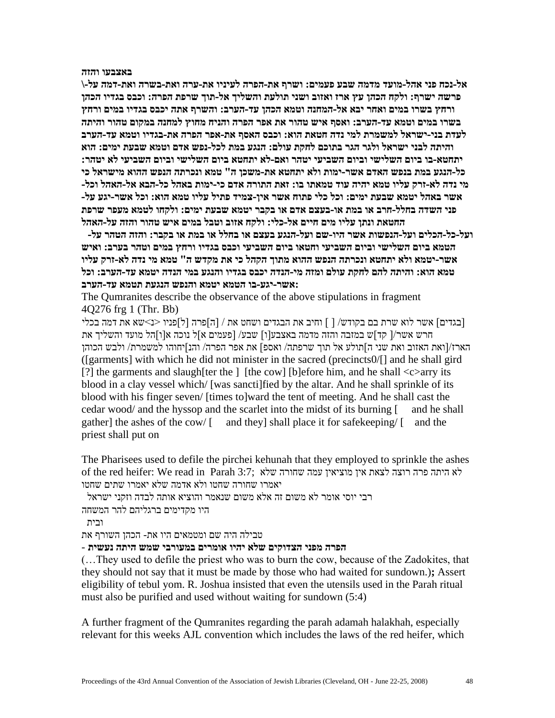**באצבעו והזה**

 **אל-נכח פני אהל-מועד מדמה שבע פעמים: ושרף את-הפרה לעיניו את-ערה ואת-בשרה ואת-דמה על-\ פרשה ישרף: ולקח הכהן עץ ארז ואזוב ושני תולעת והשליך אל-תוך שרפת הפרה: וכבס בגדיו הכהן ורחץ בשרו במים ואחר יבא אל-המחנה וטמא הכהן עד-הערב: והשרף אתה יכבס בגדיו במים ורחץ בשרו במים וטמא עד-הערב: ואסף איש טהור את אפר הפרה והניח מחוץ למחנה במקום טהור והיתה לעדת בני-ישראל למשמרת למי נדה חטאת הוא: וכבס האסף את-אפר הפרה את-בגדיו וטמא עד-הערב והיתה לבני ישראל ולגר הגר בתוכם לחקת עולם: הנגע במת לכל-נפש אדם וטמא שבעת ימים: הוא יתחטא-בו ביום השלישי וביום השביעי יטהר ואם-לא יתחטא ביום השלישי וביום השביעי לא יטהר: כל-הנגע במת בנפש האדם אשר-ימות ולא יתחטא את-משכן ה" טמא ונכרתה הנפש ההוא מישראל כי מי נדה לא-זרק עליו טמא יהיה עוד טמאתו בו: זאת התורה אדם כי-ימות באהל כל-הבא אל-האהל וכל- אשר באהל יטמא שבעת ימים: וכל כלי פתוח אשר אין-צמיד פתיל עליו טמא הוא: וכל אשר-יגע על- פני השדה בחלל-חרב או במת או-בעצם אדם או בקבר יטמא שבעת ימים: ולקחו לטמא מעפר שרפת החטאת ונתן עליו מים חיים אל-כלי: ולקח אזוב וטבל במים איש טהור והזה על-האהל**

**ועל-כל-הכלים ועל-הנפשות אשר היו-שם ועל-הנגע בעצם או בחלל או במת או בקבר: והזה הטהר על- הטמא ביום השלישי וביום השביעי וחטאו ביום השביעי וכבס בגדיו ורחץ במים וטהר בערב: ואיש אשר-יטמא ולא יתחטא ונכרתה הנפש ההוא מתוך הקהל כי את מקדש ה" טמא מי נדה לא-זרק עליו טמא הוא: והיתה להם לחקת עולם ומזה מי-הנדה יכבס בגדיו והנגע במי הנדה יטמא עד-הערב: וכל :אשר-יגע-בו הטמא יטמא והנפש הנגעת תטמא עד-הערב**

The Qumranites describe the observance of the above stipulations in fragment 4Q276 frg 1 (Thr. Bb)

]בגדים[ אשר לוא שרת בם בקודש/ ] [ וחיב את הבגדים ושחט את / ]ה[פרה ]ל[פניו >נ<שא את דמה בכלי חרש אשר/] קד[ש במזבה והזה מדמה באצבע]ו[ שבע/ ]פעמים א[ל נוכה א]ו[הל מועד והשליך את הארז/]ואת האזוב ואת שני ה[תולע אל תוך שרפתה/ ואספ[ את אפר הפרה/ והנ[יחוהו למשמרת/ ולבש הכוהן ([garments] with which he did not minister in the sacred (precincts0/[] and he shall gird [?] the garments and slaugh [ter the ] [the cow] [b] efore him, and he shall  $\langle c \rangle$  arry its blood in a clay vessel which/ [was sancti]fied by the altar. And he shall sprinkle of its blood with his finger seven/ [times to]ward the tent of meeting. And he shall cast the cedar wood/ and the hyssop and the scarlet into the midst of its burning [ and he shall gather] the ashes of the cow/  $\lceil$  and they] shall place it for safekeeping/ $\lceil$  and the priest shall put on

The Pharisees used to defile the pirchei kehunah that they employed to sprinkle the ashes לא היתה פרה רוצה לצאת אין מוציאין עמה שחורה שלא  $\tau$ :3 Parah 3:7: לא היתה שלא יאמרו שחורה שחטו ולא אדמה שלא יאמרו שתים שחטו

רבי יוסי אומר לא משום זה אלא משום שנאמר והוציא אותה לבדה וזקני ישראל

היו מקדימים ברגליהם להר המשחה

ובית

טבילה היה שם ומטמאים היו את- הכהן השורף את

# **הפרה מפני הצדוקים שלא יהיו אומרים במעורבי שמש היתה נעשית** -

(…They used to defile the priest who was to burn the cow, because of the Zadokites, that they should not say that it must be made by those who had waited for sundown.)**;** Assert eligibility of tebul yom. R. Joshua insisted that even the utensils used in the Parah ritual must also be purified and used without waiting for sundown (5:4)

A further fragment of the Qumranites regarding the parah adamah halakhah, especially relevant for this weeks AJL convention which includes the laws of the red heifer, which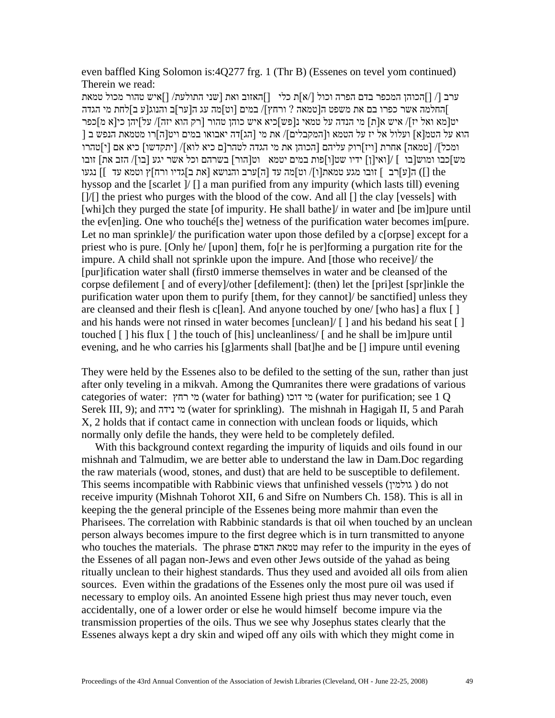even baffled King Solomon is:4Q277 frg. 1 (Thr B) (Essenes on tevel yom continued) Therein we read:

ערב ]/ ][הכוהן המכפר בדם הפרה וכול ]/א[ת כלי ][האזוב ואת ]שני התולעת/ ][איש טהור מכול טמאת [החלמה אשר כפרו בם את משפט ה]טמאה ? ורחץ[/ במים ]וט[מה עג ה]ער[ב והנוג]ע ב[לחת מי הגדה יט]מא ואל יז[/ איש א]ת[ מי הנדה על טמאי נ]פש[כיא איש כוהן טהור ]רק הוא יזה[/ על[יהן כי]א מ[כפר [ הוא על הטמ[א] ועלול אל יז על הטמא ו[המקבלים]/ את מי [הג]דה יאבואו במים ויט[ה]רו מטמאת הנפש ב ומכל[/ ]טמאה[ אחרת ]ויז[רוק עליהם ]הכוהן את מי הגדה לטהר]ם כיא לוא[/ ]יתקדשו[ כיא אם ]י[טהרו מש[כבו ומוש]בו ] /[ואי]ן[ ידיו שט]ו[פות במים יטמא וט]הור[ בשרהם וכל אשר יגע ]בו[/ הזב את[ זובו the ([] ה]ע[רב [ זובו מגע טמאת]ו[/ וט[מה עד ]ה[ערב והנושא ]את ב[גדיו ורח[ץ וטמא עד ][ נגעו hyssop and the [scarlet ]/ [] a man purified from any impurity (which lasts till) evening []/[] the priest who purges with the blood of the cow. And all [] the clay [vessels] with [whi]ch they purged the state [of impurity. He shall bathe]/ in water and [be im]pure until the ev[en]ing. One who touché[s the] wetness of the purification water becomes im[pure. Let no man sprinkle)/ the purification water upon those defiled by a c[orpse] except for a priest who is pure. [Only he/ [upon] them, fo[r he is per]forming a purgation rite for the impure. A child shall not sprinkle upon the impure. And [those who receive]/ the [pur]ification water shall (first0 immerse themselves in water and be cleansed of the corpse defilement [ and of every]/other [defilement]: (then) let the [pri]est [spr]inkle the purification water upon them to purify [them, for they cannot]/ be sanctified] unless they are cleansed and their flesh is c[lean]. And anyone touched by one/ [who has] a flux [ ] and his hands were not rinsed in water becomes [unclean]/ [ ] and his bedand his seat [ ] touched [ ] his flux [ ] the touch of [his] uncleanliness/ [ and he shall be im]pure until evening, and he who carries his [g]arments shall [bat]he and be [] impure until evening

They were held by the Essenes also to be defiled to the setting of the sun, rather than just after only teveling in a mikvah. Among the Qumranites there were gradations of various categories of water: רחץ מי) water for bathing) דוכו מי) water for purification; see 1 Q Serek III, 9); and נידה מי) water for sprinkling). The mishnah in Hagigah II, 5 and Parah X, 2 holds that if contact came in connection with unclean foods or liquids, which normally only defile the hands, they were held to be completely defiled.

 With this background context regarding the impurity of liquids and oils found in our mishnah and Talmudim, we are better able to understand the law in Dam.Doc regarding the raw materials (wood, stones, and dust) that are held to be susceptible to defilement. This seems incompatible with Rabbinic views that unfinished vessels (גולמין ( do not receive impurity (Mishnah Tohorot XII, 6 and Sifre on Numbers Ch. 158). This is all in keeping the the general principle of the Essenes being more mahmir than even the Pharisees. The correlation with Rabbinic standards is that oil when touched by an unclean person always becomes impure to the first degree which is in turn transmitted to anyone who touches the materials. The phrase האדם טמאת may refer to the impurity in the eyes of the Essenes of all pagan non-Jews and even other Jews outside of the yahad as being ritually unclean to their highest standards. Thus they used and avoided all oils from alien sources. Even within the gradations of the Essenes only the most pure oil was used if necessary to employ oils. An anointed Essene high priest thus may never touch, even accidentally, one of a lower order or else he would himself become impure via the transmission properties of the oils. Thus we see why Josephus states clearly that the Essenes always kept a dry skin and wiped off any oils with which they might come in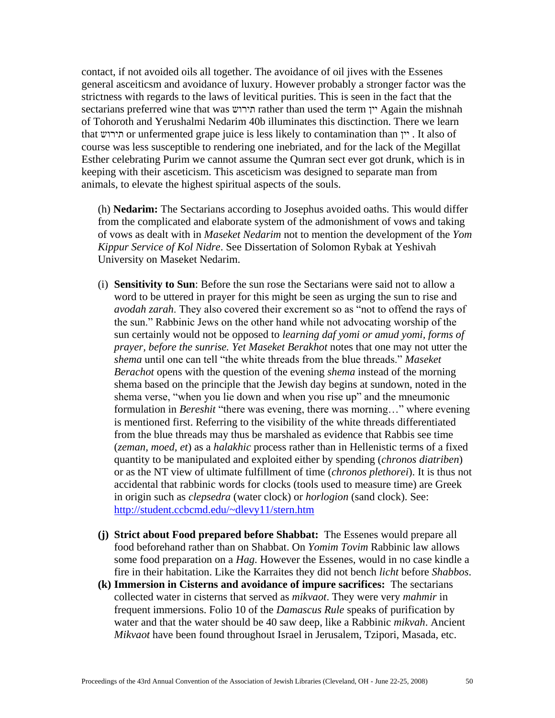contact, if not avoided oils all together. The avoidance of oil jives with the Essenes general asceiticsm and avoidance of luxury. However probably a stronger factor was the strictness with regards to the laws of levitical purities. This is seen in the fact that the sectarians preferred wine that was תירוש rather than used the term יין Again the mishnah of Tohoroth and Yerushalmi Nedarim 40b illuminates this disctinction. There we learn that תירוש or unfermented grape juice is less likely to contamination than יין . It also of course was less susceptible to rendering one inebriated, and for the lack of the Megillat Esther celebrating Purim we cannot assume the Qumran sect ever got drunk, which is in keeping with their asceticism. This asceticism was designed to separate man from animals, to elevate the highest spiritual aspects of the souls.

(h) **Nedarim:** The Sectarians according to Josephus avoided oaths. This would differ from the complicated and elaborate system of the admonishment of vows and taking of vows as dealt with in *Maseket Nedarim* not to mention the development of the *Yom Kippur Service of Kol Nidre*. See Dissertation of Solomon Rybak at Yeshivah University on Maseket Nedarim.

- (i) **Sensitivity to Sun**: Before the sun rose the Sectarians were said not to allow a word to be uttered in prayer for this might be seen as urging the sun to rise and *avodah zarah*. They also covered their excrement so as "not to offend the rays of the sun." Rabbinic Jews on the other hand while not advocating worship of the sun certainly would not be opposed to *learning daf yomi or amud yomi, forms of prayer, before the sunrise. Yet Maseket Berakhot* notes that one may not utter the *shema* until one can tell "the white threads from the blue threads." *Maseket Berachot* opens with the question of the evening *shema* instead of the morning shema based on the principle that the Jewish day begins at sundown, noted in the shema verse, "when you lie down and when you rise up" and the mneumonic formulation in *Bereshit* "there was evening, there was morning…" where evening is mentioned first. Referring to the visibility of the white threads differentiated from the blue threads may thus be marshaled as evidence that Rabbis see time (*zeman, moed, et*) as a *halakhic* process rather than in Hellenistic terms of a fixed quantity to be manipulated and exploited either by spending (*chronos diatriben*) or as the NT view of ultimate fulfillment of time (*chronos plethorei*). It is thus not accidental that rabbinic words for clocks (tools used to measure time) are Greek in origin such as *clepsedra* (water clock) or *horlogion* (sand clock). See: <http://student.ccbcmd.edu/~dlevy11/stern.htm>
- **(j) Strict about Food prepared before Shabbat:** The Essenes would prepare all food beforehand rather than on Shabbat. On *Yomim Tovim* Rabbinic law allows some food preparation on a *Hag*. However the Essenes, would in no case kindle a fire in their habitation. Like the Karraites they did not bench *licht* before *Shabbos*.
- **(k) Immersion in Cisterns and avoidance of impure sacrifices:** The sectarians collected water in cisterns that served as *mikvaot*. They were very *mahmir* in frequent immersions. Folio 10 of the *Damascus Rule* speaks of purification by water and that the water should be 40 saw deep, like a Rabbinic *mikvah*. Ancient *Mikvaot* have been found throughout Israel in Jerusalem, Tzipori, Masada, etc.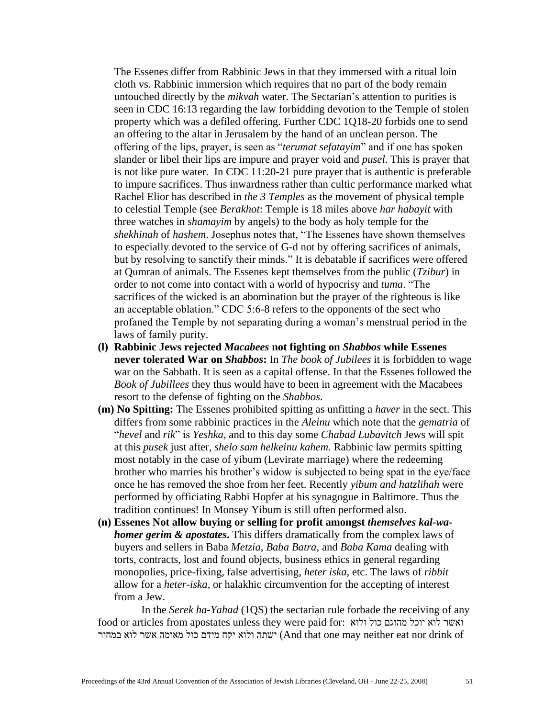The Essenes differ from Rabbinic Jews in that they immersed with a ritual loin cloth vs. Rabbinic immersion which requires that no part of the body remain untouched directly by the *mikvah* water. The Sectarian's attention to purities is seen in CDC 16:13 regarding the law forbidding devotion to the Temple of stolen property which was a defiled offering. Further CDC 1Q18-20 forbids one to send an offering to the altar in Jerusalem by the hand of an unclean person. The offering of the lips, prayer, is seen as "*terumat sefatayim*" and if one has spoken slander or libel their lips are impure and prayer void and *pusel*. This is prayer that is not like pure water. In CDC 11:20-21 pure prayer that is authentic is preferable to impure sacrifices. Thus inwardness rather than cultic performance marked what Rachel Elior has described in *the 3 Temples* as the movement of physical temple to celestial Temple (see *Berakhot*: Temple is 18 miles above *har habayit* with three watches in *shamayim* by angels) to the body as holy temple for the *shekhinah* of *hashem*. Josephus notes that, "The Essenes have shown themselves to especially devoted to the service of G-d not by offering sacrifices of animals, but by resolving to sanctify their minds." It is debatable if sacrifices were offered at Qumran of animals. The Essenes kept themselves from the public (*Tzibur*) in order to not come into contact with a world of hypocrisy and *tuma*. "The sacrifices of the wicked is an abomination but the prayer of the righteous is like an acceptable oblation." CDC 5:6-8 refers to the opponents of the sect who profaned the Temple by not separating during a woman's menstrual period in the laws of family purity.

- **(l) Rabbinic Jews rejected** *Macabees* **not fighting on** *Shabbos* **while Essenes never tolerated War on** *Shabbos***:** In *The book of Jubilees* it is forbidden to wage war on the Sabbath. It is seen as a capital offense. In that the Essenes followed the *Book of Jubillees* they thus would have to been in agreement with the Macabees resort to the defense of fighting on the *Shabbos*.
- **(m) No Spitting:** The Essenes prohibited spitting as unfitting a *haver* in the sect. This differs from some rabbinic practices in the *Aleinu* which note that the *gematria* of "*hevel* and *rik*" is *Yeshka*, and to this day some *Chabad Lubavitch* Jews will spit at this *pusek* just after, *shelo sam helkeinu kahem*. Rabbinic law permits spitting most notably in the case of yibum (Levirate marriage) where the redeeming brother who marries his brother's widow is subjected to being spat in the eye/face once he has removed the shoe from her feet. Recently *yibum and hatzlihah* were performed by officiating Rabbi Hopfer at his synagogue in Baltimore. Thus the tradition continues! In Monsey Yibum is still often performed also.
- **(n) Essenes Not allow buying or selling for profit amongst** *themselves kal-wahomer gerim & apostates***.** This differs dramatically from the complex laws of buyers and sellers in Baba *Metzia*, *Baba Batra*, and *Baba Kama* dealing with torts, contracts, lost and found objects, business ethics in general regarding monopolies, price-fixing, false advertising, *heter iska*, etc. The laws of *ribbit* allow for a *heter-iska*, or halakhic circumvention for the accepting of interest from a Jew.

In the *Serek ha-Yahad* (1QS) the sectarian rule forbade the receiving of any food or articles from apostates unless they were paid for: ולוא כול מהוגם יוכל לוא ואשר of drink nor eat neither may one that And (ישתה ולוא יקח מידם כול מאומה אשר לוא במחיר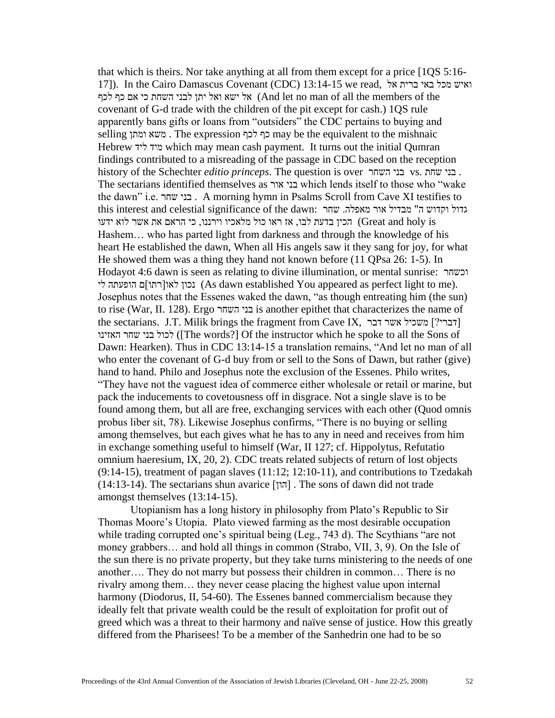that which is theirs. Nor take anything at all from them except for a price [1QS 5:16- 17]). In the Cairo Damascus Covenant (CDC) 13:14-15 we read, אל ברית באי מכל ואיש אל ישא ואל יתן לבני השחת כי אם כף לכף (And let no man of all the members of the covenant of G-d trade with the children of the pit except for cash.) 1QS rule apparently bans gifts or loans from "outsiders" the CDC pertains to buying and selling ומתן משא . The expression לכף כף may be the equivalent to the mishnaic Hebrew ליד מיד which may mean cash payment. It turns out the initial Qumran findings contributed to a misreading of the passage in CDC based on the reception history of the Schechter *editio princeps*. The question is over השחר בני vs. שחת בני . The sectarians identified themselves as אור בני which lends itself to those who "wake the dawn" i.e. שחר בני . A morning hymn in Psalms Scroll from Cave XI testifies to this interest and celestial significance of the dawn: אדול וקדוש ה" מבדיל אור מאפלה. הכין בדעת לבו, אז ראו כול מלאכיו וירננו, כי הראם את אשר לוא ידעו (Great and holy is Hashem… who has parted light from darkness and through the knowledge of his heart He established the dawn, When all His angels saw it they sang for joy, for what He showed them was a thing they hand not known before (11 QPsa 26: 1-5). In Hodayot 4:6 dawn is seen as relating to divine illumination, or mental sunrise: וכשחר לי הופעתה ם[רתו]לאו נכון) As dawn established You appeared as perfect light to me). Josephus notes that the Essenes waked the dawn, "as though entreating him (the sun) to rise (War, II. 128). Ergo השחר בני is another epithet that characterizes the name of the sectarians. J.T. Milik brings the fragment from Cave IX,  $\tau$ דברי?] משכיל אשר דבר לכול בני שחר האזינו ()) The words?] Of the instructor which he spoke to all the Sons of Dawn: Hearken). Thus in CDC 13:14-15 a translation remains, "And let no man of all who enter the covenant of G-d buy from or sell to the Sons of Dawn, but rather (give) hand to hand. Philo and Josephus note the exclusion of the Essenes. Philo writes, "They have not the vaguest idea of commerce either wholesale or retail or marine, but pack the inducements to covetousness off in disgrace. Not a single slave is to be found among them, but all are free, exchanging services with each other (Quod omnis probus liber sit, 78). Likewise Josephus confirms, "There is no buying or selling among themselves, but each gives what he has to any in need and receives from him in exchange something useful to himself (War, II 127; cf. Hippolytus, Refutatio omnium haeresium, IX, 20, 2). CDC treats related subjects of return of lost objects (9:14-15), treatment of pagan slaves (11:12; 12:10-11), and contributions to Tzedakah (14:13-14). The sectarians shun avarice ]הון ]. The sons of dawn did not trade amongst themselves (13:14-15).

 Utopianism has a long history in philosophy from Plato's Republic to Sir Thomas Moore's Utopia. Plato viewed farming as the most desirable occupation while trading corrupted one's spiritual being (Leg., 743 d). The Scythians "are not money grabbers… and hold all things in common (Strabo, VII, 3, 9). On the Isle of the sun there is no private property, but they take turns ministering to the needs of one another…. They do not marry but possess their children in common… There is no rivalry among them… they never cease placing the highest value upon internal harmony (Diodorus, II, 54-60). The Essenes banned commercialism because they ideally felt that private wealth could be the result of exploitation for profit out of greed which was a threat to their harmony and naïve sense of justice. How this greatly differed from the Pharisees! To be a member of the Sanhedrin one had to be so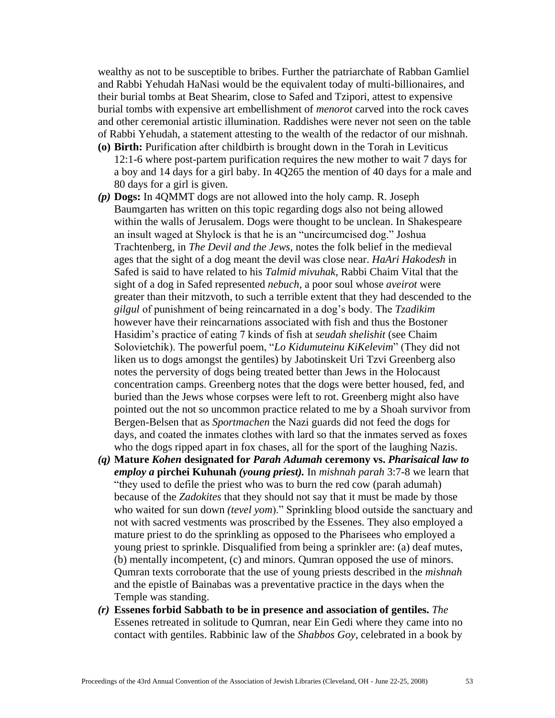wealthy as not to be susceptible to bribes. Further the patriarchate of Rabban Gamliel and Rabbi Yehudah HaNasi would be the equivalent today of multi-billionaires, and their burial tombs at Beat Shearim, close to Safed and Tzipori, attest to expensive burial tombs with expensive art embellishment of *menorot* carved into the rock caves and other ceremonial artistic illumination. Raddishes were never not seen on the table of Rabbi Yehudah, a statement attesting to the wealth of the redactor of our mishnah.

- **(o) Birth:** Purification after childbirth is brought down in the Torah in Leviticus 12:1-6 where post-partem purification requires the new mother to wait 7 days for a boy and 14 days for a girl baby. In 4Q265 the mention of 40 days for a male and 80 days for a girl is given.
- *(p)* **Dogs:** In 4QMMT dogs are not allowed into the holy camp. R. Joseph Baumgarten has written on this topic regarding dogs also not being allowed within the walls of Jerusalem. Dogs were thought to be unclean. In Shakespeare an insult waged at Shylock is that he is an "uncircumcised dog." Joshua Trachtenberg, in *The Devil and the Jews,* notes the folk belief in the medieval ages that the sight of a dog meant the devil was close near. *HaAri Hakodesh* in Safed is said to have related to his *Talmid mivuhak*, Rabbi Chaim Vital that the sight of a dog in Safed represented *nebuch*, a poor soul whose *aveirot* were greater than their mitzvoth, to such a terrible extent that they had descended to the *gilgul* of punishment of being reincarnated in a dog's body. The *Tzadikim* however have their reincarnations associated with fish and thus the Bostoner Hasidim's practice of eating 7 kinds of fish at *seudah shelishit* (see Chaim Solovietchik). The powerful poem, "*Lo Kidumuteinu KiKelevim*" (They did not liken us to dogs amongst the gentiles) by Jabotinskeit Uri Tzvi Greenberg also notes the perversity of dogs being treated better than Jews in the Holocaust concentration camps. Greenberg notes that the dogs were better housed, fed, and buried than the Jews whose corpses were left to rot. Greenberg might also have pointed out the not so uncommon practice related to me by a Shoah survivor from Bergen-Belsen that as *Sportmachen* the Nazi guards did not feed the dogs for days, and coated the inmates clothes with lard so that the inmates served as foxes who the dogs ripped apart in fox chases, all for the sport of the laughing Nazis.
- *(q)* **Mature** *Kohen* **designated for** *Parah Adumah* **ceremony vs.** *Pharisaical law to employ a* **pirchei Kuhunah** *(young priest).* In *mishnah parah* 3:7-8 we learn that "they used to defile the priest who was to burn the red cow (parah adumah) because of the *Zadokites* that they should not say that it must be made by those who waited for sun down *(tevel yom*)." Sprinkling blood outside the sanctuary and not with sacred vestments was proscribed by the Essenes. They also employed a mature priest to do the sprinkling as opposed to the Pharisees who employed a young priest to sprinkle. Disqualified from being a sprinkler are: (a) deaf mutes, (b) mentally incompetent, (c) and minors. Qumran opposed the use of minors. Qumran texts corroborate that the use of young priests described in the *mishnah*  and the epistle of Bainabas was a preventative practice in the days when the Temple was standing.
- *(r)* **Essenes forbid Sabbath to be in presence and association of gentiles.** *The*  Essenes retreated in solitude to Qumran, near Ein Gedi where they came into no contact with gentiles. Rabbinic law of the *Shabbos Goy*, celebrated in a book by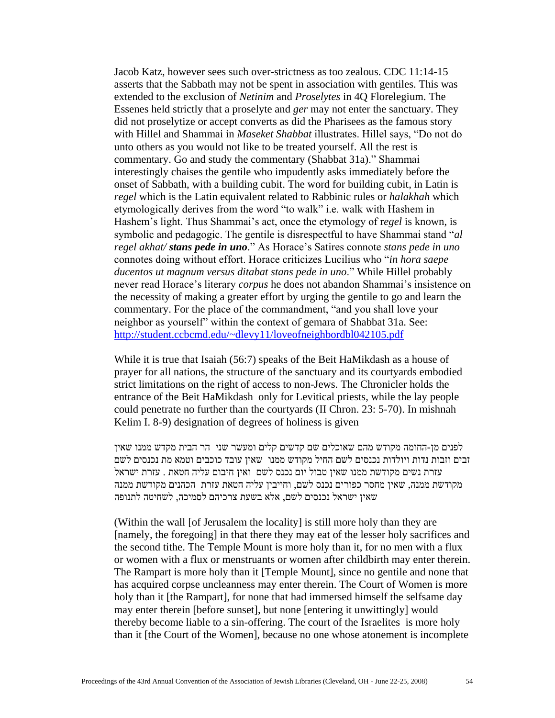Jacob Katz, however sees such over-strictness as too zealous. CDC 11:14-15 asserts that the Sabbath may not be spent in association with gentiles. This was extended to the exclusion of *Netinim* and *Proselytes* in 4Q Florelegium. The Essenes held strictly that a proselyte and *ger* may not enter the sanctuary. They did not proselytize or accept converts as did the Pharisees as the famous story with Hillel and Shammai in *Maseket Shabbat* illustrates. Hillel says, "Do not do unto others as you would not like to be treated yourself. All the rest is commentary. Go and study the commentary (Shabbat 31a)." Shammai interestingly chaises the gentile who impudently asks immediately before the onset of Sabbath, with a building cubit. The word for building cubit, in Latin is *regel* which is the Latin equivalent related to Rabbinic rules or *halakhah* which etymologically derives from the word "to walk" i.e. walk with Hashem in Hashem's light. Thus Shammai's act, once the etymology of r*egel* is known, is symbolic and pedagogic. The gentile is disrespectful to have Shammai stand "*al regel akhat/ stans pede in uno*." As Horace's Satires connote *stans pede in uno* connotes doing without effort. Horace criticizes Lucilius who "*in hora saepe ducentos ut magnum versus ditabat stans pede in uno*." While Hillel probably never read Horace's literary *corpus* he does not abandon Shammai's insistence on the necessity of making a greater effort by urging the gentile to go and learn the commentary. For the place of the commandment, "and you shall love your neighbor as yourself" within the context of gemara of Shabbat 31a. See: <http://student.ccbcmd.edu/~dlevy11/loveofneighbordbl042105.pdf>

While it is true that Isaiah (56:7) speaks of the Beit HaMikdash as a house of prayer for all nations, the structure of the sanctuary and its courtyards embodied strict limitations on the right of access to non-Jews. The Chronicler holds the entrance of the Beit HaMikdash only for Levitical priests, while the lay people could penetrate no further than the courtyards (II Chron. 23: 5-70). In mishnah Kelim I. 8-9) designation of degrees of holiness is given

לפנים מן-החומה מקודש מהם שאוכלים שם קדשים קלים ומעשר שני הר הבית מקדש ממנו שאין זבים וזבות נדות ויולדות נכנסים לשם החיל מקודש ממנו שאין עובד כוכבים וטמא מת נכנסים לשם עזרת נשים מקודשת ממנו שאין טבול יום נכנס לשם ואין חיבום עליה חטאת . עזרת ישראל מקודשת ממנה, שאין מחסר כפורים נכנס לשם, וחייבין עליה חטאת עזרת הכהנים מקודשת ממנה שאין ישראל נכנסים לשם, אלא בשעת צרכיהם לסמיכה, לשחיטה לתנופה

(Within the wall [of Jerusalem the locality] is still more holy than they are [namely, the foregoing] in that there they may eat of the lesser holy sacrifices and the second tithe. The Temple Mount is more holy than it, for no men with a flux or women with a flux or menstruants or women after childbirth may enter therein. The Rampart is more holy than it [Temple Mount], since no gentile and none that has acquired corpse uncleanness may enter therein. The Court of Women is more holy than it [the Rampart], for none that had immersed himself the selfsame day may enter therein [before sunset], but none [entering it unwittingly] would thereby become liable to a sin-offering. The court of the Israelites is more holy than it [the Court of the Women], because no one whose atonement is incomplete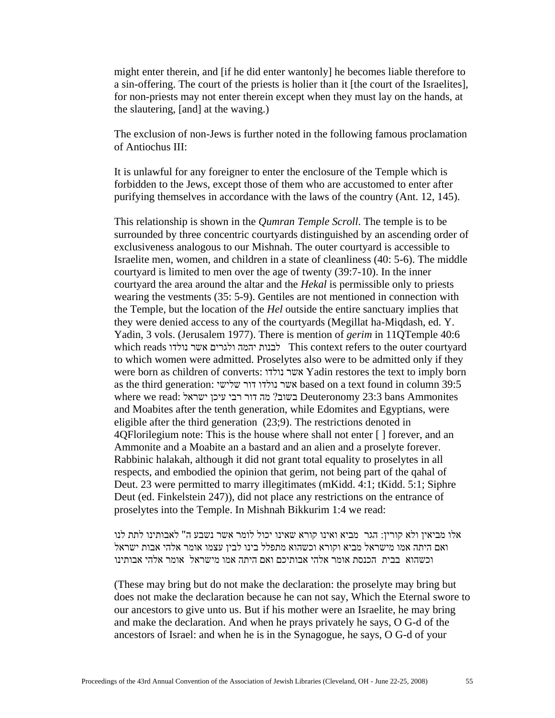might enter therein, and [if he did enter wantonly] he becomes liable therefore to a sin-offering. The court of the priests is holier than it [the court of the Israelites], for non-priests may not enter therein except when they must lay on the hands, at the slautering, [and] at the waving.)

The exclusion of non-Jews is further noted in the following famous proclamation of Antiochus III:

It is unlawful for any foreigner to enter the enclosure of the Temple which is forbidden to the Jews, except those of them who are accustomed to enter after purifying themselves in accordance with the laws of the country (Ant. 12, 145).

This relationship is shown in the *Qumran Temple Scroll*. The temple is to be surrounded by three concentric courtyards distinguished by an ascending order of exclusiveness analogous to our Mishnah. The outer courtyard is accessible to Israelite men, women, and children in a state of cleanliness (40: 5-6). The middle courtyard is limited to men over the age of twenty (39:7-10). In the inner courtyard the area around the altar and the *Hekal* is permissible only to priests wearing the vestments (35: 5-9). Gentiles are not mentioned in connection with the Temple, but the location of the *Hel* outside the entire sanctuary implies that they were denied access to any of the courtyards (Megillat ha-Miqdash, ed. Y. Yadin, 3 vols. (Jerusalem 1977). There is mention of *gerim* in 11QTemple 40:6 which reads נולדו אשר ולגרים יהמה לבנות This context refers to the outer courtyard to which women were admitted. Proselytes also were to be admitted only if they were born as children of converts: נולדו אשר Yadin restores the text to imply born as the third generation: שלישי דור נולדו אשר based on a text found in column 39:5 where we read: בשוב? מה דור רבי עיכן ישראל  $23:3$  bans Ammonites and Moabites after the tenth generation, while Edomites and Egyptians, were eligible after the third generation (23;9). The restrictions denoted in 4QFlorilegium note: This is the house where shall not enter [ ] forever, and an Ammonite and a Moabite an a bastard and an alien and a proselyte forever. Rabbinic halakah, although it did not grant total equality to proselytes in all respects, and embodied the opinion that gerim, not being part of the qahal of Deut. 23 were permitted to marry illegitimates (mKidd. 4:1; tKidd. 5:1; Siphre Deut (ed. Finkelstein 247)), did not place any restrictions on the entrance of proselytes into the Temple. In Mishnah Bikkurim 1:4 we read:

אלו מביאין ולא קורין: הגר מביא ואינו קורא שאינו יכול לומר אשר נשבע ה" לאבותינו לתת לנו ואם היתה אמו מישראל מביא וקורא וכשהוא מתפלל בינו לבין עצמו אומר אלהי אבות ישראל וכשהוא בבית הכנסת אומר אלהי אבותיכם ואם היתה אמו מישראל אומר אלהי אבותינו

(These may bring but do not make the declaration: the proselyte may bring but does not make the declaration because he can not say, Which the Eternal swore to our ancestors to give unto us. But if his mother were an Israelite, he may bring and make the declaration. And when he prays privately he says, O G-d of the ancestors of Israel: and when he is in the Synagogue, he says, O G-d of your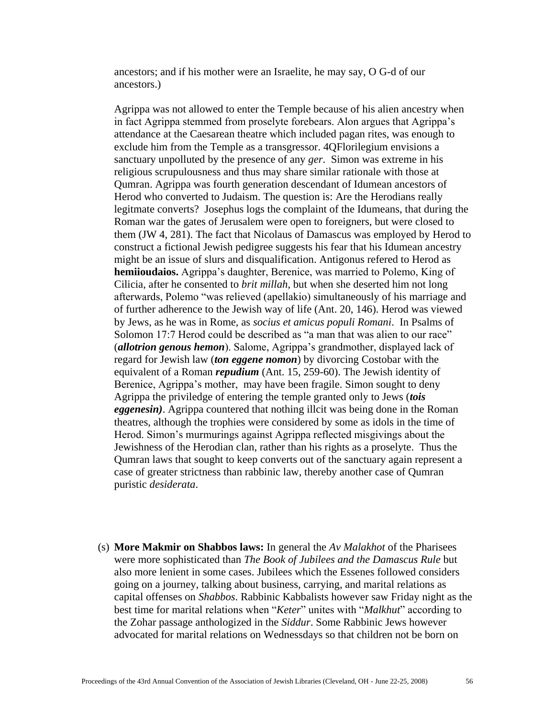ancestors; and if his mother were an Israelite, he may say, O G-d of our ancestors.)

Agrippa was not allowed to enter the Temple because of his alien ancestry when in fact Agrippa stemmed from proselyte forebears. Alon argues that Agrippa's attendance at the Caesarean theatre which included pagan rites, was enough to exclude him from the Temple as a transgressor. 4QFlorilegium envisions a sanctuary unpolluted by the presence of any *ger*. Simon was extreme in his religious scrupulousness and thus may share similar rationale with those at Qumran. Agrippa was fourth generation descendant of Idumean ancestors of Herod who converted to Judaism. The question is: Are the Herodians really legitmate converts? Josephus logs the complaint of the Idumeans, that during the Roman war the gates of Jerusalem were open to foreigners, but were closed to them (JW 4, 281). The fact that Nicolaus of Damascus was employed by Herod to construct a fictional Jewish pedigree suggests his fear that his Idumean ancestry might be an issue of slurs and disqualification. Antigonus refered to Herod as **hemiioudaios.** Agrippa's daughter, Berenice, was married to Polemo, King of Cilicia, after he consented to *brit millah*, but when she deserted him not long afterwards, Polemo "was relieved (apellakio) simultaneously of his marriage and of further adherence to the Jewish way of life (Ant. 20, 146). Herod was viewed by Jews, as he was in Rome, as *socius et amicus populi Romani*. In Psalms of Solomon 17:7 Herod could be described as "a man that was alien to our race" (*allotrion genous hemon*). Salome, Agrippa's grandmother, displayed lack of regard for Jewish law (*ton eggene nomon*) by divorcing Costobar with the equivalent of a Roman *repudium* (Ant. 15, 259-60). The Jewish identity of Berenice, Agrippa's mother, may have been fragile. Simon sought to deny Agrippa the priviledge of entering the temple granted only to Jews (*tois eggenesin)*. Agrippa countered that nothing illcit was being done in the Roman theatres, although the trophies were considered by some as idols in the time of Herod. Simon's murmurings against Agrippa reflected misgivings about the Jewishness of the Herodian clan, rather than his rights as a proselyte. Thus the Qumran laws that sought to keep converts out of the sanctuary again represent a case of greater strictness than rabbinic law, thereby another case of Qumran puristic *desiderata*.

(s) **More Makmir on Shabbos laws:** In general the *Av Malakhot* of the Pharisees were more sophisticated than *The Book of Jubilees and the Damascus Rule* but also more lenient in some cases. Jubilees which the Essenes followed considers going on a journey, talking about business, carrying, and marital relations as capital offenses on *Shabbos*. Rabbinic Kabbalists however saw Friday night as the best time for marital relations when "*Keter*" unites with "*Malkhut*" according to the Zohar passage anthologized in the *Siddur*. Some Rabbinic Jews however advocated for marital relations on Wednessdays so that children not be born on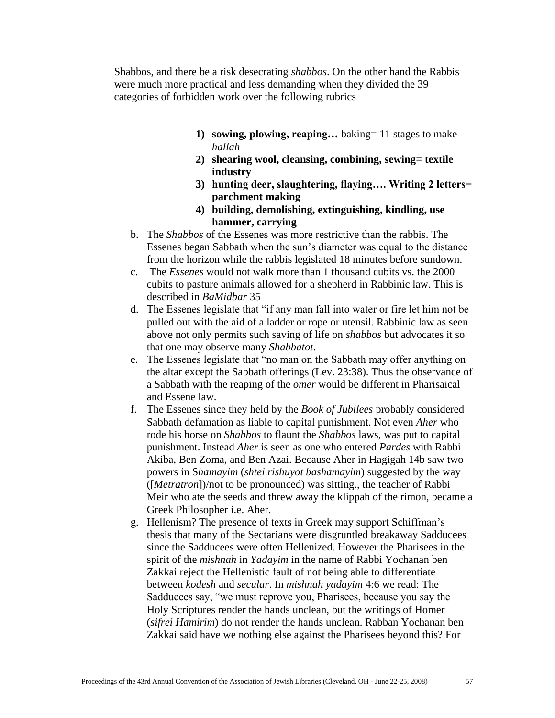Shabbos, and there be a risk desecrating *shabbos*. On the other hand the Rabbis were much more practical and less demanding when they divided the 39 categories of forbidden work over the following rubrics

- **1) sowing, plowing, reaping…** baking= 11 stages to make *hallah*
- **2) shearing wool, cleansing, combining, sewing= textile industry**
- **3) hunting deer, slaughtering, flaying…. Writing 2 letters= parchment making**
- **4) building, demolishing, extinguishing, kindling, use hammer, carrying**
- b. The *Shabbos* of the Essenes was more restrictive than the rabbis. The Essenes began Sabbath when the sun's diameter was equal to the distance from the horizon while the rabbis legislated 18 minutes before sundown.
- c. The *Essenes* would not walk more than 1 thousand cubits vs. the 2000 cubits to pasture animals allowed for a shepherd in Rabbinic law. This is described in *BaMidbar* 35
- d. The Essenes legislate that "if any man fall into water or fire let him not be pulled out with the aid of a ladder or rope or utensil. Rabbinic law as seen above not only permits such saving of life on *shabbos* but advocates it so that one may observe many *Shabbatot*.
- e. The Essenes legislate that "no man on the Sabbath may offer anything on the altar except the Sabbath offerings (Lev. 23:38). Thus the observance of a Sabbath with the reaping of the *omer* would be different in Pharisaical and Essene law.
- f. The Essenes since they held by the *Book of Jubilees* probably considered Sabbath defamation as liable to capital punishment. Not even *Aher* who rode his horse on *Shabbos* to flaunt the *Shabbos* laws, was put to capital punishment. Instead *Aher* is seen as one who entered *Pardes* with Rabbi Akiba, Ben Zoma, and Ben Azai. Because Aher in Hagigah 14b saw two powers in S*hamayim* (*shtei rishuyot bashamayim*) suggested by the way ([*Metratron*])/not to be pronounced) was sitting., the teacher of Rabbi Meir who ate the seeds and threw away the klippah of the rimon, became a Greek Philosopher i.e. Aher.
- g. Hellenism? The presence of texts in Greek may support Schiffman's thesis that many of the Sectarians were disgruntled breakaway Sadducees since the Sadducees were often Hellenized. However the Pharisees in the spirit of the *mishnah* in *Yadayim* in the name of Rabbi Yochanan ben Zakkai reject the Hellenistic fault of not being able to differentiate between *kodesh* and *secular*. In *mishnah yadayim* 4:6 we read: The Sadducees say, "we must reprove you, Pharisees, because you say the Holy Scriptures render the hands unclean, but the writings of Homer (*sifrei Hamirim*) do not render the hands unclean. Rabban Yochanan ben Zakkai said have we nothing else against the Pharisees beyond this? For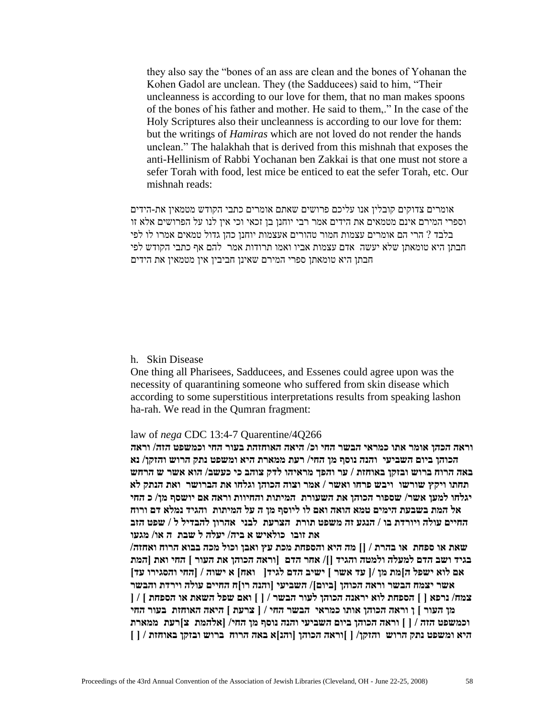they also say the "bones of an ass are clean and the bones of Yohanan the Kohen Gadol are unclean. They (the Sadducees) said to him, "Their uncleanness is according to our love for them, that no man makes spoons of the bones of his father and mother. He said to them,." In the case of the Holy Scriptures also their uncleanness is according to our love for them: but the writings of *Hamiras* which are not loved do not render the hands unclean." The halakhah that is derived from this mishnah that exposes the anti-Hellinism of Rabbi Yochanan ben Zakkai is that one must not store a sefer Torah with food, lest mice be enticed to eat the sefer Torah, etc. Our mishnah reads:

אומרים צדוקים קובלין אנו עליכם פרושים שאתם אומרים כתבי הקודש מטמאין את-הידים וספרי המירם אינם מטמאים את הידים אמר רבי יוחנן בן זכאי וכי אין לנו על הפרושים אלא זו בלבד ? הרי הם אומרים עצמות חמור טהורים אעצמות יוחנן כהן גדול טמאים אמרו לו לפי חבתן היא טומאתן שלא יעשה אדם עצמות אביו ואמו תרודות אמר להם אף כתבי הקודש לפי חבתן היא טומאתן ספרי המירם שאינן חביבין אין מטמאין את הידים

h. Skin Disease

One thing all Pharisees, Sadducees, and Essenes could agree upon was the necessity of quarantining someone who suffered from skin disease which according to some superstitious interpretations results from speaking lashon ha-rah. We read in the Qumran fragment:

### law of *nega* CDC 13:4-7 Quarentine/4Q266

**וראה הכהן אומר אתו כמראי הבשר החי וכ/ היאה האוחזהת בעור החי וכמשפט הזה/ וראה הכוהן ביום השביעי והנה נוסף מן החי/ רעת ממארת היא ומשפט נתק הרוש והזקן/ נא באה הרוח ברוש ובזקן באוחזת / ער והפך מראיהו לדק צוהב כי כעשב/ הוא אשר ש הרחש תחתו ויקץ שורשו ויבש פרחו ואשר / אמר וצוה הכוהן וגלחו את הברושר ואת הנתק לא יגלחו למען אשר/ שספור הכוהן את השעורת המיתות והחיוות וראה אם יושסף מן/ כ החי אל המת בשבעת הימים טמא הואה ואם לו ליוסף מן ה על המיתות והגיד נמלא דם ורוח החיים עולה ויורדת בו / הנגע זה משפט תורת הצרעת לבני אהרון להבדיל ל / שפט הזב את זובו כולאיש א ביה/ יעלה ל שבת ה או/ מגעו**

**שאת או ספחת או בהרת / ][ מה היא והספחת מכת עץ ואבן וכול מכה בבוא הרוח ואחזה/ בגיד ושב הדם למעלה ולמטה והגיד ][/ אחר הדם ]וראה הכוהן את העור [ החי ואת ]המת אם לוא ישפל ה[מת מן /] עד אשר [ ישיב הדם לגיד] ואח[ א ישוה / ]החי והסגירו עד[ אשר יצמח הבשר וראה הכוהן ]ביום[/ השביעי ]והנה רו[ח החיים עולה וירדת והבשר צמח/ נרפא ] [ הספחת לוא יראנה הכוהן לעור הבשר / ] [ ואם שפל השאת או הספחת [ / ] מן העור [ ן וראה הכוהן אותו כמראי הבשר החי / ] צרעת [ היאה האוחזת בעור החי וכמשפט הזה / ] [ וראה הכוהן ביום השביעי והנה נוסף מן החי/ ]אלהמת צ[רעת ממארת היא ומשפט נתק הרוש והזקן/ ] [וראה הכוהן ]והנ[א באה הרוח ברוש ובזקן באוחזת / ] [**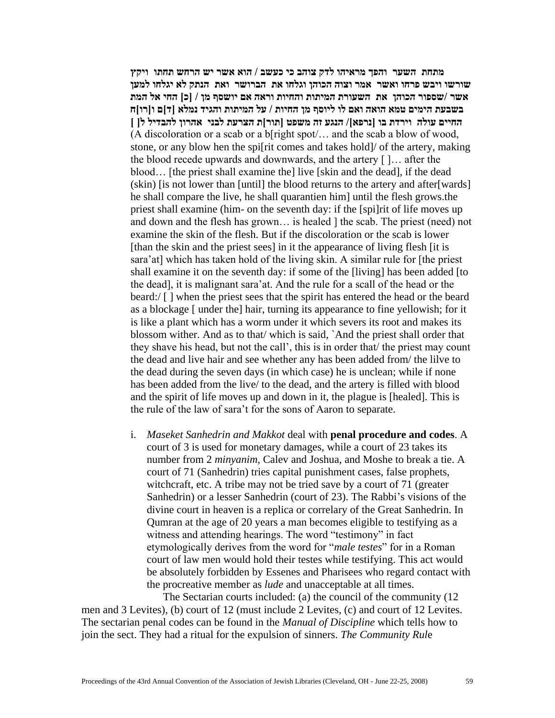**מתחת השער והפך מראיהו לדק צוהב כי כעשב / הוא אשר יש הרחש תחתו ויקץ שורשו ויבש פרחו ואשר אמר וצוה הכוהן וגלחו את הברושר ואת הנתק לא יגלחו למען אשר /שספור הכוהן את השעורת המיתות והחיות וראה אם יושסף מן / ]כ[ החי אל המת בשבעת הימים טמא הואה ואם לו ליוסף מן החיות / על המיתות והגיד נמלא ]ד[ם ו]רו[ח החיים עולה וירדת בו ]נרפא[/ הנגע זה משפט ]תור[ת הצרעת לבני אהרון להבדיל ל] [** (A discoloration or a scab or a b[right spot/… and the scab a blow of wood, stone, or any blow hen the spi[rit comes and takes hold]/ of the artery, making the blood recede upwards and downwards, and the artery [ ]… after the blood… [the priest shall examine the] live [skin and the dead], if the dead (skin) [is not lower than [until] the blood returns to the artery and after[wards] he shall compare the live, he shall quarantien him] until the flesh grows.the priest shall examine (him- on the seventh day: if the [spi]rit of life moves up and down and the flesh has grown… is healed ] the scab. The priest (need) not examine the skin of the flesh. But if the discoloration or the scab is lower [than the skin and the priest sees] in it the appearance of living flesh [it is sara'at] which has taken hold of the living skin. A similar rule for [the priest shall examine it on the seventh day: if some of the [living] has been added [to the dead], it is malignant sara'at. And the rule for a scall of the head or the beard:/ [ ] when the priest sees that the spirit has entered the head or the beard as a blockage [ under the] hair, turning its appearance to fine yellowish; for it is like a plant which has a worm under it which severs its root and makes its blossom wither. And as to that/ which is said, `And the priest shall order that they shave his head, but not the call', this is in order that/ the priest may count the dead and live hair and see whether any has been added from/ the lilve to the dead during the seven days (in which case) he is unclean; while if none has been added from the live/ to the dead, and the artery is filled with blood and the spirit of life moves up and down in it, the plague is [healed]. This is the rule of the law of sara't for the sons of Aaron to separate.

i. *Maseket Sanhedrin and Makkot* deal with **penal procedure and codes**. A court of 3 is used for monetary damages, while a court of 23 takes its number from 2 *minyanim*, Calev and Joshua, and Moshe to break a tie. A court of 71 (Sanhedrin) tries capital punishment cases, false prophets, witchcraft, etc. A tribe may not be tried save by a court of 71 (greater Sanhedrin) or a lesser Sanhedrin (court of 23). The Rabbi's visions of the divine court in heaven is a replica or correlary of the Great Sanhedrin. In Qumran at the age of 20 years a man becomes eligible to testifying as a witness and attending hearings. The word "testimony" in fact etymologically derives from the word for "*male testes*" for in a Roman court of law men would hold their testes while testifying. This act would be absolutely forbidden by Essenes and Pharisees who regard contact with the procreative member as *lude* and unacceptable at all times.

The Sectarian courts included: (a) the council of the community (12 men and 3 Levites), (b) court of 12 (must include 2 Levites, (c) and court of 12 Levites. The sectarian penal codes can be found in the *Manual of Discipline* which tells how to join the sect. They had a ritual for the expulsion of sinners. *The Community Rul*e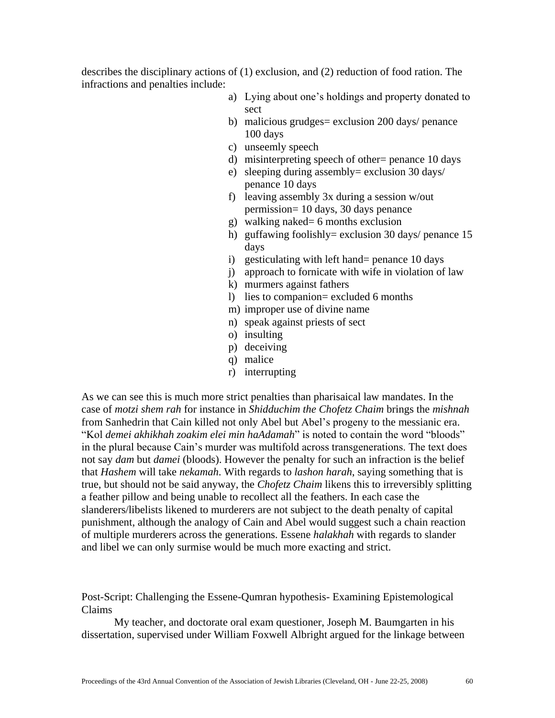describes the disciplinary actions of (1) exclusion, and (2) reduction of food ration. The infractions and penalties include:

- a) Lying about one's holdings and property donated to sect
- b) malicious grudges = exclusion 200 days/ penance 100 days
- c) unseemly speech
- d) misinterpreting speech of other= penance 10 days
- e) sleeping during assembly= exclusion 30 days/ penance 10 days
- f) leaving assembly 3x during a session w/out permission= 10 days, 30 days penance
- g) walking naked= 6 months exclusion
- h) guffawing foolishly= exclusion 30 days/ penance 15 days
- i) gesticulating with left hand= penance 10 days
- j) approach to fornicate with wife in violation of law
- k) murmers against fathers
- l) lies to companion= excluded 6 months
- m) improper use of divine name
- n) speak against priests of sect
- o) insulting
- p) deceiving
- q) malice
- r) interrupting

As we can see this is much more strict penalties than pharisaical law mandates. In the case of *motzi shem rah* for instance in *Shidduchim the Chofetz Chaim* brings the *mishnah* from Sanhedrin that Cain killed not only Abel but Abel's progeny to the messianic era. "Kol *demei akhikhah zoakim elei min haAdamah*" is noted to contain the word "bloods" in the plural because Cain's murder was multifold across transgenerations. The text does not say *dam* but *damei* (bloods). However the penalty for such an infraction is the belief that *Hashem* will take *nekamah*. With regards to *lashon harah*, saying something that is true, but should not be said anyway, the *Chofetz Chaim* likens this to irreversibly splitting a feather pillow and being unable to recollect all the feathers. In each case the slanderers/libelists likened to murderers are not subject to the death penalty of capital punishment, although the analogy of Cain and Abel would suggest such a chain reaction of multiple murderers across the generations. Essene *halakhah* with regards to slander and libel we can only surmise would be much more exacting and strict.

Post-Script: Challenging the Essene-Qumran hypothesis- Examining Epistemological Claims

My teacher, and doctorate oral exam questioner, Joseph M. Baumgarten in his dissertation, supervised under William Foxwell Albright argued for the linkage between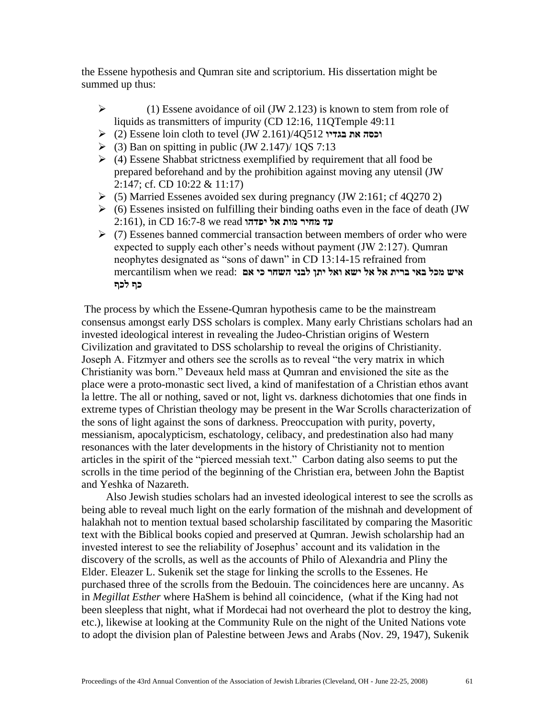the Essene hypothesis and Qumran site and scriptorium. His dissertation might be summed up thus:

- $\triangleright$  (1) Essene avoidance of oil (JW 2.123) is known to stem from role of liquids as transmitters of impurity (CD 12:16, 11OTemple 49:11)
- (2) Essene loin cloth to tevel (JW 2.161)/4Q512 **בגדיו את וכסה**
- $\triangleright$  (3) Ban on spitting in public (JW 2.147)/ 1QS 7:13
- $\triangleright$  (4) Essene Shabbat strictness exemplified by requirement that all food be prepared beforehand and by the prohibition against moving any utensil (JW 2:147; cf. CD 10:22 & 11:17)
- $\triangleright$  (5) Married Essenes avoided sex during pregnancy (JW 2:161; cf 4Q270 2)
- $\triangleright$  (6) Essenes insisted on fulfilling their binding oaths even in the face of death (JW) עד מחיר מות אל יפדהו 2:161), in CD 16:7-8 we read
- $\triangleright$  (7) Essenes banned commercial transaction between members of order who were expected to supply each other's needs without payment (JW 2:127). Qumran neophytes designated as "sons of dawn" in CD 13:14-15 refrained from **איש מכל באי ברית אל אל ישא ואל יתן לבני השחר כי אם** :read we when mercantilism **כף לכף**

The process by which the Essene-Qumran hypothesis came to be the mainstream consensus amongst early DSS scholars is complex. Many early Christians scholars had an invested ideological interest in revealing the Judeo-Christian origins of Western Civilization and gravitated to DSS scholarship to reveal the origins of Christianity. Joseph A. Fitzmyer and others see the scrolls as to reveal "the very matrix in which Christianity was born." Deveaux held mass at Qumran and envisioned the site as the place were a proto-monastic sect lived, a kind of manifestation of a Christian ethos avant la lettre. The all or nothing, saved or not, light vs. darkness dichotomies that one finds in extreme types of Christian theology may be present in the War Scrolls characterization of the sons of light against the sons of darkness. Preoccupation with purity, poverty, messianism, apocalypticism, eschatology, celibacy, and predestination also had many resonances with the later developments in the history of Christianity not to mention articles in the spirit of the "pierced messiah text." Carbon dating also seems to put the scrolls in the time period of the beginning of the Christian era, between John the Baptist and Yeshka of Nazareth.

 Also Jewish studies scholars had an invested ideological interest to see the scrolls as being able to reveal much light on the early formation of the mishnah and development of halakhah not to mention textual based scholarship fascilitated by comparing the Masoritic text with the Biblical books copied and preserved at Qumran. Jewish scholarship had an invested interest to see the reliability of Josephus' account and its validation in the discovery of the scrolls, as well as the accounts of Philo of Alexandria and Pliny the Elder. Eleazer L. Sukenik set the stage for linking the scrolls to the Essenes. He purchased three of the scrolls from the Bedouin. The coincidences here are uncanny. As in *Megillat Esther* where HaShem is behind all coincidence, (what if the King had not been sleepless that night, what if Mordecai had not overheard the plot to destroy the king, etc.), likewise at looking at the Community Rule on the night of the United Nations vote to adopt the division plan of Palestine between Jews and Arabs (Nov. 29, 1947), Sukenik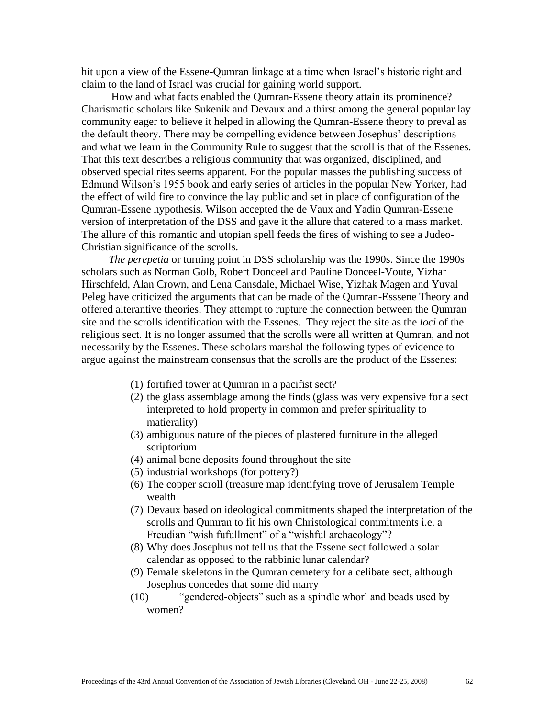hit upon a view of the Essene-Qumran linkage at a time when Israel's historic right and claim to the land of Israel was crucial for gaining world support.

 How and what facts enabled the Qumran-Essene theory attain its prominence? Charismatic scholars like Sukenik and Devaux and a thirst among the general popular lay community eager to believe it helped in allowing the Qumran-Essene theory to preval as the default theory. There may be compelling evidence between Josephus' descriptions and what we learn in the Community Rule to suggest that the scroll is that of the Essenes. That this text describes a religious community that was organized, disciplined, and observed special rites seems apparent. For the popular masses the publishing success of Edmund Wilson's 1955 book and early series of articles in the popular New Yorker, had the effect of wild fire to convince the lay public and set in place of configuration of the Qumran-Essene hypothesis. Wilson accepted the de Vaux and Yadin Qumran-Essene version of interpretation of the DSS and gave it the allure that catered to a mass market. The allure of this romantic and utopian spell feeds the fires of wishing to see a Judeo-Christian significance of the scrolls.

 *The perepetia* or turning point in DSS scholarship was the 1990s. Since the 1990s scholars such as Norman Golb, Robert Donceel and Pauline Donceel-Voute, Yizhar Hirschfeld, Alan Crown, and Lena Cansdale, Michael Wise, Yizhak Magen and Yuval Peleg have criticized the arguments that can be made of the Qumran-Esssene Theory and offered alterantive theories. They attempt to rupture the connection between the Qumran site and the scrolls identification with the Essenes. They reject the site as the *loci* of the religious sect. It is no longer assumed that the scrolls were all written at Qumran, and not necessarily by the Essenes. These scholars marshal the following types of evidence to argue against the mainstream consensus that the scrolls are the product of the Essenes:

- (1) fortified tower at Qumran in a pacifist sect?
- (2) the glass assemblage among the finds (glass was very expensive for a sect interpreted to hold property in common and prefer spirituality to matierality)
- (3) ambiguous nature of the pieces of plastered furniture in the alleged scriptorium
- (4) animal bone deposits found throughout the site
- (5) industrial workshops (for pottery?)
- (6) The copper scroll (treasure map identifying trove of Jerusalem Temple wealth
- (7) Devaux based on ideological commitments shaped the interpretation of the scrolls and Qumran to fit his own Christological commitments i.e. a Freudian "wish fufullment" of a "wishful archaeology"?
- (8) Why does Josephus not tell us that the Essene sect followed a solar calendar as opposed to the rabbinic lunar calendar?
- (9) Female skeletons in the Qumran cemetery for a celibate sect, although Josephus concedes that some did marry
- (10) "gendered-objects" such as a spindle whorl and beads used by women?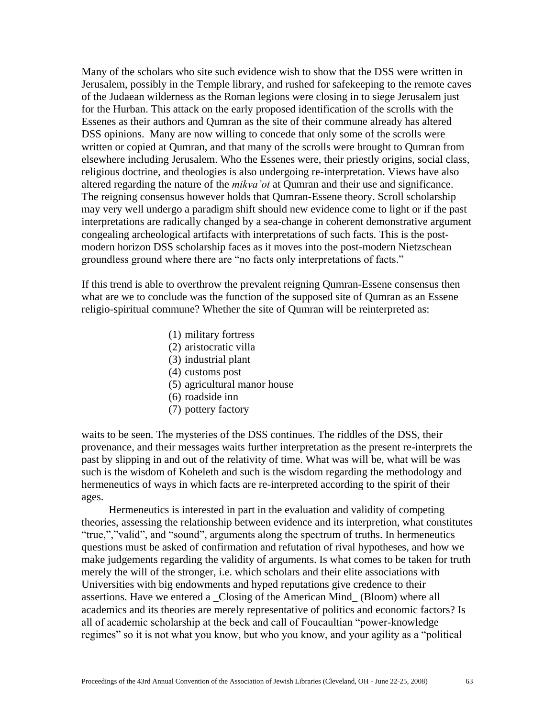Many of the scholars who site such evidence wish to show that the DSS were written in Jerusalem, possibly in the Temple library, and rushed for safekeeping to the remote caves of the Judaean wilderness as the Roman legions were closing in to siege Jerusalem just for the Hurban. This attack on the early proposed identification of the scrolls with the Essenes as their authors and Qumran as the site of their commune already has altered DSS opinions. Many are now willing to concede that only some of the scrolls were written or copied at Qumran, and that many of the scrolls were brought to Qumran from elsewhere including Jerusalem. Who the Essenes were, their priestly origins, social class, religious doctrine, and theologies is also undergoing re-interpretation. Views have also altered regarding the nature of the *mikva'ot* at Qumran and their use and significance. The reigning consensus however holds that Qumran-Essene theory. Scroll scholarship may very well undergo a paradigm shift should new evidence come to light or if the past interpretations are radically changed by a sea-change in coherent demonstrative argument congealing archeological artifacts with interpretations of such facts. This is the postmodern horizon DSS scholarship faces as it moves into the post-modern Nietzschean groundless ground where there are "no facts only interpretations of facts."

If this trend is able to overthrow the prevalent reigning Qumran-Essene consensus then what are we to conclude was the function of the supposed site of Qumran as an Essene religio-spiritual commune? Whether the site of Qumran will be reinterpreted as:

- (1) military fortress
- (2) aristocratic villa
- (3) industrial plant
- (4) customs post
- (5) agricultural manor house
- (6) roadside inn
- (7) pottery factory

waits to be seen. The mysteries of the DSS continues. The riddles of the DSS, their provenance, and their messages waits further interpretation as the present re-interprets the past by slipping in and out of the relativity of time. What was will be, what will be was such is the wisdom of Koheleth and such is the wisdom regarding the methodology and hermeneutics of ways in which facts are re-interpreted according to the spirit of their ages.

 Hermeneutics is interested in part in the evaluation and validity of competing theories, assessing the relationship between evidence and its interpretion, what constitutes "true,","valid", and "sound", arguments along the spectrum of truths. In hermeneutics questions must be asked of confirmation and refutation of rival hypotheses, and how we make judgements regarding the validity of arguments. Is what comes to be taken for truth merely the will of the stronger, i.e. which scholars and their elite associations with Universities with big endowments and hyped reputations give credence to their assertions. Have we entered a \_Closing of the American Mind\_ (Bloom) where all academics and its theories are merely representative of politics and economic factors? Is all of academic scholarship at the beck and call of Foucaultian "power-knowledge regimes" so it is not what you know, but who you know, and your agility as a "political